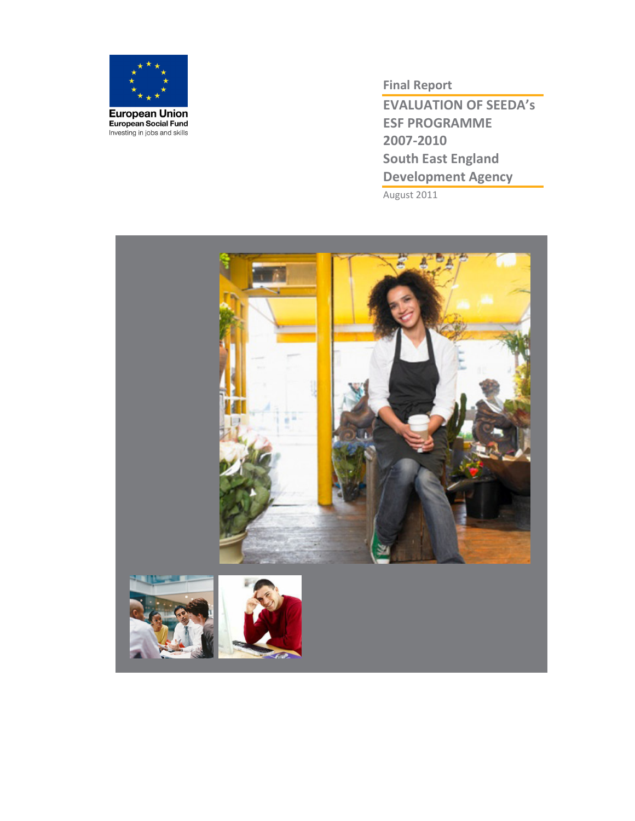

Final Report

EVALUATION OF SEEDA's ESF PROGRAMME 2007-2010 South East England Development Agency

August 2011

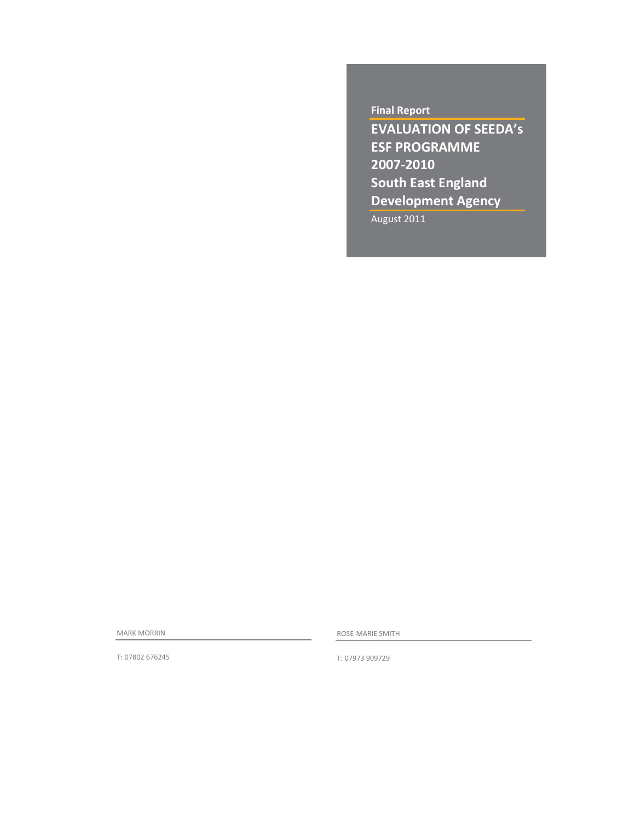# Final Report

EVALUATION OF SEEDA's ESF PROGRAMME 2007-2010 South East England Development Agency

August 2011

MARK MORRIN

ROSE-MARIE SMITH

T: 07802 676245

T: 07973 909729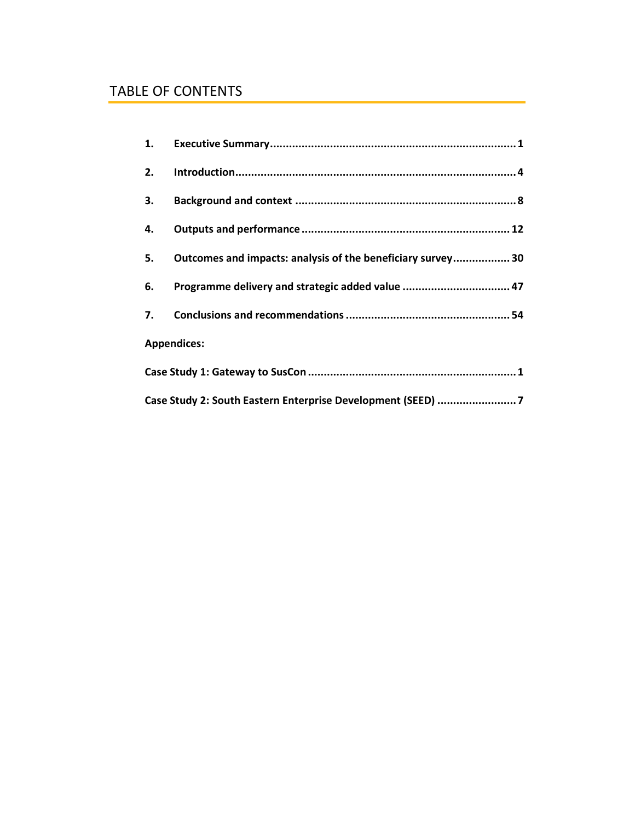# TABLE OF CONTENTS

| 2. |                                                             |
|----|-------------------------------------------------------------|
| 3. |                                                             |
|    |                                                             |
| 5. | Outcomes and impacts: analysis of the beneficiary survey 30 |
| 6. | Programme delivery and strategic added value  47            |
|    |                                                             |
|    | <b>Appendices:</b>                                          |
|    |                                                             |
|    | Case Study 2: South Eastern Enterprise Development (SEED) 7 |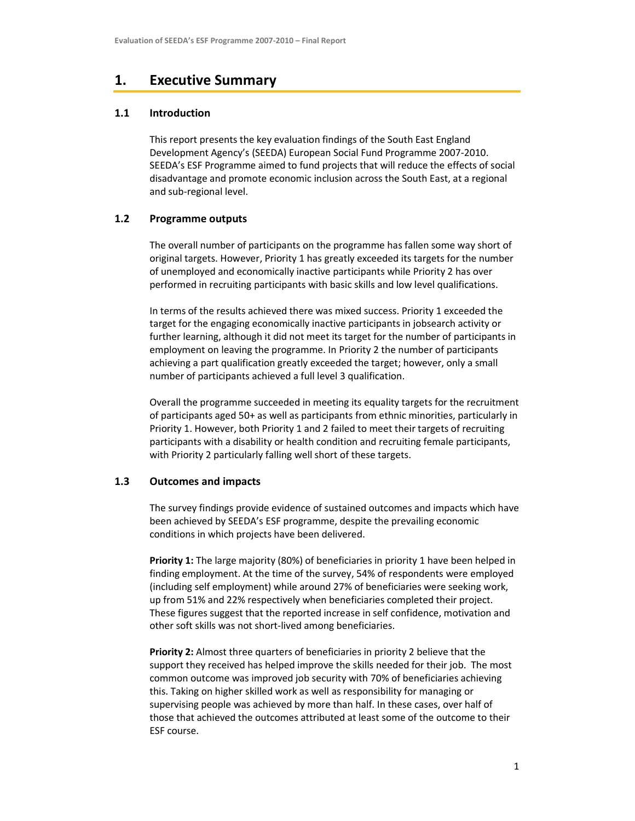# 1. Executive Summary

# 1.1 Introduction

This report presents the key evaluation findings of the South East England Development Agency's (SEEDA) European Social Fund Programme 2007-2010. SEEDA's ESF Programme aimed to fund projects that will reduce the effects of social disadvantage and promote economic inclusion across the South East, at a regional and sub-regional level.

# 1.2 Programme outputs

The overall number of participants on the programme has fallen some way short of original targets. However, Priority 1 has greatly exceeded its targets for the number of unemployed and economically inactive participants while Priority 2 has over performed in recruiting participants with basic skills and low level qualifications.

In terms of the results achieved there was mixed success. Priority 1 exceeded the target for the engaging economically inactive participants in jobsearch activity or further learning, although it did not meet its target for the number of participants in employment on leaving the programme. In Priority 2 the number of participants achieving a part qualification greatly exceeded the target; however, only a small number of participants achieved a full level 3 qualification.

Overall the programme succeeded in meeting its equality targets for the recruitment of participants aged 50+ as well as participants from ethnic minorities, particularly in Priority 1. However, both Priority 1 and 2 failed to meet their targets of recruiting participants with a disability or health condition and recruiting female participants, with Priority 2 particularly falling well short of these targets.

# 1.3 Outcomes and impacts

The survey findings provide evidence of sustained outcomes and impacts which have been achieved by SEEDA's ESF programme, despite the prevailing economic conditions in which projects have been delivered.

Priority 1: The large majority (80%) of beneficiaries in priority 1 have been helped in finding employment. At the time of the survey, 54% of respondents were employed (including self employment) while around 27% of beneficiaries were seeking work, up from 51% and 22% respectively when beneficiaries completed their project. These figures suggest that the reported increase in self confidence, motivation and other soft skills was not short-lived among beneficiaries.

Priority 2: Almost three quarters of beneficiaries in priority 2 believe that the support they received has helped improve the skills needed for their job. The most common outcome was improved job security with 70% of beneficiaries achieving this. Taking on higher skilled work as well as responsibility for managing or supervising people was achieved by more than half. In these cases, over half of those that achieved the outcomes attributed at least some of the outcome to their ESF course.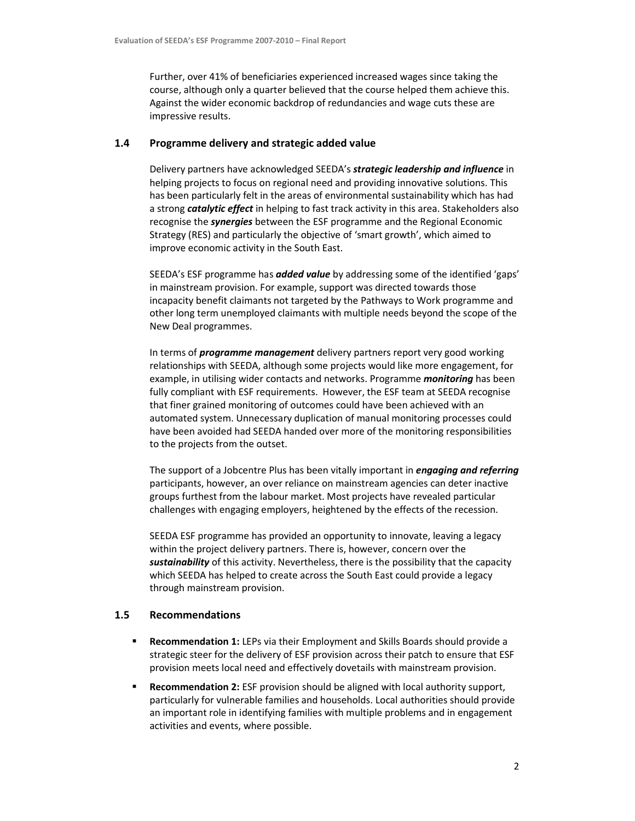Further, over 41% of beneficiaries experienced increased wages since taking the course, although only a quarter believed that the course helped them achieve this. Against the wider economic backdrop of redundancies and wage cuts these are impressive results.

# 1.4 Programme delivery and strategic added value

Delivery partners have acknowledged SEEDA's **strategic leadership and influence** in helping projects to focus on regional need and providing innovative solutions. This has been particularly felt in the areas of environmental sustainability which has had a strong catalytic effect in helping to fast track activity in this area. Stakeholders also recognise the *synergies* between the ESF programme and the Regional Economic Strategy (RES) and particularly the objective of 'smart growth', which aimed to improve economic activity in the South East.

SEEDA's ESF programme has **added value** by addressing some of the identified 'gaps' in mainstream provision. For example, support was directed towards those incapacity benefit claimants not targeted by the Pathways to Work programme and other long term unemployed claimants with multiple needs beyond the scope of the New Deal programmes.

In terms of *programme management* delivery partners report very good working relationships with SEEDA, although some projects would like more engagement, for example, in utilising wider contacts and networks. Programme *monitoring* has been fully compliant with ESF requirements. However, the ESF team at SEEDA recognise that finer grained monitoring of outcomes could have been achieved with an automated system. Unnecessary duplication of manual monitoring processes could have been avoided had SEEDA handed over more of the monitoring responsibilities to the projects from the outset.

The support of a Jobcentre Plus has been vitally important in *engaging and referring* participants, however, an over reliance on mainstream agencies can deter inactive groups furthest from the labour market. Most projects have revealed particular challenges with engaging employers, heightened by the effects of the recession.

SEEDA ESF programme has provided an opportunity to innovate, leaving a legacy within the project delivery partners. There is, however, concern over the sustainability of this activity. Nevertheless, there is the possibility that the capacity which SEEDA has helped to create across the South East could provide a legacy through mainstream provision.

# 1.5 Recommendations

- **Recommendation 1:** LEPs via their Employment and Skills Boards should provide a strategic steer for the delivery of ESF provision across their patch to ensure that ESF provision meets local need and effectively dovetails with mainstream provision.
- **Recommendation 2:** ESF provision should be aligned with local authority support, particularly for vulnerable families and households. Local authorities should provide an important role in identifying families with multiple problems and in engagement activities and events, where possible.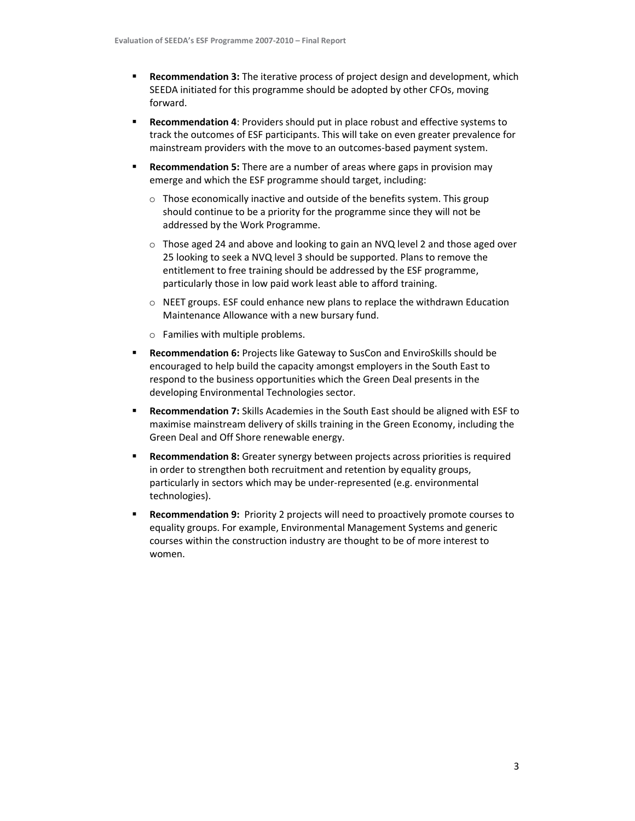- **Recommendation 3:** The iterative process of project design and development, which SEEDA initiated for this programme should be adopted by other CFOs, moving forward.
- Recommendation 4: Providers should put in place robust and effective systems to track the outcomes of ESF participants. This will take on even greater prevalence for mainstream providers with the move to an outcomes-based payment system.
- Recommendation 5: There are a number of areas where gaps in provision may emerge and which the ESF programme should target, including:
	- o Those economically inactive and outside of the benefits system. This group should continue to be a priority for the programme since they will not be addressed by the Work Programme.
	- $\circ$  Those aged 24 and above and looking to gain an NVQ level 2 and those aged over 25 looking to seek a NVQ level 3 should be supported. Plans to remove the entitlement to free training should be addressed by the ESF programme, particularly those in low paid work least able to afford training.
	- o NEET groups. ESF could enhance new plans to replace the withdrawn Education Maintenance Allowance with a new bursary fund.
	- o Families with multiple problems.
- Recommendation 6: Projects like Gateway to SusCon and EnviroSkills should be encouraged to help build the capacity amongst employers in the South East to respond to the business opportunities which the Green Deal presents in the developing Environmental Technologies sector.
- **Recommendation 7:** Skills Academies in the South East should be aligned with ESF to maximise mainstream delivery of skills training in the Green Economy, including the Green Deal and Off Shore renewable energy.
- **Recommendation 8:** Greater synergy between projects across priorities is required in order to strengthen both recruitment and retention by equality groups, particularly in sectors which may be under-represented (e.g. environmental technologies).
- Recommendation 9: Priority 2 projects will need to proactively promote courses to equality groups. For example, Environmental Management Systems and generic courses within the construction industry are thought to be of more interest to women.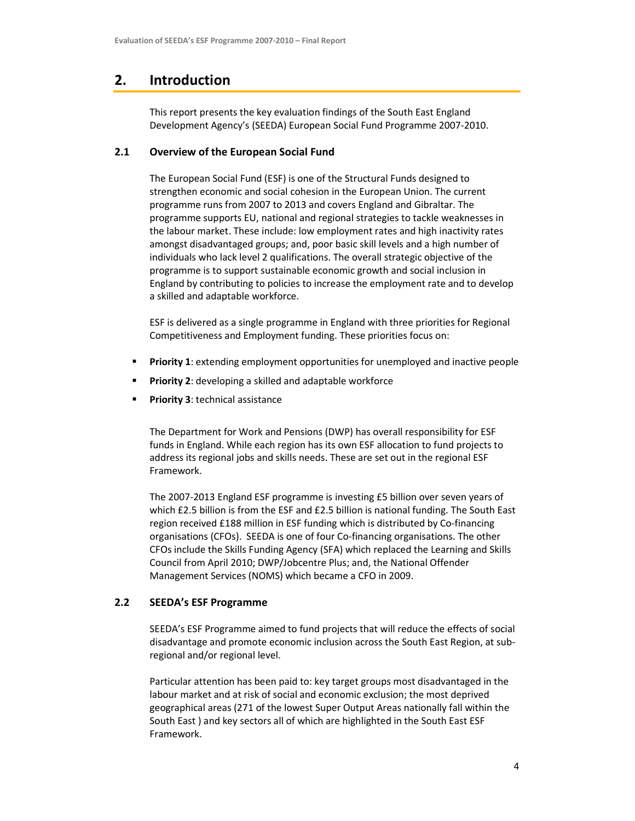# 2. Introduction

This report presents the key evaluation findings of the South East England Development Agency's (SEEDA) European Social Fund Programme 2007-2010.

# 2.1 Overview of the European Social Fund

The European Social Fund (ESF) is one of the Structural Funds designed to strengthen economic and social cohesion in the European Union. The current programme runs from 2007 to 2013 and covers England and Gibraltar. The programme supports EU, national and regional strategies to tackle weaknesses in the labour market. These include: low employment rates and high inactivity rates amongst disadvantaged groups; and, poor basic skill levels and a high number of individuals who lack level 2 qualifications. The overall strategic objective of the programme is to support sustainable economic growth and social inclusion in England by contributing to policies to increase the employment rate and to develop a skilled and adaptable workforce.

ESF is delivered as a single programme in England with three priorities for Regional Competitiveness and Employment funding. These priorities focus on:

- **Priority 1:** extending employment opportunities for unemployed and inactive people
- Priority 2: developing a skilled and adaptable workforce
- Priority 3: technical assistance

The Department for Work and Pensions (DWP) has overall responsibility for ESF funds in England. While each region has its own ESF allocation to fund projects to address its regional jobs and skills needs. These are set out in the regional ESF Framework.

The 2007-2013 England ESF programme is investing £5 billion over seven years of which £2.5 billion is from the ESF and £2.5 billion is national funding. The South East region received £188 million in ESF funding which is distributed by Co-financing organisations (CFOs). SEEDA is one of four Co-financing organisations. The other CFOs include the Skills Funding Agency (SFA) which replaced the Learning and Skills Council from April 2010; DWP/Jobcentre Plus; and, the National Offender Management Services (NOMS) which became a CFO in 2009.

# 2.2 SEEDA's ESF Programme

SEEDA's ESF Programme aimed to fund projects that will reduce the effects of social disadvantage and promote economic inclusion across the South East Region, at subregional and/or regional level.

Particular attention has been paid to: key target groups most disadvantaged in the labour market and at risk of social and economic exclusion; the most deprived geographical areas (271 of the lowest Super Output Areas nationally fall within the South East ) and key sectors all of which are highlighted in the South East ESF Framework.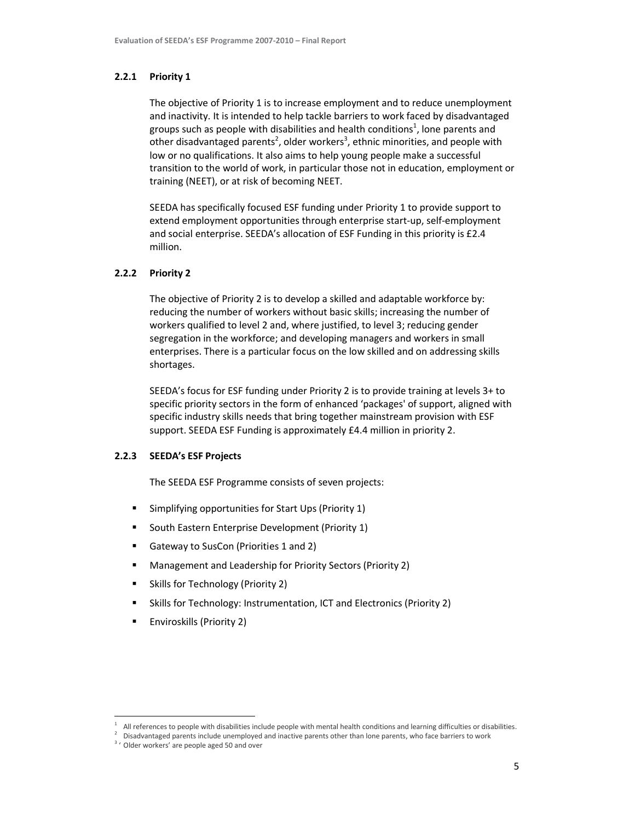### 2.2.1 Priority 1

The objective of Priority 1 is to increase employment and to reduce unemployment and inactivity. It is intended to help tackle barriers to work faced by disadvantaged groups such as people with disabilities and health conditions<sup>1</sup>, lone parents and other disadvantaged parents<sup>2</sup>, older workers<sup>3</sup>, ethnic minorities, and people with low or no qualifications. It also aims to help young people make a successful transition to the world of work, in particular those not in education, employment or training (NEET), or at risk of becoming NEET.

SEEDA has specifically focused ESF funding under Priority 1 to provide support to extend employment opportunities through enterprise start-up, self-employment and social enterprise. SEEDA's allocation of ESF Funding in this priority is £2.4 million.

# 2.2.2 Priority 2

The objective of Priority 2 is to develop a skilled and adaptable workforce by: reducing the number of workers without basic skills; increasing the number of workers qualified to level 2 and, where justified, to level 3; reducing gender segregation in the workforce; and developing managers and workers in small enterprises. There is a particular focus on the low skilled and on addressing skills shortages.

SEEDA's focus for ESF funding under Priority 2 is to provide training at levels 3+ to specific priority sectors in the form of enhanced 'packages' of support, aligned with specific industry skills needs that bring together mainstream provision with ESF support. SEEDA ESF Funding is approximately £4.4 million in priority 2.

# 2.2.3 SEEDA's ESF Projects

The SEEDA ESF Programme consists of seven projects:

- Simplifying opportunities for Start Ups (Priority 1)
- **South Eastern Enterprise Development (Priority 1)**
- Gateway to SusCon (Priorities 1 and 2)
- Management and Leadership for Priority Sectors (Priority 2)
- Skills for Technology (Priority 2)
- Skills for Technology: Instrumentation, ICT and Electronics (Priority 2)
- Enviroskills (Priority 2)

<sup>2</sup> Disadvantaged parents include unemployed and inactive parents other than lone parents, who face barriers to work

l,

<sup>1</sup> All references to people with disabilities include people with mental health conditions and learning difficulties or disabilities.

<sup>&</sup>lt;sup>3</sup> ' Older workers' are people aged 50 and over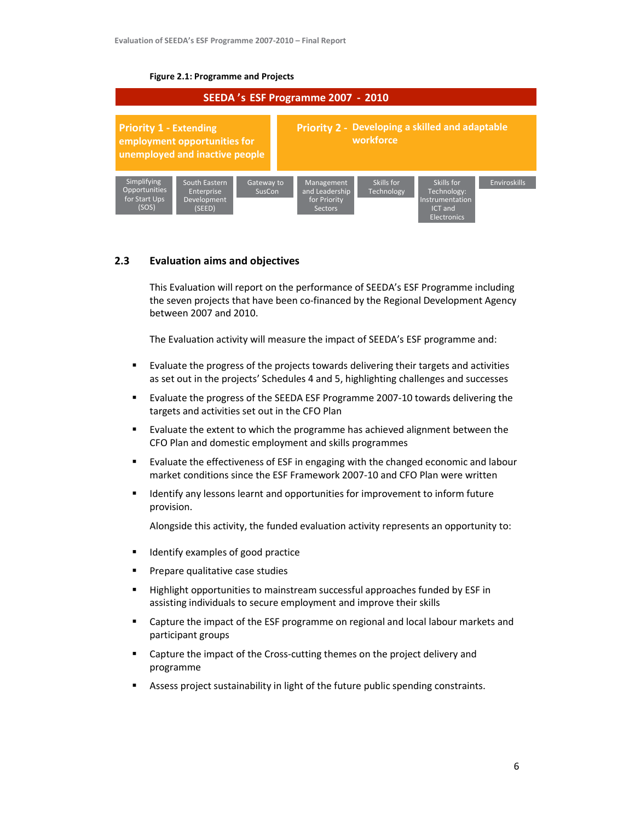### Figure 2.1: Programme and Projects



# 2.3 Evaluation aims and objectives

This Evaluation will report on the performance of SEEDA's ESF Programme including the seven projects that have been co-financed by the Regional Development Agency between 2007 and 2010.

The Evaluation activity will measure the impact of SEEDA's ESF programme and:

- Evaluate the progress of the projects towards delivering their targets and activities as set out in the projects' Schedules 4 and 5, highlighting challenges and successes
- Evaluate the progress of the SEEDA ESF Programme 2007-10 towards delivering the targets and activities set out in the CFO Plan
- Evaluate the extent to which the programme has achieved alignment between the CFO Plan and domestic employment and skills programmes
- **Evaluate the effectiveness of ESF in engaging with the changed economic and labour** market conditions since the ESF Framework 2007-10 and CFO Plan were written
- Identify any lessons learnt and opportunities for improvement to inform future provision.

Alongside this activity, the funded evaluation activity represents an opportunity to:

- Identify examples of good practice
- Prepare qualitative case studies
- Highlight opportunities to mainstream successful approaches funded by ESF in assisting individuals to secure employment and improve their skills
- **EXEC** Capture the impact of the ESF programme on regional and local labour markets and participant groups
- Capture the impact of the Cross-cutting themes on the project delivery and programme
- Assess project sustainability in light of the future public spending constraints.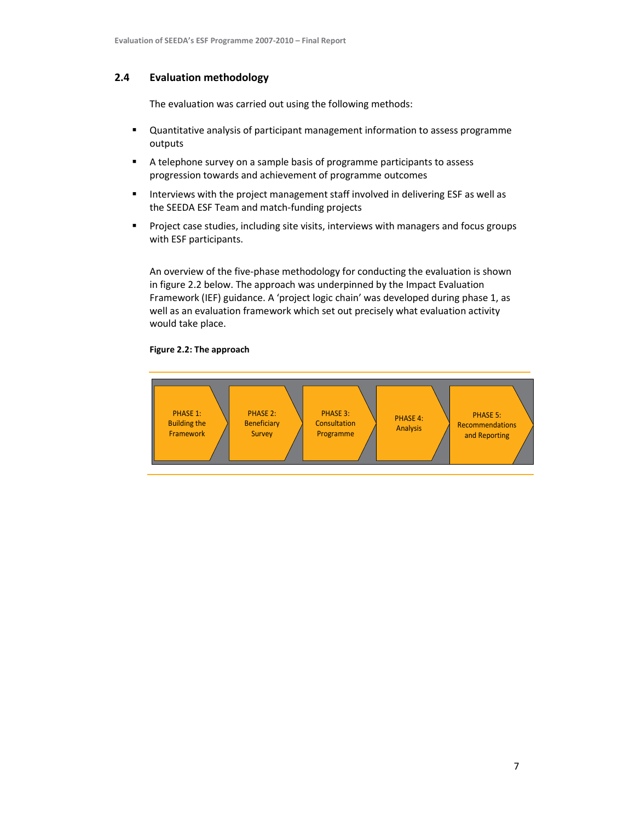# 2.4 Evaluation methodology

The evaluation was carried out using the following methods:

- Quantitative analysis of participant management information to assess programme outputs
- A telephone survey on a sample basis of programme participants to assess progression towards and achievement of programme outcomes
- **Interviews with the project management staff involved in delivering ESF as well as** the SEEDA ESF Team and match-funding projects
- **Project case studies, including site visits, interviews with managers and focus groups** with ESF participants.

An overview of the five-phase methodology for conducting the evaluation is shown in figure 2.2 below. The approach was underpinned by the Impact Evaluation Framework (IEF) guidance. A 'project logic chain' was developed during phase 1, as well as an evaluation framework which set out precisely what evaluation activity would take place.

# Figure 2.2: The approach

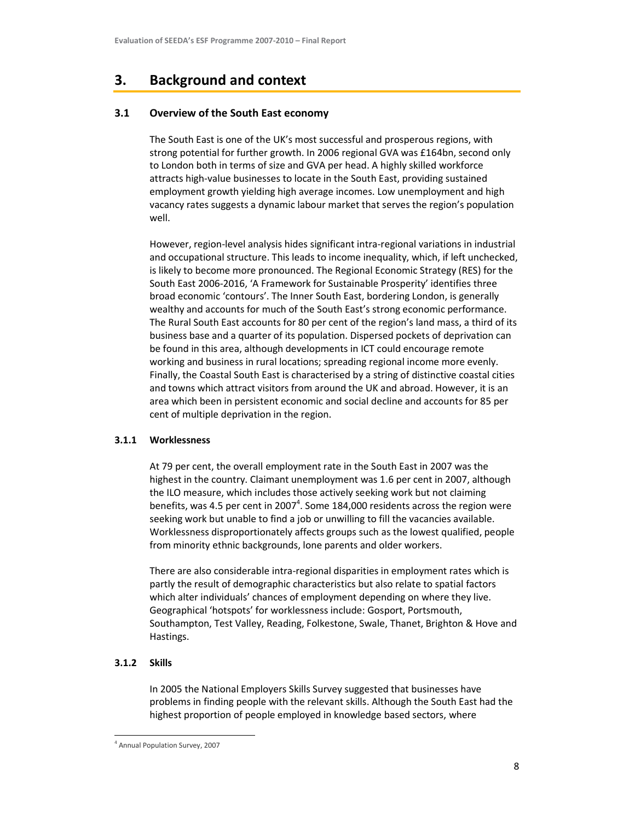# 3. Background and context

# 3.1 Overview of the South East economy

The South East is one of the UK's most successful and prosperous regions, with strong potential for further growth. In 2006 regional GVA was £164bn, second only to London both in terms of size and GVA per head. A highly skilled workforce attracts high-value businesses to locate in the South East, providing sustained employment growth yielding high average incomes. Low unemployment and high vacancy rates suggests a dynamic labour market that serves the region's population well.

However, region-level analysis hides significant intra-regional variations in industrial and occupational structure. This leads to income inequality, which, if left unchecked, is likely to become more pronounced. The Regional Economic Strategy (RES) for the South East 2006-2016, 'A Framework for Sustainable Prosperity' identifies three broad economic 'contours'. The Inner South East, bordering London, is generally wealthy and accounts for much of the South East's strong economic performance. The Rural South East accounts for 80 per cent of the region's land mass, a third of its business base and a quarter of its population. Dispersed pockets of deprivation can be found in this area, although developments in ICT could encourage remote working and business in rural locations; spreading regional income more evenly. Finally, the Coastal South East is characterised by a string of distinctive coastal cities and towns which attract visitors from around the UK and abroad. However, it is an area which been in persistent economic and social decline and accounts for 85 per cent of multiple deprivation in the region.

# 3.1.1 Worklessness

At 79 per cent, the overall employment rate in the South East in 2007 was the highest in the country. Claimant unemployment was 1.6 per cent in 2007, although the ILO measure, which includes those actively seeking work but not claiming benefits, was 4.5 per cent in 2007 $^4$ . Some 184,000 residents across the region were seeking work but unable to find a job or unwilling to fill the vacancies available. Worklessness disproportionately affects groups such as the lowest qualified, people from minority ethnic backgrounds, lone parents and older workers.

There are also considerable intra-regional disparities in employment rates which is partly the result of demographic characteristics but also relate to spatial factors which alter individuals' chances of employment depending on where they live. Geographical 'hotspots' for worklessness include: Gosport, Portsmouth, Southampton, Test Valley, Reading, Folkestone, Swale, Thanet, Brighton & Hove and Hastings.

# 3.1.2 Skills

l,

In 2005 the National Employers Skills Survey suggested that businesses have problems in finding people with the relevant skills. Although the South East had the highest proportion of people employed in knowledge based sectors, where

<sup>4</sup> Annual Population Survey, 2007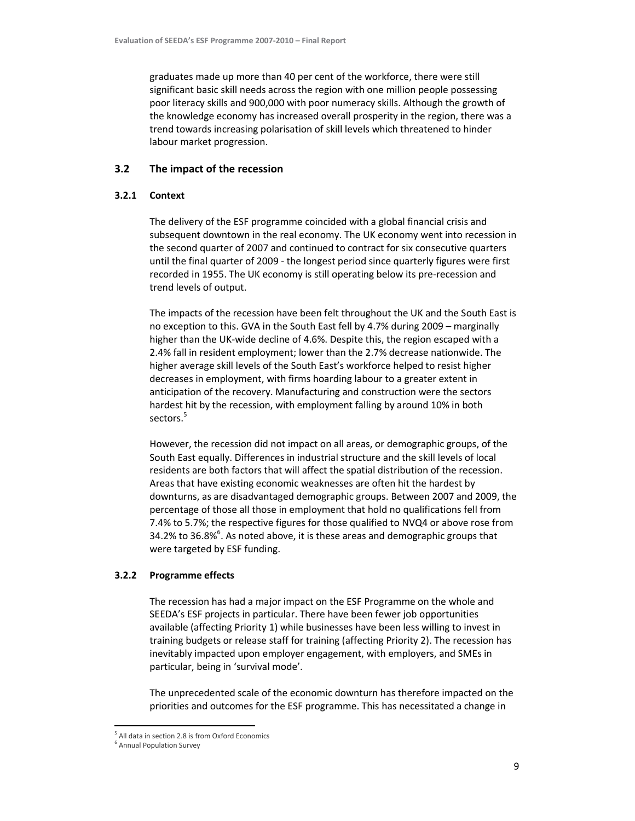graduates made up more than 40 per cent of the workforce, there were still significant basic skill needs across the region with one million people possessing poor literacy skills and 900,000 with poor numeracy skills. Although the growth of the knowledge economy has increased overall prosperity in the region, there was a trend towards increasing polarisation of skill levels which threatened to hinder labour market progression.

# 3.2 The impact of the recession

### 3.2.1 Context

The delivery of the ESF programme coincided with a global financial crisis and subsequent downtown in the real economy. The UK economy went into recession in the second quarter of 2007 and continued to contract for six consecutive quarters until the final quarter of 2009 - the longest period since quarterly figures were first recorded in 1955. The UK economy is still operating below its pre-recession and trend levels of output.

The impacts of the recession have been felt throughout the UK and the South East is no exception to this. GVA in the South East fell by 4.7% during 2009 – marginally higher than the UK-wide decline of 4.6%. Despite this, the region escaped with a 2.4% fall in resident employment; lower than the 2.7% decrease nationwide. The higher average skill levels of the South East's workforce helped to resist higher decreases in employment, with firms hoarding labour to a greater extent in anticipation of the recovery. Manufacturing and construction were the sectors hardest hit by the recession, with employment falling by around 10% in both sectors.<sup>5</sup>

However, the recession did not impact on all areas, or demographic groups, of the South East equally. Differences in industrial structure and the skill levels of local residents are both factors that will affect the spatial distribution of the recession. Areas that have existing economic weaknesses are often hit the hardest by downturns, as are disadvantaged demographic groups. Between 2007 and 2009, the percentage of those all those in employment that hold no qualifications fell from 7.4% to 5.7%; the respective figures for those qualified to NVQ4 or above rose from 34.2% to 36.8% $^6$ . As noted above, it is these areas and demographic groups that were targeted by ESF funding.

### 3.2.2 Programme effects

The recession has had a major impact on the ESF Programme on the whole and SEEDA's ESF projects in particular. There have been fewer job opportunities available (affecting Priority 1) while businesses have been less willing to invest in training budgets or release staff for training (affecting Priority 2). The recession has inevitably impacted upon employer engagement, with employers, and SMEs in particular, being in 'survival mode'.

The unprecedented scale of the economic downturn has therefore impacted on the priorities and outcomes for the ESF programme. This has necessitated a change in

l,

<sup>&</sup>lt;sup>5</sup> All data in section 2.8 is from Oxford Economics

<sup>&</sup>lt;sup>6</sup> Annual Population Survey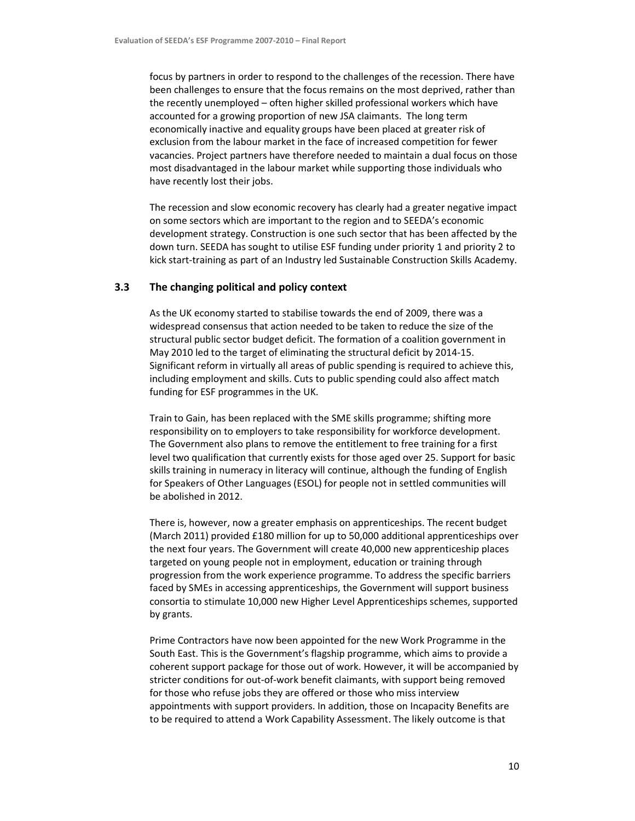focus by partners in order to respond to the challenges of the recession. There have been challenges to ensure that the focus remains on the most deprived, rather than the recently unemployed – often higher skilled professional workers which have accounted for a growing proportion of new JSA claimants. The long term economically inactive and equality groups have been placed at greater risk of exclusion from the labour market in the face of increased competition for fewer vacancies. Project partners have therefore needed to maintain a dual focus on those most disadvantaged in the labour market while supporting those individuals who have recently lost their jobs.

The recession and slow economic recovery has clearly had a greater negative impact on some sectors which are important to the region and to SEEDA's economic development strategy. Construction is one such sector that has been affected by the down turn. SEEDA has sought to utilise ESF funding under priority 1 and priority 2 to kick start-training as part of an Industry led Sustainable Construction Skills Academy.

# 3.3 The changing political and policy context

As the UK economy started to stabilise towards the end of 2009, there was a widespread consensus that action needed to be taken to reduce the size of the structural public sector budget deficit. The formation of a coalition government in May 2010 led to the target of eliminating the structural deficit by 2014-15. Significant reform in virtually all areas of public spending is required to achieve this, including employment and skills. Cuts to public spending could also affect match funding for ESF programmes in the UK.

Train to Gain, has been replaced with the SME skills programme; shifting more responsibility on to employers to take responsibility for workforce development. The Government also plans to remove the entitlement to free training for a first level two qualification that currently exists for those aged over 25. Support for basic skills training in numeracy in literacy will continue, although the funding of English for Speakers of Other Languages (ESOL) for people not in settled communities will be abolished in 2012.

There is, however, now a greater emphasis on apprenticeships. The recent budget (March 2011) provided £180 million for up to 50,000 additional apprenticeships over the next four years. The Government will create 40,000 new apprenticeship places targeted on young people not in employment, education or training through progression from the work experience programme. To address the specific barriers faced by SMEs in accessing apprenticeships, the Government will support business consortia to stimulate 10,000 new Higher Level Apprenticeships schemes, supported by grants.

Prime Contractors have now been appointed for the new Work Programme in the South East. This is the Government's flagship programme, which aims to provide a coherent support package for those out of work. However, it will be accompanied by stricter conditions for out-of-work benefit claimants, with support being removed for those who refuse jobs they are offered or those who miss interview appointments with support providers. In addition, those on Incapacity Benefits are to be required to attend a Work Capability Assessment. The likely outcome is that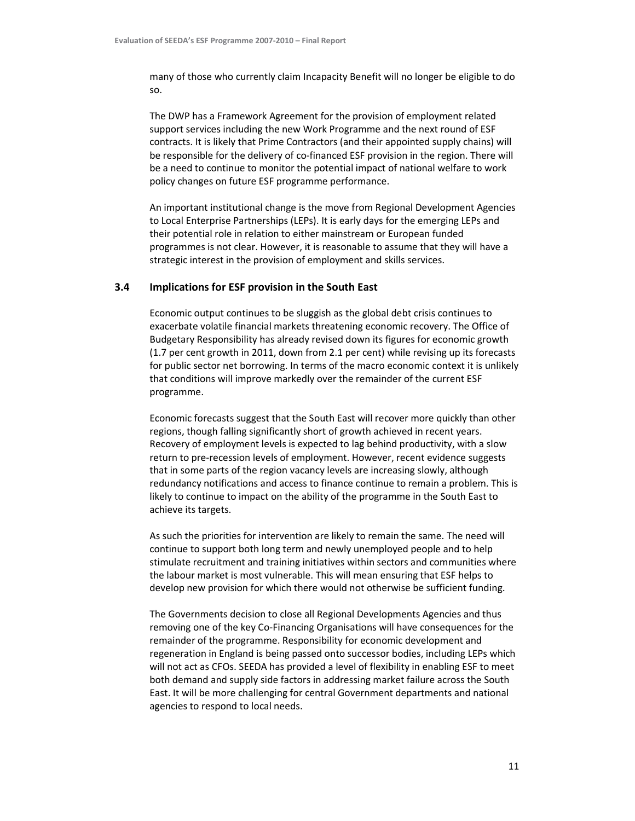many of those who currently claim Incapacity Benefit will no longer be eligible to do so.

The DWP has a Framework Agreement for the provision of employment related support services including the new Work Programme and the next round of ESF contracts. It is likely that Prime Contractors (and their appointed supply chains) will be responsible for the delivery of co-financed ESF provision in the region. There will be a need to continue to monitor the potential impact of national welfare to work policy changes on future ESF programme performance.

An important institutional change is the move from Regional Development Agencies to Local Enterprise Partnerships (LEPs). It is early days for the emerging LEPs and their potential role in relation to either mainstream or European funded programmes is not clear. However, it is reasonable to assume that they will have a strategic interest in the provision of employment and skills services.

# 3.4 Implications for ESF provision in the South East

Economic output continues to be sluggish as the global debt crisis continues to exacerbate volatile financial markets threatening economic recovery. The Office of Budgetary Responsibility has already revised down its figures for economic growth (1.7 per cent growth in 2011, down from 2.1 per cent) while revising up its forecasts for public sector net borrowing. In terms of the macro economic context it is unlikely that conditions will improve markedly over the remainder of the current ESF programme.

Economic forecasts suggest that the South East will recover more quickly than other regions, though falling significantly short of growth achieved in recent years. Recovery of employment levels is expected to lag behind productivity, with a slow return to pre-recession levels of employment. However, recent evidence suggests that in some parts of the region vacancy levels are increasing slowly, although redundancy notifications and access to finance continue to remain a problem. This is likely to continue to impact on the ability of the programme in the South East to achieve its targets.

As such the priorities for intervention are likely to remain the same. The need will continue to support both long term and newly unemployed people and to help stimulate recruitment and training initiatives within sectors and communities where the labour market is most vulnerable. This will mean ensuring that ESF helps to develop new provision for which there would not otherwise be sufficient funding.

The Governments decision to close all Regional Developments Agencies and thus removing one of the key Co-Financing Organisations will have consequences for the remainder of the programme. Responsibility for economic development and regeneration in England is being passed onto successor bodies, including LEPs which will not act as CFOs. SEEDA has provided a level of flexibility in enabling ESF to meet both demand and supply side factors in addressing market failure across the South East. It will be more challenging for central Government departments and national agencies to respond to local needs.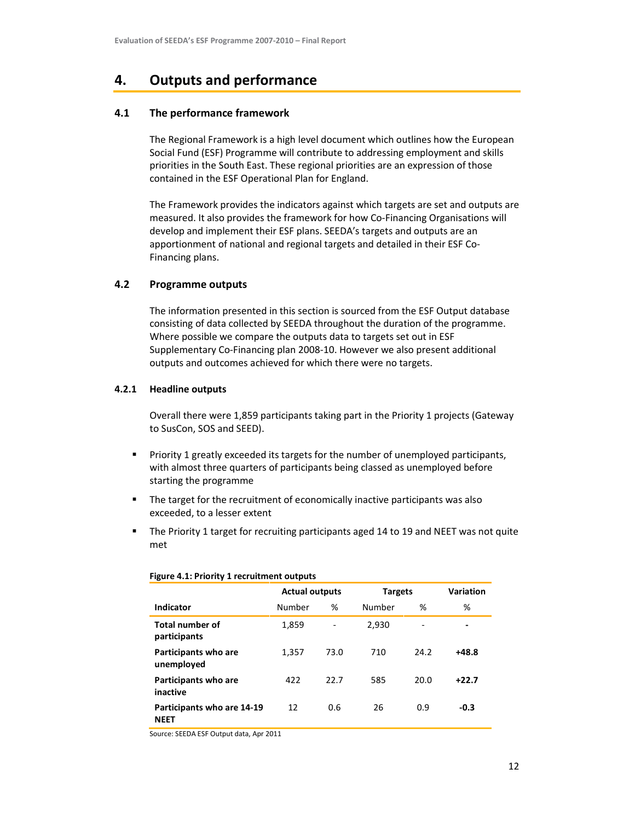# 4. Outputs and performance

# 4.1 The performance framework

The Regional Framework is a high level document which outlines how the European Social Fund (ESF) Programme will contribute to addressing employment and skills priorities in the South East. These regional priorities are an expression of those contained in the ESF Operational Plan for England.

The Framework provides the indicators against which targets are set and outputs are measured. It also provides the framework for how Co-Financing Organisations will develop and implement their ESF plans. SEEDA's targets and outputs are an apportionment of national and regional targets and detailed in their ESF Co-Financing plans.

# 4.2 Programme outputs

The information presented in this section is sourced from the ESF Output database consisting of data collected by SEEDA throughout the duration of the programme. Where possible we compare the outputs data to targets set out in ESF Supplementary Co-Financing plan 2008-10. However we also present additional outputs and outcomes achieved for which there were no targets.

# 4.2.1 Headline outputs

Overall there were 1,859 participants taking part in the Priority 1 projects (Gateway to SusCon, SOS and SEED).

- Priority 1 greatly exceeded its targets for the number of unemployed participants, with almost three quarters of participants being classed as unemployed before starting the programme
- **The target for the recruitment of economically inactive participants was also** exceeded, to a lesser extent
- The Priority 1 target for recruiting participants aged 14 to 19 and NEET was not quite met

|                                           | <b>Actual outputs</b><br><b>Targets</b> |                              | Variation |      |                          |  |  |  |  |
|-------------------------------------------|-----------------------------------------|------------------------------|-----------|------|--------------------------|--|--|--|--|
| Indicator                                 | Number                                  | %                            | Number    | %    | %                        |  |  |  |  |
| <b>Total number of</b><br>participants    | 1,859                                   | $\qquad \qquad \blacksquare$ | 2,930     | ۰    | $\overline{\phantom{0}}$ |  |  |  |  |
| Participants who are<br>unemployed        | 1,357                                   | 73.0                         | 710       | 24.2 | $+48.8$                  |  |  |  |  |
| Participants who are<br>inactive          | 422                                     | 22.7                         | 585       | 20.0 | $+22.7$                  |  |  |  |  |
| Participants who are 14-19<br><b>NEET</b> | 12                                      | 0.6                          | 26        | 0.9  | $-0.3$                   |  |  |  |  |

### Figure 4.1: Priority 1 recruitment outputs

Source: SEEDA ESF Output data, Apr 2011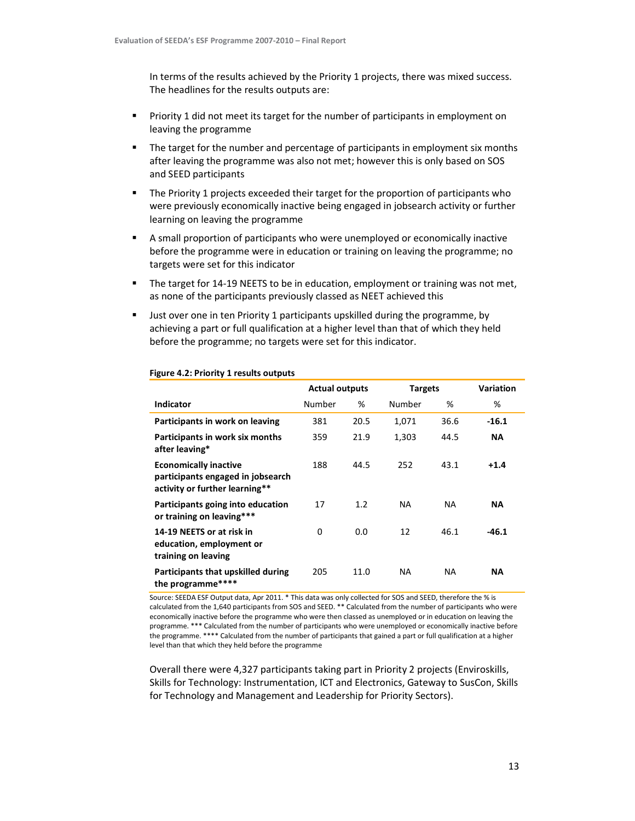In terms of the results achieved by the Priority 1 projects, there was mixed success. The headlines for the results outputs are:

- Priority 1 did not meet its target for the number of participants in employment on leaving the programme
- **The target for the number and percentage of participants in employment six months** after leaving the programme was also not met; however this is only based on SOS and SEED participants
- The Priority 1 projects exceeded their target for the proportion of participants who were previously economically inactive being engaged in jobsearch activity or further learning on leaving the programme
- A small proportion of participants who were unemployed or economically inactive before the programme were in education or training on leaving the programme; no targets were set for this indicator
- **The target for 14-19 NEETS to be in education, employment or training was not met,** as none of the participants previously classed as NEET achieved this
- Just over one in ten Priority 1 participants upskilled during the programme, by achieving a part or full qualification at a higher level than that of which they held before the programme; no targets were set for this indicator.

|                                                                                                     | <b>Actual outputs</b> |      |           | <b>Targets</b> |           |
|-----------------------------------------------------------------------------------------------------|-----------------------|------|-----------|----------------|-----------|
| <b>Indicator</b>                                                                                    | Number                | %    | Number    | %              | %         |
| Participants in work on leaving                                                                     | 381                   | 20.5 | 1,071     | 36.6           | $-16.1$   |
| Participants in work six months<br>after leaving*                                                   | 359                   | 21.9 | 1,303     | 44.5           | <b>NA</b> |
| <b>Economically inactive</b><br>participants engaged in jobsearch<br>activity or further learning** | 188                   | 44.5 | 252       | 43.1           | $+1.4$    |
| Participants going into education<br>or training on leaving***                                      | 17                    | 1.2  | NA.       | NA             | <b>NA</b> |
| 14-19 NEETS or at risk in<br>education, employment or<br>training on leaving                        | 0                     | 0.0  | 12        | 46.1           | $-46.1$   |
| Participants that upskilled during<br>the programme****                                             | 205                   | 11.0 | <b>NA</b> | NA             | <b>NA</b> |

### Figure 4.2: Priority 1 results outputs

Source: SEEDA ESF Output data, Apr 2011. \* This data was only collected for SOS and SEED, therefore the % is calculated from the 1,640 participants from SOS and SEED. \*\* Calculated from the number of participants who were economically inactive before the programme who were then classed as unemployed or in education on leaving the programme. \*\*\* Calculated from the number of participants who were unemployed or economically inactive before the programme. \*\*\*\* Calculated from the number of participants that gained a part or full qualification at a higher level than that which they held before the programme

Overall there were 4,327 participants taking part in Priority 2 projects (Enviroskills, Skills for Technology: Instrumentation, ICT and Electronics, Gateway to SusCon, Skills for Technology and Management and Leadership for Priority Sectors).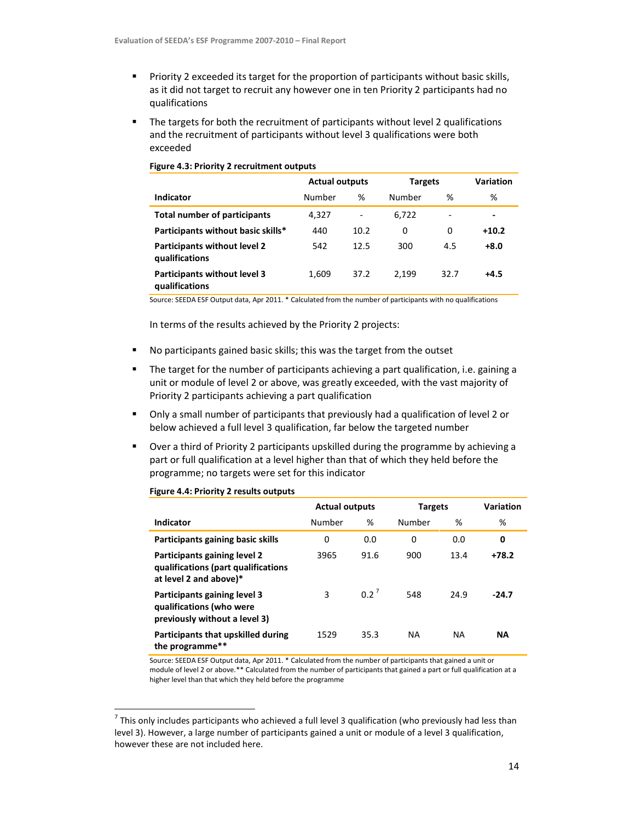- **Priority 2 exceeded its target for the proportion of participants without basic skills,** as it did not target to recruit any however one in ten Priority 2 participants had no qualifications
- The targets for both the recruitment of participants without level 2 qualifications and the recruitment of participants without level 3 qualifications were both exceeded

|                                                       | <b>Actual outputs</b> |                          | <b>Targets</b> | Variation                |         |
|-------------------------------------------------------|-----------------------|--------------------------|----------------|--------------------------|---------|
| Indicator                                             | Number                | %                        | Number         | %                        | %       |
| <b>Total number of participants</b>                   | 4,327                 | $\overline{\phantom{a}}$ | 6,722          | $\overline{\phantom{0}}$ | ٠       |
| Participants without basic skills*                    | 440                   | 10.2                     | 0              | 0                        | $+10.2$ |
| Participants without level 2<br>qualifications        | 542                   | 12.5                     | 300            | 4.5                      | +8.0    |
| <b>Participants without level 3</b><br>qualifications | 1,609                 | 37.2                     | 2.199          | 32.7                     | $+4.5$  |

### Figure 4.3: Priority 2 recruitment outputs

Source: SEEDA ESF Output data, Apr 2011. \* Calculated from the number of participants with no qualifications

In terms of the results achieved by the Priority 2 projects:

- No participants gained basic skills; this was the target from the outset
- The target for the number of participants achieving a part qualification, i.e. gaining a unit or module of level 2 or above, was greatly exceeded, with the vast majority of Priority 2 participants achieving a part qualification
- Only a small number of participants that previously had a qualification of level 2 or below achieved a full level 3 qualification, far below the targeted number
- Over a third of Priority 2 participants upskilled during the programme by achieving a part or full qualification at a level higher than that of which they held before the programme; no targets were set for this indicator

|                                                                                               | <b>Actual outputs</b> |         | <b>Targets</b> | <b>Variation</b> |           |
|-----------------------------------------------------------------------------------------------|-----------------------|---------|----------------|------------------|-----------|
| Indicator                                                                                     | Number                | %       | Number         | %                | %         |
| Participants gaining basic skills                                                             | 0                     | 0.0     | 0              | 0.0              | 0         |
| Participants gaining level 2<br>qualifications (part qualifications<br>at level 2 and above)* | 3965                  | 91.6    | 900            | 13.4             | $+78.2$   |
| Participants gaining level 3<br>qualifications (who were<br>previously without a level 3)     | 3                     | $0.2^7$ | 548            | 24.9             | $-24.7$   |
| Participants that upskilled during<br>the programme**                                         | 1529                  | 35.3    | <b>NA</b>      | NA               | <b>NA</b> |

### Figure 4.4: Priority 2 results outputs

1

Source: SEEDA ESF Output data, Apr 2011. \* Calculated from the number of participants that gained a unit or module of level 2 or above.\*\* Calculated from the number of participants that gained a part or full qualification at a higher level than that which they held before the programme

 $^7$  This only includes participants who achieved a full level 3 qualification (who previously had less than level 3). However, a large number of participants gained a unit or module of a level 3 qualification, however these are not included here.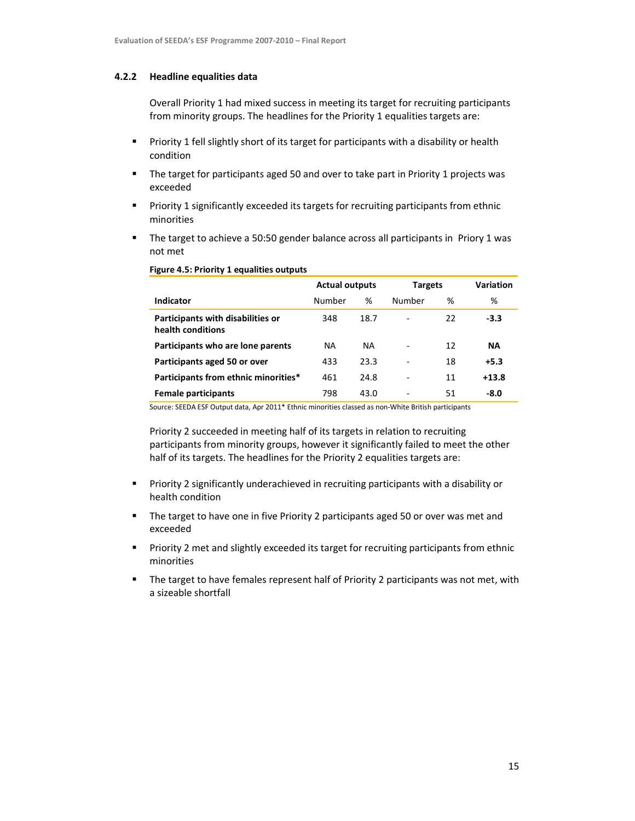### 4.2.2 Headline equalities data

Overall Priority 1 had mixed success in meeting its target for recruiting participants from minority groups. The headlines for the Priority 1 equalities targets are:

- **Priority 1 fell slightly short of its target for participants with a disability or health** condition
- The target for participants aged 50 and over to take part in Priority 1 projects was exceeded
- Priority 1 significantly exceeded its targets for recruiting participants from ethnic minorities
- The target to achieve a 50:50 gender balance across all participants in Priory 1 was not met

|                                                               | <b>Actual outputs</b> |           | <b>Targets</b>               |    | <b>Variation</b> |
|---------------------------------------------------------------|-----------------------|-----------|------------------------------|----|------------------|
| Indicator                                                     | Number                | %         | Number                       | %  | %                |
| <b>Participants with disabilities or</b><br>health conditions | 348                   | 18.7      | $\overline{\phantom{a}}$     | 22 | $-3.3$           |
| Participants who are lone parents                             | <b>NA</b>             | <b>NA</b> | $\qquad \qquad \blacksquare$ | 12 | <b>NA</b>        |
| Participants aged 50 or over                                  | 433                   | 23.3      | $\qquad \qquad \blacksquare$ | 18 | $+5.3$           |
| Participants from ethnic minorities*                          | 461                   | 24.8      | $\qquad \qquad \blacksquare$ | 11 | $+13.8$          |
| Female participants                                           | 798                   | 43.0      | -                            | 51 | $-8.0$           |

### Figure 4.5: Priority 1 equalities outputs

Source: SEEDA ESF Output data, Apr 2011\* Ethnic minorities classed as non-White British participants

Priority 2 succeeded in meeting half of its targets in relation to recruiting participants from minority groups, however it significantly failed to meet the other half of its targets. The headlines for the Priority 2 equalities targets are:

- **Priority 2 significantly underachieved in recruiting participants with a disability or** health condition
- **The target to have one in five Priority 2 participants aged 50 or over was met and** exceeded
- **Priority 2 met and slightly exceeded its target for recruiting participants from ethnic** minorities
- The target to have females represent half of Priority 2 participants was not met, with a sizeable shortfall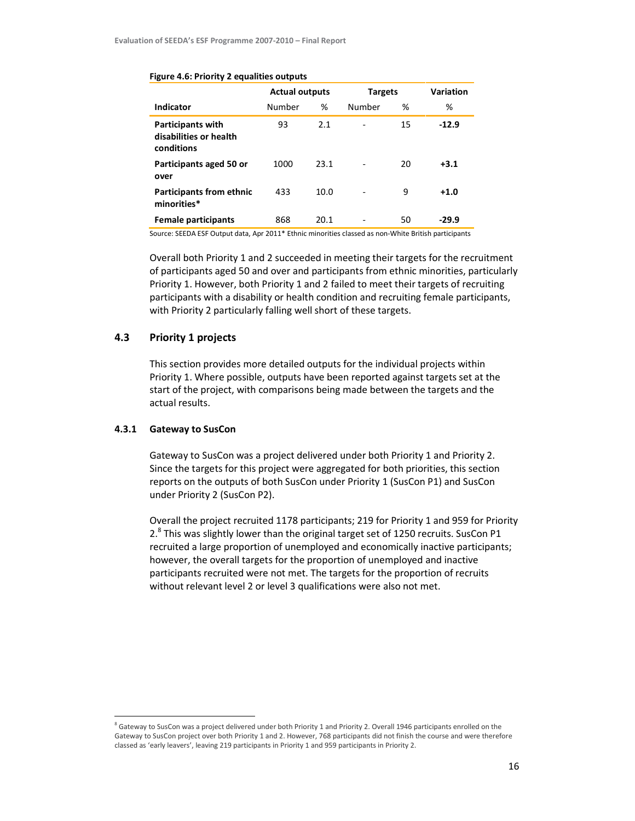|                                                                  | <b>Actual outputs</b> |      | <b>Targets</b> | Variation |         |
|------------------------------------------------------------------|-----------------------|------|----------------|-----------|---------|
| Indicator                                                        | Number                | %    | Number         | %         | %       |
| <b>Participants with</b><br>disabilities or health<br>conditions | 93                    | 2.1  |                | 15        | $-12.9$ |
| Participants aged 50 or<br>over                                  | 1000                  | 23.1 |                | 20        | $+3.1$  |
| <b>Participants from ethnic</b><br>minorities*                   | 433                   | 10.0 |                | 9         | $+1.0$  |
| <b>Female participants</b>                                       | 868                   | 20.1 |                | 50        | -29.9   |

### Figure 4.6: Priority 2 equalities outputs

Source: SEEDA ESF Output data, Apr 2011\* Ethnic minorities classed as non-White British participants

Overall both Priority 1 and 2 succeeded in meeting their targets for the recruitment of participants aged 50 and over and participants from ethnic minorities, particularly Priority 1. However, both Priority 1 and 2 failed to meet their targets of recruiting participants with a disability or health condition and recruiting female participants, with Priority 2 particularly falling well short of these targets.

# 4.3 Priority 1 projects

This section provides more detailed outputs for the individual projects within Priority 1. Where possible, outputs have been reported against targets set at the start of the project, with comparisons being made between the targets and the actual results.

### 4.3.1 Gateway to SusCon

l,

Gateway to SusCon was a project delivered under both Priority 1 and Priority 2. Since the targets for this project were aggregated for both priorities, this section reports on the outputs of both SusCon under Priority 1 (SusCon P1) and SusCon under Priority 2 (SusCon P2).

Overall the project recruited 1178 participants; 219 for Priority 1 and 959 for Priority 2.<sup>8</sup> This was slightly lower than the original target set of 1250 recruits. SusCon P1 recruited a large proportion of unemployed and economically inactive participants; however, the overall targets for the proportion of unemployed and inactive participants recruited were not met. The targets for the proportion of recruits without relevant level 2 or level 3 qualifications were also not met.

<sup>&</sup>lt;sup>8</sup> Gateway to SusCon was a project delivered under both Priority 1 and Priority 2. Overall 1946 participants enrolled on the Gateway to SusCon project over both Priority 1 and 2. However, 768 participants did not finish the course and were therefore classed as 'early leavers', leaving 219 participants in Priority 1 and 959 participants in Priority 2.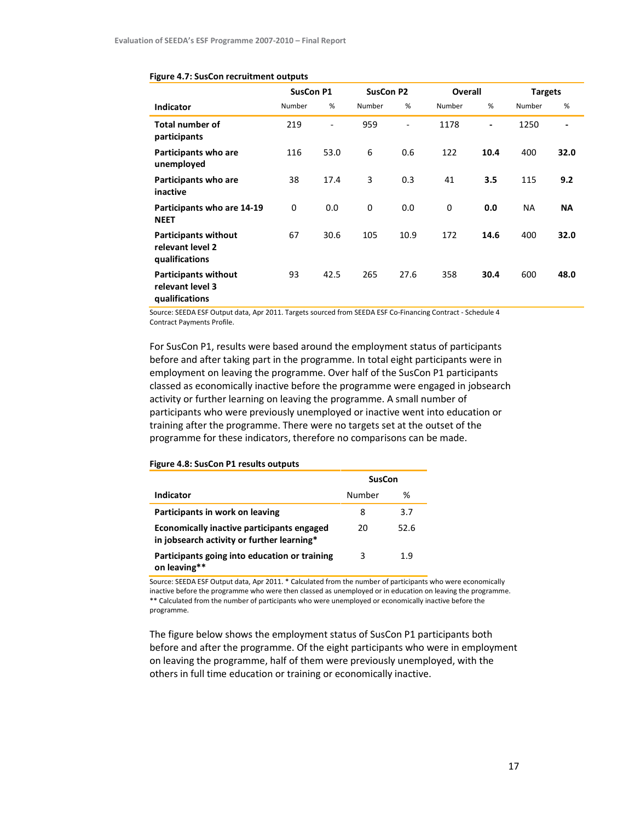|                                                                   | <b>SusCon P1</b> |                | <b>SusCon P2</b> |      | Overall     |                          | <b>Targets</b> |                              |
|-------------------------------------------------------------------|------------------|----------------|------------------|------|-------------|--------------------------|----------------|------------------------------|
| Indicator                                                         | Number           | %              | Number           | %    | Number      | %                        | Number         | %                            |
| <b>Total number of</b><br>participants                            | 219              | $\blacksquare$ | 959              |      | 1178        | $\overline{\phantom{a}}$ | 1250           | $\qquad \qquad \blacksquare$ |
| Participants who are<br>unemployed                                | 116              | 53.0           | 6                | 0.6  | 122         | 10.4                     | 400            | 32.0                         |
| Participants who are<br>inactive                                  | 38               | 17.4           | 3                | 0.3  | 41          | 3.5                      | 115            | 9.2                          |
| Participants who are 14-19<br><b>NEET</b>                         | 0                | 0.0            | 0                | 0.0  | $\mathbf 0$ | 0.0                      | <b>NA</b>      | <b>NA</b>                    |
| <b>Participants without</b><br>relevant level 2<br>qualifications | 67               | 30.6           | 105              | 10.9 | 172         | 14.6                     | 400            | 32.0                         |
| <b>Participants without</b><br>relevant level 3<br>qualifications | 93               | 42.5           | 265              | 27.6 | 358         | 30.4                     | 600            | 48.0                         |

#### Figure 4.7: SusCon recruitment outputs

Source: SEEDA ESF Output data, Apr 2011. Targets sourced from SEEDA ESF Co-Financing Contract - Schedule 4 Contract Payments Profile.

For SusCon P1, results were based around the employment status of participants before and after taking part in the programme. In total eight participants were in employment on leaving the programme. Over half of the SusCon P1 participants classed as economically inactive before the programme were engaged in jobsearch activity or further learning on leaving the programme. A small number of participants who were previously unemployed or inactive went into education or training after the programme. There were no targets set at the outset of the programme for these indicators, therefore no comparisons can be made.

|                                                                                          | <b>SusCon</b> |      |  |
|------------------------------------------------------------------------------------------|---------------|------|--|
| Indicator                                                                                | Number        | ℅    |  |
| Participants in work on leaving                                                          | 8             | 3.7  |  |
| Economically inactive participants engaged<br>in jobsearch activity or further learning* | 20            | 52.6 |  |
| Participants going into education or training<br>on leaving**                            | 3             | 1.9  |  |

#### Figure 4.8: SusCon P1 results outputs

Source: SEEDA ESF Output data, Apr 2011. \* Calculated from the number of participants who were economically inactive before the programme who were then classed as unemployed or in education on leaving the programme. \*\* Calculated from the number of participants who were unemployed or economically inactive before the programme.

The figure below shows the employment status of SusCon P1 participants both before and after the programme. Of the eight participants who were in employment on leaving the programme, half of them were previously unemployed, with the others in full time education or training or economically inactive.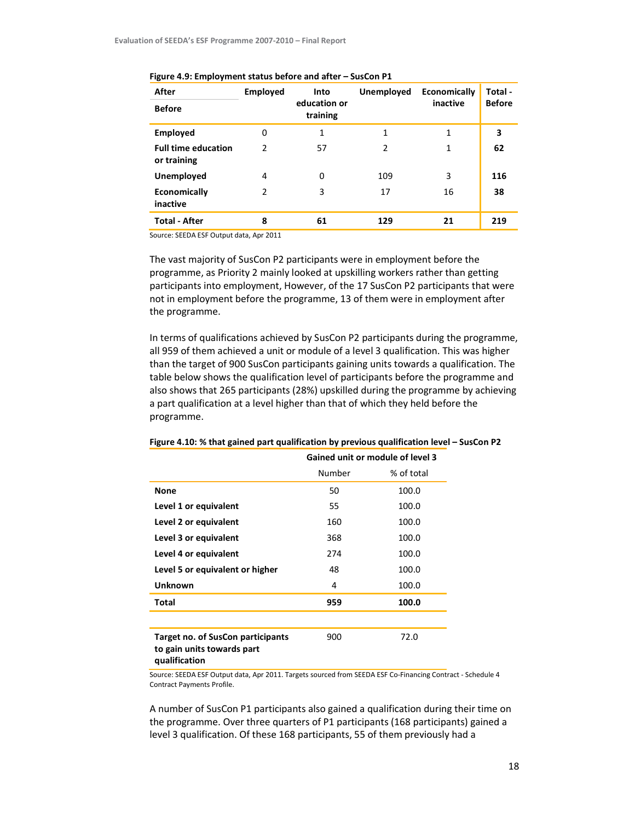| After                                     | <b>Employed</b> | Into                     | <b>Unemployed</b> | Economically | Total -       |  |
|-------------------------------------------|-----------------|--------------------------|-------------------|--------------|---------------|--|
| <b>Before</b>                             |                 | education or<br>training |                   | inactive     | <b>Before</b> |  |
| <b>Employed</b>                           | 0               | 1                        | 1                 | 1            | 3             |  |
| <b>Full time education</b><br>or training | $\mathcal{P}$   | 57                       | $\overline{2}$    | 1            | 62            |  |
| Unemployed                                | 4               | 0                        | 109               | 3            | 116           |  |
| Economically<br>inactive                  | 2               | 3                        | 17                | 16           | 38            |  |
| <b>Total - After</b>                      | 8               | 61                       | 129               | 21           | 219           |  |

#### Figure 4.9: Employment status before and after – SusCon P1

Source: SEEDA ESF Output data, Apr 2011

The vast majority of SusCon P2 participants were in employment before the programme, as Priority 2 mainly looked at upskilling workers rather than getting participants into employment, However, of the 17 SusCon P2 participants that were not in employment before the programme, 13 of them were in employment after the programme.

In terms of qualifications achieved by SusCon P2 participants during the programme, all 959 of them achieved a unit or module of a level 3 qualification. This was higher than the target of 900 SusCon participants gaining units towards a qualification. The table below shows the qualification level of participants before the programme and also shows that 265 participants (28%) upskilled during the programme by achieving a part qualification at a level higher than that of which they held before the programme.

|                                                                                         | Gained unit or module of level 3 |            |  |  |
|-----------------------------------------------------------------------------------------|----------------------------------|------------|--|--|
|                                                                                         | Number                           | % of total |  |  |
| <b>None</b>                                                                             | 50                               | 100.0      |  |  |
| Level 1 or equivalent                                                                   | 55                               | 100.0      |  |  |
| Level 2 or equivalent                                                                   | 160                              | 100.0      |  |  |
| Level 3 or equivalent                                                                   | 368                              | 100.0      |  |  |
| Level 4 or equivalent                                                                   | 274                              | 100.0      |  |  |
| Level 5 or equivalent or higher                                                         | 48                               | 100.0      |  |  |
| <b>Unknown</b>                                                                          | 4                                | 100.0      |  |  |
| <b>Total</b>                                                                            | 959                              | 100.0      |  |  |
|                                                                                         |                                  |            |  |  |
| <b>Target no. of SusCon participants</b><br>to gain units towards part<br>qualification | 900                              | 72.0       |  |  |

#### Figure 4.10: % that gained part qualification by previous qualification level – SusCon P2

Source: SEEDA ESF Output data, Apr 2011. Targets sourced from SEEDA ESF Co-Financing Contract - Schedule 4 Contract Payments Profile.

A number of SusCon P1 participants also gained a qualification during their time on the programme. Over three quarters of P1 participants (168 participants) gained a level 3 qualification. Of these 168 participants, 55 of them previously had a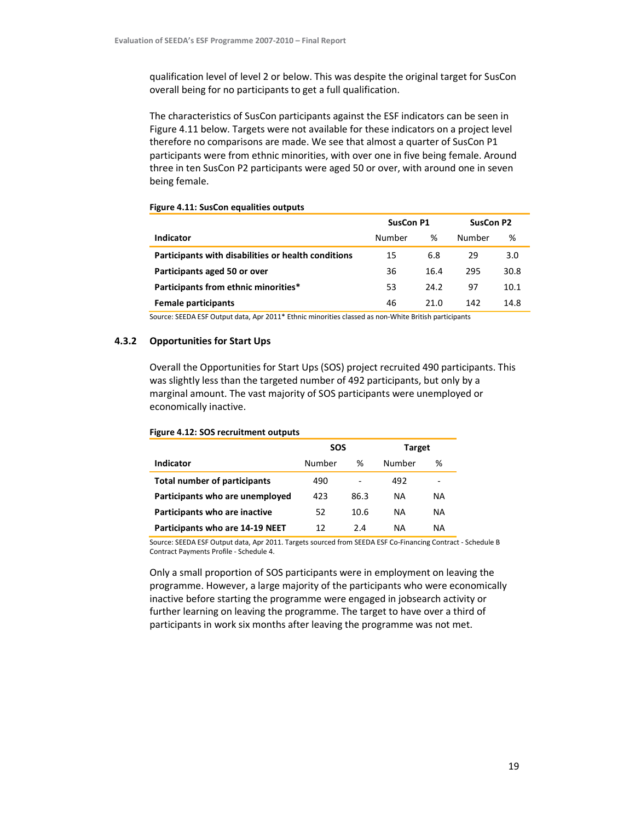qualification level of level 2 or below. This was despite the original target for SusCon overall being for no participants to get a full qualification.

The characteristics of SusCon participants against the ESF indicators can be seen in Figure 4.11 below. Targets were not available for these indicators on a project level therefore no comparisons are made. We see that almost a quarter of SusCon P1 participants were from ethnic minorities, with over one in five being female. Around three in ten SusCon P2 participants were aged 50 or over, with around one in seven being female.

|                                                     | <b>SusCon P1</b> |      | SusCon P2 |      |
|-----------------------------------------------------|------------------|------|-----------|------|
| Indicator                                           | Number           | %    | Number    | %    |
| Participants with disabilities or health conditions | 15               | 6.8  | 29        | 3.0  |
| Participants aged 50 or over                        | 36               | 16.4 | 295       | 30.8 |
| Participants from ethnic minorities*                | 53               | 24.2 | 97        | 10.1 |
| <b>Female participants</b>                          | 46               | 21.0 | 142       | 14.8 |

### Figure 4.11: SusCon equalities outputs

Source: SEEDA ESF Output data, Apr 2011\* Ethnic minorities classed as non-White British participants

### 4.3.2 Opportunities for Start Ups

Overall the Opportunities for Start Ups (SOS) project recruited 490 participants. This was slightly less than the targeted number of 492 participants, but only by a marginal amount. The vast majority of SOS participants were unemployed or economically inactive.

|                                     | SOS    |      | Target |    |
|-------------------------------------|--------|------|--------|----|
| <b>Indicator</b>                    | Number | ℅    | Number | %  |
| <b>Total number of participants</b> | 490    | ٠    | 492    | -  |
| Participants who are unemployed     | 423    | 86.3 | NA     | ΝA |
| Participants who are inactive       | 52     | 10.6 | NA     | ΝA |
| Participants who are 14-19 NEET     | 12     | 2.4  | ΝA     | ΝA |

### Figure 4.12: SOS recruitment outputs

Source: SEEDA ESF Output data, Apr 2011. Targets sourced from SEEDA ESF Co-Financing Contract - Schedule B Contract Payments Profile - Schedule 4.

Only a small proportion of SOS participants were in employment on leaving the programme. However, a large majority of the participants who were economically inactive before starting the programme were engaged in jobsearch activity or further learning on leaving the programme. The target to have over a third of participants in work six months after leaving the programme was not met.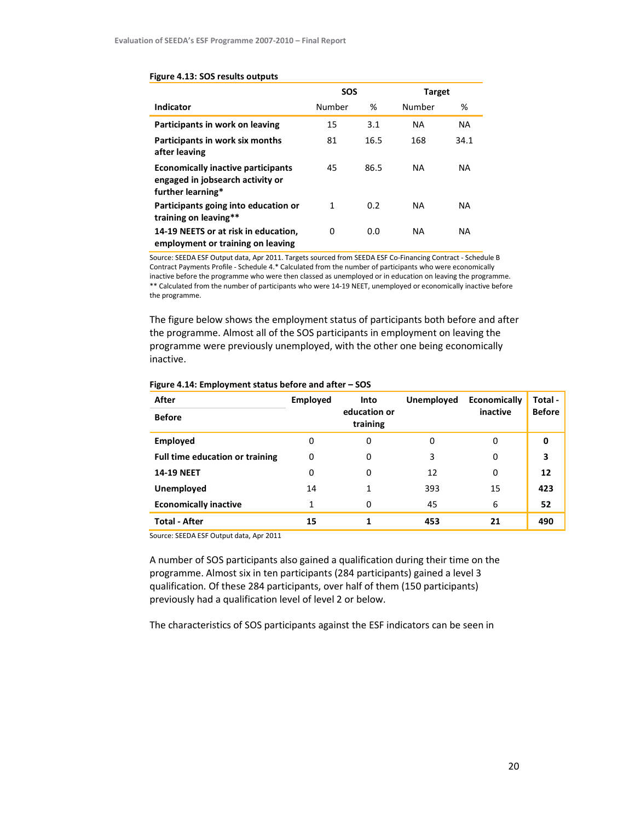|                                                                                                    | <b>SOS</b> |      | <b>Target</b> |           |
|----------------------------------------------------------------------------------------------------|------------|------|---------------|-----------|
| Indicator                                                                                          | Number     | %    | Number        | %         |
| Participants in work on leaving                                                                    | 15         | 3.1  | <b>NA</b>     | <b>NA</b> |
| Participants in work six months<br>after leaving                                                   | 81         | 16.5 | 168           | 34.1      |
| <b>Economically inactive participants</b><br>engaged in jobsearch activity or<br>further learning* | 45         | 86.5 | <b>NA</b>     | <b>NA</b> |
| Participants going into education or<br>training on leaving**                                      | 1          | 0.2  | <b>NA</b>     | <b>NA</b> |
| 14-19 NEETS or at risk in education,<br>employment or training on leaving                          | 0          | 0.0  | NA            | <b>NA</b> |

#### Figure 4.13: SOS results outputs

Source: SEEDA ESF Output data, Apr 2011. Targets sourced from SEEDA ESF Co-Financing Contract - Schedule B Contract Payments Profile - Schedule 4.\* Calculated from the number of participants who were economically inactive before the programme who were then classed as unemployed or in education on leaving the programme. \*\* Calculated from the number of participants who were 14-19 NEET, unemployed or economically inactive before the programme.

The figure below shows the employment status of participants both before and after the programme. Almost all of the SOS participants in employment on leaving the programme were previously unemployed, with the other one being economically inactive.

| <b>Before</b><br>training<br><b>Employed</b><br>0<br>0<br>0<br>0<br>0<br>Full time education or training<br>3<br>3<br>0<br>0<br>0<br><b>14-19 NEET</b><br>12<br>12<br>0<br>0<br>0<br>Unemployed<br>393<br>423<br>14<br>15<br><b>Economically inactive</b><br>6<br>45<br>52<br>0 | After | <b>Employed</b> | Into         | Unemployed | Economically | Total -       |
|---------------------------------------------------------------------------------------------------------------------------------------------------------------------------------------------------------------------------------------------------------------------------------|-------|-----------------|--------------|------------|--------------|---------------|
|                                                                                                                                                                                                                                                                                 |       |                 | education or |            | inactive     | <b>Before</b> |
|                                                                                                                                                                                                                                                                                 |       |                 |              |            |              |               |
|                                                                                                                                                                                                                                                                                 |       |                 |              |            |              |               |
|                                                                                                                                                                                                                                                                                 |       |                 |              |            |              |               |
|                                                                                                                                                                                                                                                                                 |       |                 |              |            |              |               |
|                                                                                                                                                                                                                                                                                 |       |                 |              |            |              |               |
| <b>Total - After</b><br>490<br>453<br>21<br>15                                                                                                                                                                                                                                  |       |                 |              |            |              |               |

### Figure 4.14: Employment status before and after – SOS

Source: SEEDA ESF Output data, Apr 2011

A number of SOS participants also gained a qualification during their time on the programme. Almost six in ten participants (284 participants) gained a level 3 qualification. Of these 284 participants, over half of them (150 participants) previously had a qualification level of level 2 or below.

The characteristics of SOS participants against the ESF indicators can be seen in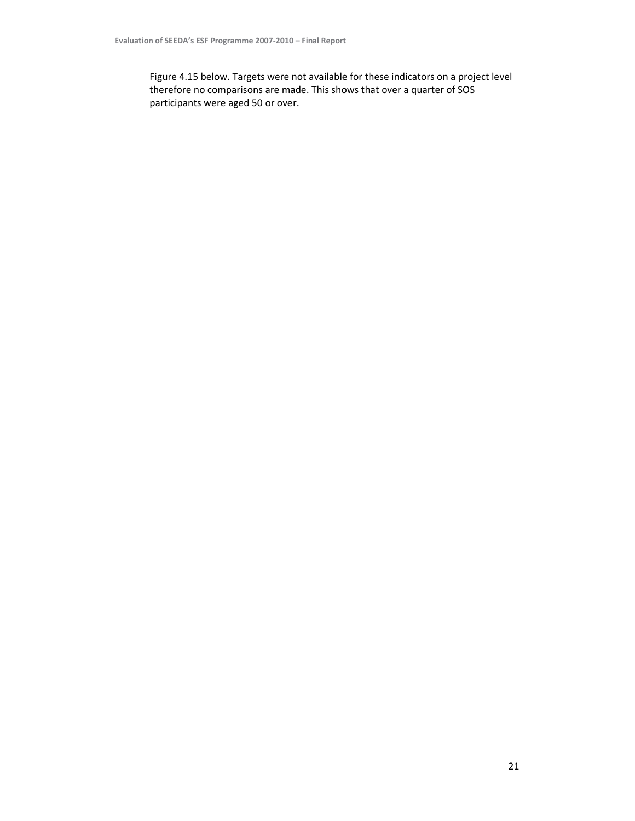Figure 4.15 below. Targets were not available for these indicators on a project level therefore no comparisons are made. This shows that over a quarter of SOS participants were aged 50 or over.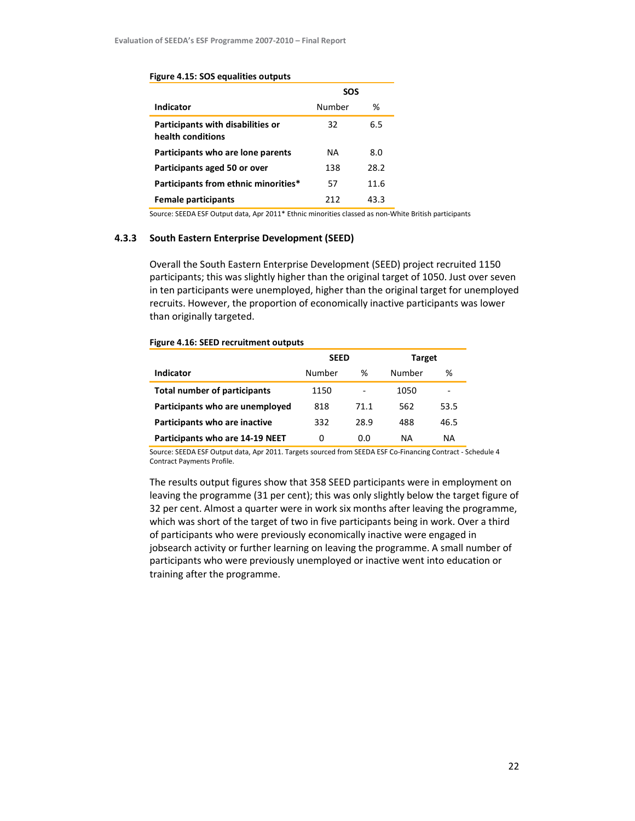#### Figure 4.15: SOS equalities outputs

|                                                        | SOS    |      |
|--------------------------------------------------------|--------|------|
| Indicator                                              | Number | %    |
| Participants with disabilities or<br>health conditions | 32     | 6.5  |
| Participants who are lone parents                      | NA     | 8.0  |
| Participants aged 50 or over                           | 138    | 28.2 |
| Participants from ethnic minorities*                   | 57     | 11.6 |
| <b>Female participants</b>                             | 212    | 43.3 |

Source: SEEDA ESF Output data, Apr 2011\* Ethnic minorities classed as non-White British participants

### 4.3.3 South Eastern Enterprise Development (SEED)

Overall the South Eastern Enterprise Development (SEED) project recruited 1150 participants; this was slightly higher than the original target of 1050. Just over seven in ten participants were unemployed, higher than the original target for unemployed recruits. However, the proportion of economically inactive participants was lower than originally targeted.

### Figure 4.16: SEED recruitment outputs

|                                     | <b>SEED</b> |      | Target |      |
|-------------------------------------|-------------|------|--------|------|
| Indicator                           | Number      | %    | Number | %    |
| <b>Total number of participants</b> | 1150        |      | 1050   | -    |
| Participants who are unemployed     | 818         | 71.1 | 562    | 53.5 |
| Participants who are inactive       | 332         | 28.9 | 488    | 46.5 |
| Participants who are 14-19 NEET     | 0           | 0.0  | ΝA     | ΝA   |

Source: SEEDA ESF Output data, Apr 2011. Targets sourced from SEEDA ESF Co-Financing Contract - Schedule 4 Contract Payments Profile.

The results output figures show that 358 SEED participants were in employment on leaving the programme (31 per cent); this was only slightly below the target figure of 32 per cent. Almost a quarter were in work six months after leaving the programme, which was short of the target of two in five participants being in work. Over a third of participants who were previously economically inactive were engaged in jobsearch activity or further learning on leaving the programme. A small number of participants who were previously unemployed or inactive went into education or training after the programme.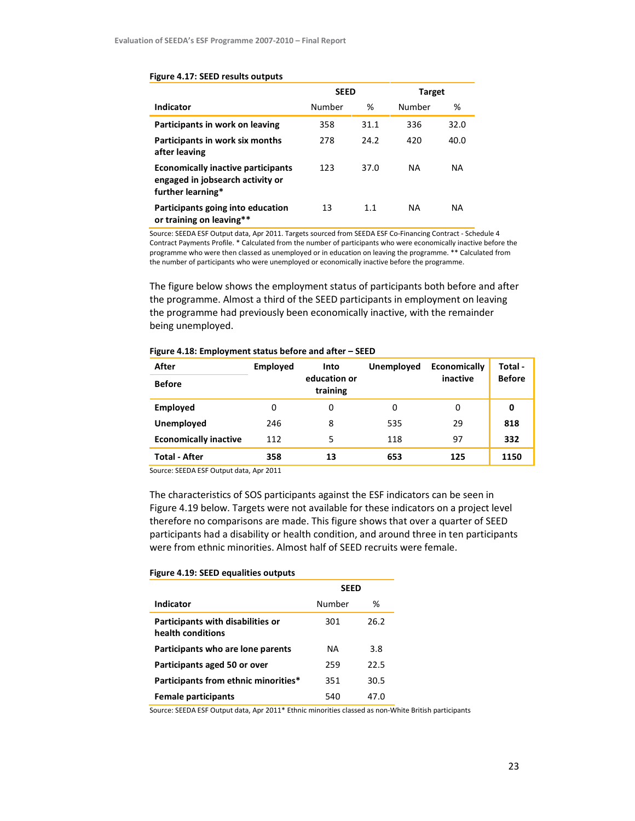|                                                                                                    | <b>SEED</b> |      | Target    |           |
|----------------------------------------------------------------------------------------------------|-------------|------|-----------|-----------|
| Indicator                                                                                          | Number      | ℅    | Number    | %         |
| Participants in work on leaving                                                                    | 358         | 31.1 | 336       | 32.0      |
| Participants in work six months<br>after leaving                                                   | 278         | 24.2 | 420       | 40.0      |
| <b>Economically inactive participants</b><br>engaged in jobsearch activity or<br>further learning* | 123         | 37.0 | <b>NA</b> | <b>NA</b> |
| Participants going into education<br>or training on leaving**                                      | 13          | 1.1  | <b>NA</b> | <b>NA</b> |

#### Figure 4.17: SEED results outputs

Source: SEEDA ESF Output data, Apr 2011. Targets sourced from SEEDA ESF Co-Financing Contract - Schedule 4 Contract Payments Profile. \* Calculated from the number of participants who were economically inactive before the programme who were then classed as unemployed or in education on leaving the programme. \*\* Calculated from the number of participants who were unemployed or economically inactive before the programme.

The figure below shows the employment status of participants both before and after the programme. Almost a third of the SEED participants in employment on leaving the programme had previously been economically inactive, with the remainder being unemployed.

| After                        | <b>Employed</b> | Into                     | Unemployed | Economically | Total -       |
|------------------------------|-----------------|--------------------------|------------|--------------|---------------|
| <b>Before</b>                |                 | education or<br>training |            | inactive     | <b>Before</b> |
| Employed                     | 0               | 0                        | 0          | 0            | 0             |
| Unemployed                   | 246             | 8                        | 535        | 29           | 818           |
| <b>Economically inactive</b> | 112             | 5                        | 118        | 97           | 332           |
| <b>Total - After</b>         | 358             | 13                       | 653        | 125          | 1150          |

### Figure 4.18: Employment status before and after – SEED

Source: SEEDA ESF Output data, Apr 2011

The characteristics of SOS participants against the ESF indicators can be seen in Figure 4.19 below. Targets were not available for these indicators on a project level therefore no comparisons are made. This figure shows that over a quarter of SEED participants had a disability or health condition, and around three in ten participants were from ethnic minorities. Almost half of SEED recruits were female.

### Figure 4.19: SEED equalities outputs

|                                                               | SEED      |      |
|---------------------------------------------------------------|-----------|------|
| Indicator                                                     | Number    | %    |
| <b>Participants with disabilities or</b><br>health conditions | 301       | 26.2 |
| Participants who are lone parents                             | <b>NA</b> | 3.8  |
| Participants aged 50 or over                                  | 259       | 22.5 |
| Participants from ethnic minorities*                          | 351       | 30.5 |
| <b>Female participants</b>                                    | 540       | 47.0 |

Source: SEEDA ESF Output data, Apr 2011\* Ethnic minorities classed as non-White British participants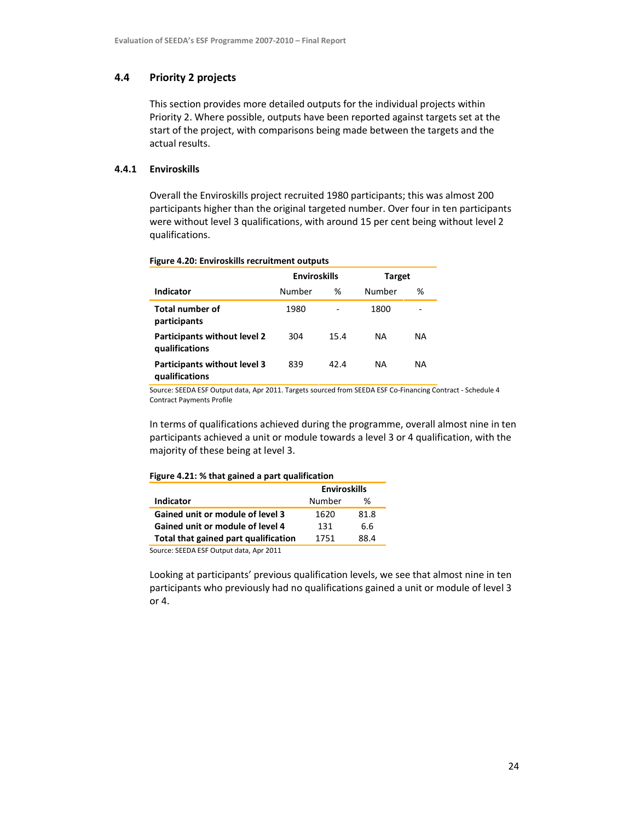## 4.4 Priority 2 projects

This section provides more detailed outputs for the individual projects within Priority 2. Where possible, outputs have been reported against targets set at the start of the project, with comparisons being made between the targets and the actual results.

### 4.4.1 Enviroskills

Overall the Enviroskills project recruited 1980 participants; this was almost 200 participants higher than the original targeted number. Over four in ten participants were without level 3 qualifications, with around 15 per cent being without level 2 qualifications.

|                                                       | <b>Enviroskills</b> |      | Target |     |
|-------------------------------------------------------|---------------------|------|--------|-----|
| Indicator                                             | Number              | ℅    | Number | %   |
| <b>Total number of</b><br>participants                | 1980                |      | 1800   |     |
| Participants without level 2<br>qualifications        | 304                 | 15.4 | NA.    | NA. |
| <b>Participants without level 3</b><br>qualifications | 839                 | 42.4 | NA     | NA. |

### Figure 4.20: Enviroskills recruitment outputs

Source: SEEDA ESF Output data, Apr 2011. Targets sourced from SEEDA ESF Co-Financing Contract - Schedule 4 Contract Payments Profile

In terms of qualifications achieved during the programme, overall almost nine in ten participants achieved a unit or module towards a level 3 or 4 qualification, with the majority of these being at level 3.

### Figure 4.21: % that gained a part qualification

|                                      | <b>Enviroskills</b> |      |
|--------------------------------------|---------------------|------|
| Indicator                            | Number              | ℅    |
| Gained unit or module of level 3     | 1620                | 81.8 |
| Gained unit or module of level 4     | 131                 | 6.6  |
| Total that gained part qualification | 1751                | 88 4 |
|                                      |                     |      |

Source: SEEDA ESF Output data, Apr 2011

Looking at participants' previous qualification levels, we see that almost nine in ten participants who previously had no qualifications gained a unit or module of level 3 or 4.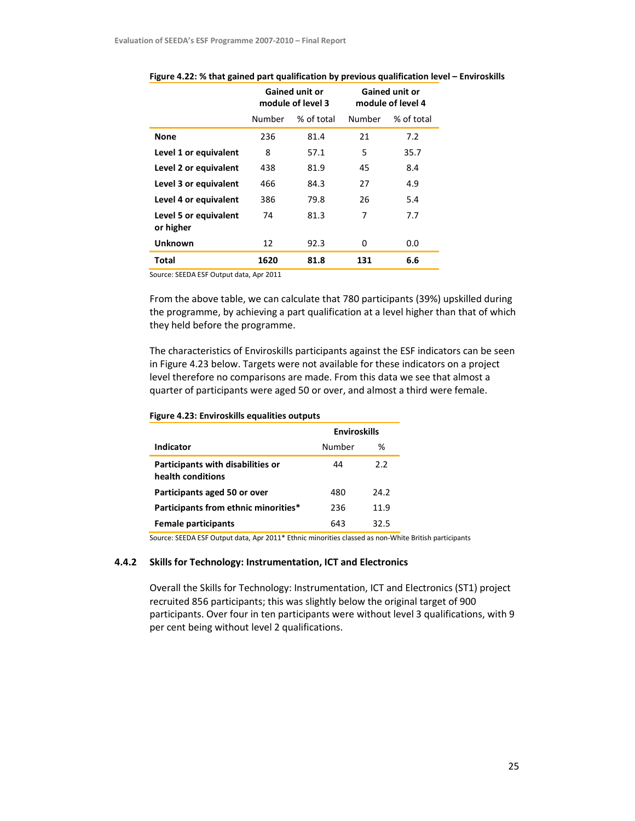|                                    |        | <b>Gained unit or</b><br>module of level 3 |        | <b>Gained unit or</b><br>module of level 4 |
|------------------------------------|--------|--------------------------------------------|--------|--------------------------------------------|
|                                    | Number | % of total                                 | Number | % of total                                 |
| <b>None</b>                        | 236    | 81.4                                       | 21     | 7.2                                        |
| Level 1 or equivalent              | 8      | 57.1                                       | 5      | 35.7                                       |
| Level 2 or equivalent              | 438    | 81.9                                       | 45     | 8.4                                        |
| Level 3 or equivalent              | 466    | 84.3                                       | 27     | 4.9                                        |
| Level 4 or equivalent              | 386    | 79.8                                       | 26     | 5.4                                        |
| Level 5 or equivalent<br>or higher | 74     | 81.3                                       | 7      | 7.7                                        |
| <b>Unknown</b>                     | 12     | 92.3                                       | 0      | 0.0                                        |
| <b>Total</b>                       | 1620   | 81.8                                       | 131    | 6.6                                        |

| Figure 4.22: % that gained part qualification by previous qualification level - Enviroskills |
|----------------------------------------------------------------------------------------------|
|----------------------------------------------------------------------------------------------|

Source: SEEDA ESF Output data, Apr 2011

From the above table, we can calculate that 780 participants (39%) upskilled during the programme, by achieving a part qualification at a level higher than that of which they held before the programme.

The characteristics of Enviroskills participants against the ESF indicators can be seen in Figure 4.23 below. Targets were not available for these indicators on a project level therefore no comparisons are made. From this data we see that almost a quarter of participants were aged 50 or over, and almost a third were female.

|                                                        | <b>Enviroskills</b> |               |  |
|--------------------------------------------------------|---------------------|---------------|--|
| Indicator                                              | Number              | %             |  |
| Participants with disabilities or<br>health conditions | 44                  | $2.2^{\circ}$ |  |
| Participants aged 50 or over                           | 480                 | 24.2          |  |
| Participants from ethnic minorities*                   | 236                 | 11.9          |  |
| <b>Female participants</b>                             | 643                 | 32.5          |  |

Figure 4.23: Enviroskills equalities outputs

Source: SEEDA ESF Output data, Apr 2011\* Ethnic minorities classed as non-White British participants

### 4.4.2 Skills for Technology: Instrumentation, ICT and Electronics

Overall the Skills for Technology: Instrumentation, ICT and Electronics (ST1) project recruited 856 participants; this was slightly below the original target of 900 participants. Over four in ten participants were without level 3 qualifications, with 9 per cent being without level 2 qualifications.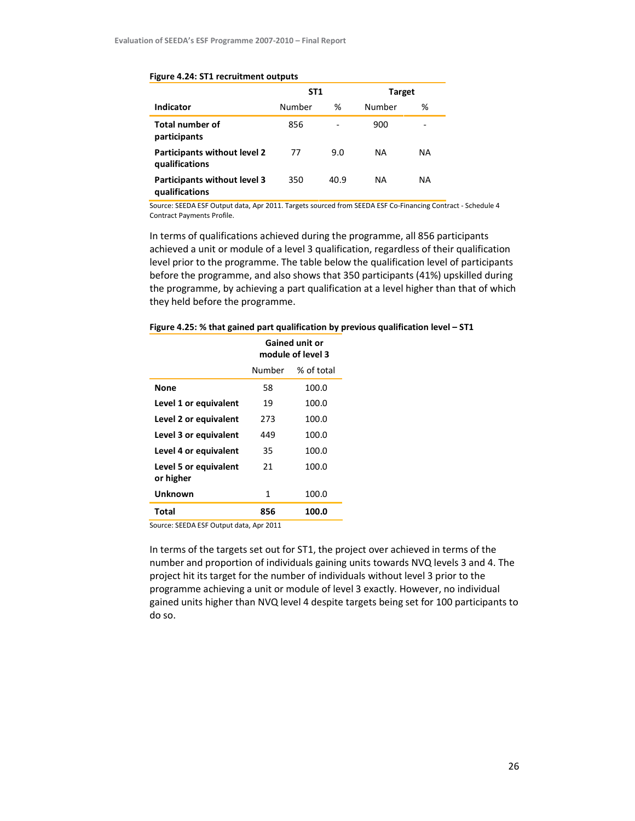#### Figure 4.24: ST1 recruitment outputs

|                                                       | ST <sub>1</sub> |      | Target |           |
|-------------------------------------------------------|-----------------|------|--------|-----------|
| <b>Indicator</b>                                      | Number          | %    | Number | ℅         |
| <b>Total number of</b><br>participants                | 856             | -    | 900    | -         |
| Participants without level 2<br>qualifications        | 77              | 9.0  | NA.    | <b>NA</b> |
| <b>Participants without level 3</b><br>qualifications | 350             | 40.9 | NA.    | <b>NA</b> |

Source: SEEDA ESF Output data, Apr 2011. Targets sourced from SEEDA ESF Co-Financing Contract - Schedule 4 Contract Payments Profile.

In terms of qualifications achieved during the programme, all 856 participants achieved a unit or module of a level 3 qualification, regardless of their qualification level prior to the programme. The table below the qualification level of participants before the programme, and also shows that 350 participants (41%) upskilled during the programme, by achieving a part qualification at a level higher than that of which they held before the programme.

|  |  | Figure 4.25: % that gained part qualification by previous qualification level - ST1 |  |
|--|--|-------------------------------------------------------------------------------------|--|
|--|--|-------------------------------------------------------------------------------------|--|

|                                    | <b>Gained unit or</b><br>module of level 3 |            |  |
|------------------------------------|--------------------------------------------|------------|--|
|                                    | Number                                     | % of total |  |
| None                               | 58                                         | 100.0      |  |
| Level 1 or equivalent              | 19                                         | 100.0      |  |
| Level 2 or equivalent              | 273                                        | 100.0      |  |
| Level 3 or equivalent              | 449                                        | 100.0      |  |
| Level 4 or equivalent              | 35                                         | 100.0      |  |
| Level 5 or equivalent<br>or higher | 21                                         | 100.0      |  |
| Unknown                            | 1                                          | 100.0      |  |
| Total                              | 856                                        | 100.0      |  |
|                                    |                                            |            |  |

Source: SEEDA ESF Output data, Apr 2011

In terms of the targets set out for ST1, the project over achieved in terms of the number and proportion of individuals gaining units towards NVQ levels 3 and 4. The project hit its target for the number of individuals without level 3 prior to the programme achieving a unit or module of level 3 exactly. However, no individual gained units higher than NVQ level 4 despite targets being set for 100 participants to do so.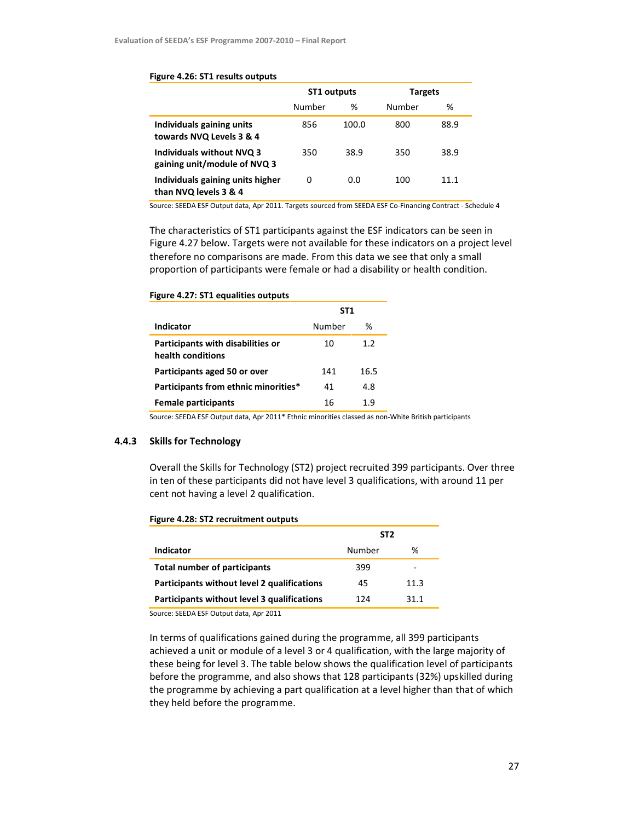|                                                                  | ST1 outputs |       | <b>Targets</b> |      |
|------------------------------------------------------------------|-------------|-------|----------------|------|
|                                                                  | Number      | %     | Number         | %    |
| Individuals gaining units<br>towards NVQ Levels 3 & 4            | 856         | 100.0 | 800            | 88.9 |
| <b>Individuals without NVQ 3</b><br>gaining unit/module of NVQ 3 | 350         | 38.9  | 350            | 38.9 |
| Individuals gaining units higher<br>than NVQ levels 3 & 4        | 0           | 0.0   | 100            | 11.1 |

#### Figure 4.26: ST1 results outputs

Source: SEEDA ESF Output data, Apr 2011. Targets sourced from SEEDA ESF Co-Financing Contract - Schedule 4

The characteristics of ST1 participants against the ESF indicators can be seen in Figure 4.27 below. Targets were not available for these indicators on a project level therefore no comparisons are made. From this data we see that only a small proportion of participants were female or had a disability or health condition.

|                                                        | ST <sub>1</sub> |      |  |
|--------------------------------------------------------|-----------------|------|--|
| Indicator                                              | Number          | ℅    |  |
| Participants with disabilities or<br>health conditions | 10              | 1.2  |  |
| Participants aged 50 or over                           | 141             | 16.5 |  |
| Participants from ethnic minorities*                   | 41              | 4.8  |  |
| <b>Female participants</b>                             | 16              | 1.9  |  |

Figure 4.27: ST1 equalities outputs

Source: SEEDA ESF Output data, Apr 2011\* Ethnic minorities classed as non-White British participants

### 4.4.3 Skills for Technology

Overall the Skills for Technology (ST2) project recruited 399 participants. Over three in ten of these participants did not have level 3 qualifications, with around 11 per cent not having a level 2 qualification.

|  |  | Figure 4.28: ST2 recruitment outputs |  |
|--|--|--------------------------------------|--|
|--|--|--------------------------------------|--|

|                                             | ST <sub>2</sub> |      |  |
|---------------------------------------------|-----------------|------|--|
| Indicator                                   | Number          | %    |  |
| Total number of participants                | 399             | -    |  |
| Participants without level 2 qualifications | 45              | 11.3 |  |
| Participants without level 3 qualifications | 124             | 31.1 |  |
| $\sim$ CEEDA FCE O. t t that a A  2011      |                 |      |  |

Source: SEEDA ESF Output data, Apr 2011

In terms of qualifications gained during the programme, all 399 participants achieved a unit or module of a level 3 or 4 qualification, with the large majority of these being for level 3. The table below shows the qualification level of participants before the programme, and also shows that 128 participants (32%) upskilled during the programme by achieving a part qualification at a level higher than that of which they held before the programme.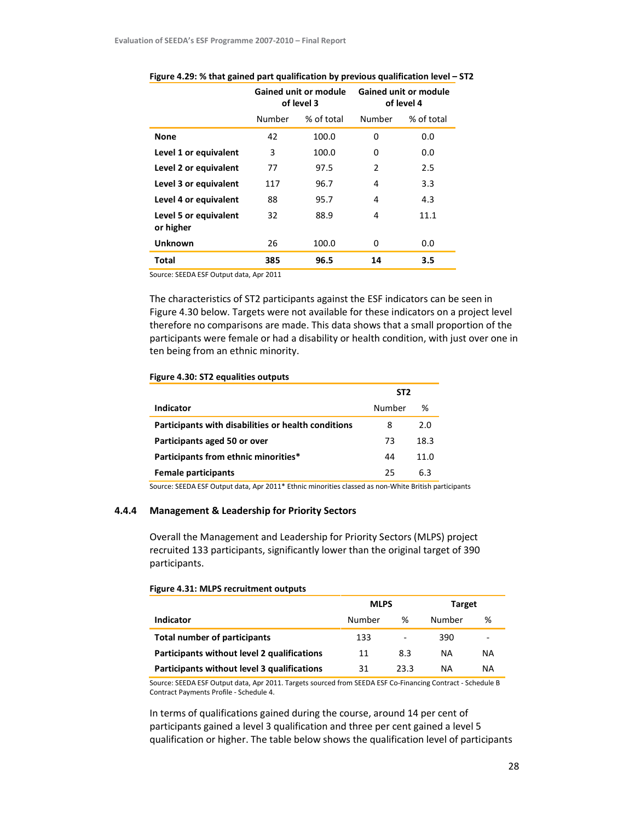|                                    | <b>Gained unit or module</b><br>of level 3 |            |        | <b>Gained unit or module</b><br>of level 4 |
|------------------------------------|--------------------------------------------|------------|--------|--------------------------------------------|
|                                    | Number                                     | % of total | Number | % of total                                 |
| <b>None</b>                        | 42                                         | 100.0      | 0      | 0.0                                        |
| Level 1 or equivalent              | 3                                          | 100.0      | 0      | 0.0                                        |
| Level 2 or equivalent              | 77                                         | 97.5       | 2      | 2.5                                        |
| Level 3 or equivalent              | 117                                        | 96.7       | 4      | 3.3                                        |
| Level 4 or equivalent              | 88                                         | 95.7       | 4      | 4.3                                        |
| Level 5 or equivalent<br>or higher | 32                                         | 88.9       | 4      | 11.1                                       |
| <b>Unknown</b>                     | 26                                         | 100.0      | 0      | 0.0                                        |
| <b>Total</b>                       | 385                                        | 96.5       | 14     | 3.5                                        |

#### Figure 4.29: % that gained part qualification by previous qualification level – ST2

Source: SEEDA ESF Output data, Apr 2011

The characteristics of ST2 participants against the ESF indicators can be seen in Figure 4.30 below. Targets were not available for these indicators on a project level therefore no comparisons are made. This data shows that a small proportion of the participants were female or had a disability or health condition, with just over one in ten being from an ethnic minority.

### Figure 4.30: ST2 equalities outputs

|                                                     | ST <sub>2</sub> |      |
|-----------------------------------------------------|-----------------|------|
| Indicator                                           | Number          | %    |
| Participants with disabilities or health conditions | 8               | 2 O  |
| Participants aged 50 or over                        | 73              | 18.3 |
| Participants from ethnic minorities*                | 44              | 11.0 |
| <b>Female participants</b>                          | 25              | 6.3  |

Source: SEEDA ESF Output data, Apr 2011\* Ethnic minorities classed as non-White British participants

### 4.4.4 Management & Leadership for Priority Sectors

Overall the Management and Leadership for Priority Sectors (MLPS) project recruited 133 participants, significantly lower than the original target of 390 participants.

### Figure 4.31: MLPS recruitment outputs

|                                             | <b>MLPS</b> |      | <b>Target</b> |           |
|---------------------------------------------|-------------|------|---------------|-----------|
| Indicator                                   | Number      | ℅    | Number        | %         |
| <b>Total number of participants</b>         | 133         | ٠    | 390           |           |
| Participants without level 2 qualifications | 11          | 8.3  | ΝA            | <b>NA</b> |
| Participants without level 3 qualifications | 31          | 23.3 | ΝA            | NA        |

Source: SEEDA ESF Output data, Apr 2011. Targets sourced from SEEDA ESF Co-Financing Contract - Schedule B Contract Payments Profile - Schedule 4.

In terms of qualifications gained during the course, around 14 per cent of participants gained a level 3 qualification and three per cent gained a level 5 qualification or higher. The table below shows the qualification level of participants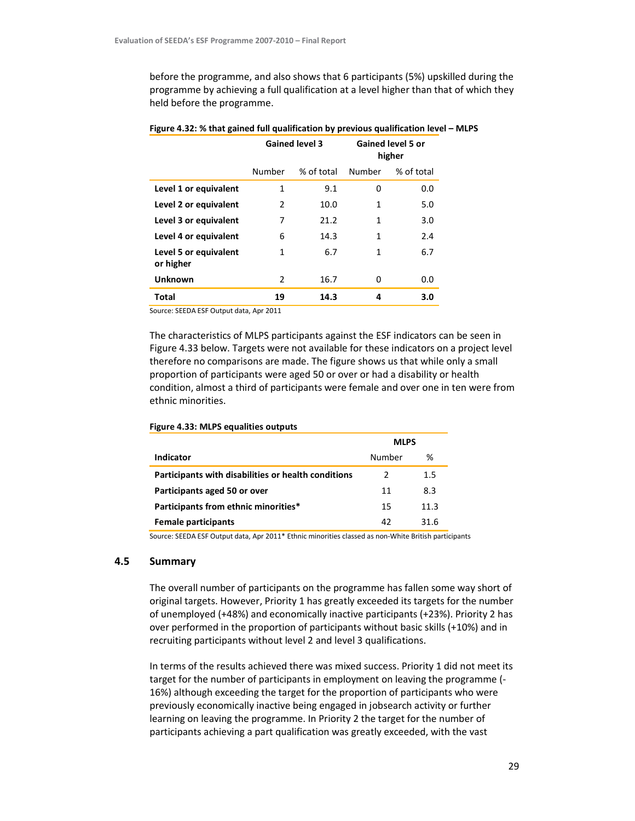before the programme, and also shows that 6 participants (5%) upskilled during the programme by achieving a full qualification at a level higher than that of which they held before the programme.

|                                    | <b>Gained level 3</b> |            |        | <b>Gained level 5 or</b><br>higher |
|------------------------------------|-----------------------|------------|--------|------------------------------------|
|                                    | Number                | % of total | Number | % of total                         |
| Level 1 or equivalent              | 1                     | 9.1        | 0      | 0.0                                |
| Level 2 or equivalent              | 2                     | 10.0       | 1      | 5.0                                |
| Level 3 or equivalent              | 7                     | 21.2       | 1      | 3.0                                |
| Level 4 or equivalent              | 6                     | 14.3       | 1      | 2.4                                |
| Level 5 or equivalent<br>or higher | 1                     | 6.7        | 1      | 6.7                                |
| <b>Unknown</b>                     | 2                     | 16.7       | 0      | 0.0                                |
| <b>Total</b>                       | 19                    | 14.3       | 4      | 3.0                                |

### Figure 4.32: % that gained full qualification by previous qualification level – MLPS

Source: SEEDA ESF Output data, Apr 2011

The characteristics of MLPS participants against the ESF indicators can be seen in Figure 4.33 below. Targets were not available for these indicators on a project level therefore no comparisons are made. The figure shows us that while only a small proportion of participants were aged 50 or over or had a disability or health condition, almost a third of participants were female and over one in ten were from ethnic minorities.

|                                                     | <b>MLPS</b> |         |
|-----------------------------------------------------|-------------|---------|
| Indicator                                           | Number      | ℅       |
| Participants with disabilities or health conditions | 2           | $1.5\,$ |
| Participants aged 50 or over                        | 11          | 8.3     |
| Participants from ethnic minorities*                | 15          | 11.3    |
| <b>Female participants</b>                          | 42          | 31 R    |

### Figure 4.33: MLPS equalities outputs

Source: SEEDA ESF Output data, Apr 2011\* Ethnic minorities classed as non-White British participants

# 4.5 Summary

The overall number of participants on the programme has fallen some way short of original targets. However, Priority 1 has greatly exceeded its targets for the number of unemployed (+48%) and economically inactive participants (+23%). Priority 2 has over performed in the proportion of participants without basic skills (+10%) and in recruiting participants without level 2 and level 3 qualifications.

In terms of the results achieved there was mixed success. Priority 1 did not meet its target for the number of participants in employment on leaving the programme (- 16%) although exceeding the target for the proportion of participants who were previously economically inactive being engaged in jobsearch activity or further learning on leaving the programme. In Priority 2 the target for the number of participants achieving a part qualification was greatly exceeded, with the vast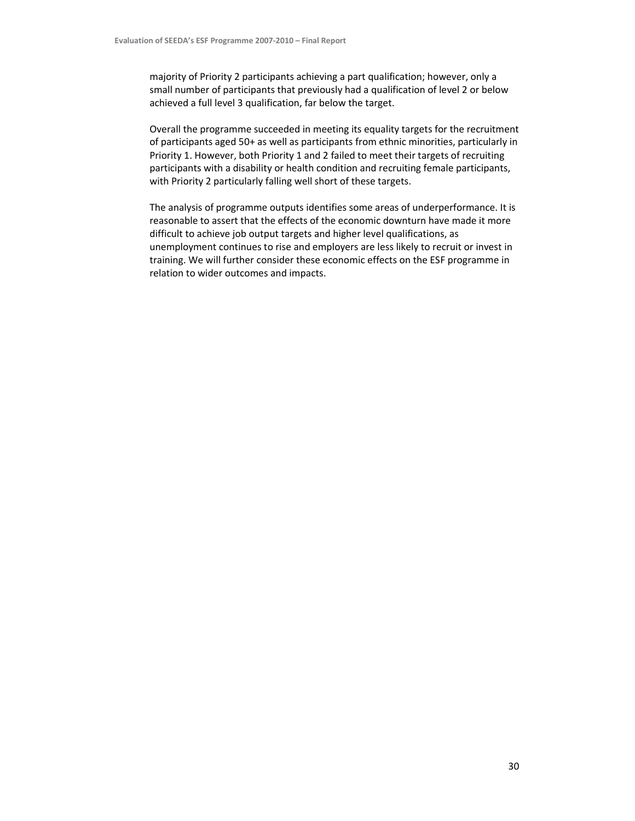majority of Priority 2 participants achieving a part qualification; however, only a small number of participants that previously had a qualification of level 2 or below achieved a full level 3 qualification, far below the target.

Overall the programme succeeded in meeting its equality targets for the recruitment of participants aged 50+ as well as participants from ethnic minorities, particularly in Priority 1. However, both Priority 1 and 2 failed to meet their targets of recruiting participants with a disability or health condition and recruiting female participants, with Priority 2 particularly falling well short of these targets.

The analysis of programme outputs identifies some areas of underperformance. It is reasonable to assert that the effects of the economic downturn have made it more difficult to achieve job output targets and higher level qualifications, as unemployment continues to rise and employers are less likely to recruit or invest in training. We will further consider these economic effects on the ESF programme in relation to wider outcomes and impacts.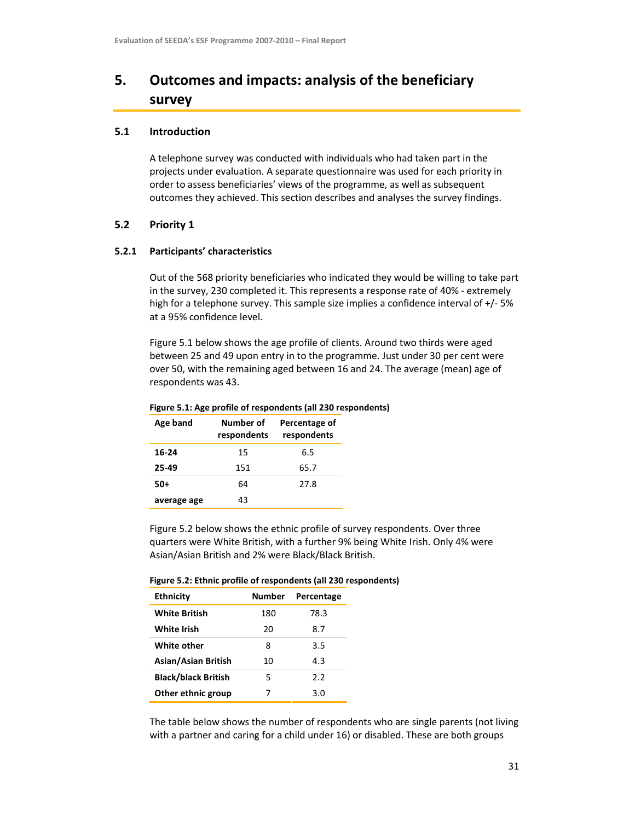# 5. Outcomes and impacts: analysis of the beneficiary survey

# 5.1 Introduction

A telephone survey was conducted with individuals who had taken part in the projects under evaluation. A separate questionnaire was used for each priority in order to assess beneficiaries' views of the programme, as well as subsequent outcomes they achieved. This section describes and analyses the survey findings.

# 5.2 Priority 1

# 5.2.1 Participants' characteristics

Out of the 568 priority beneficiaries who indicated they would be willing to take part in the survey, 230 completed it. This represents a response rate of 40% - extremely high for a telephone survey. This sample size implies a confidence interval of +/- 5% at a 95% confidence level.

Figure 5.1 below shows the age profile of clients. Around two thirds were aged between 25 and 49 upon entry in to the programme. Just under 30 per cent were over 50, with the remaining aged between 16 and 24. The average (mean) age of respondents was 43.

| Figure 5.1. Age profile or respondents (all 250 respo |                          |                              |  |  |
|-------------------------------------------------------|--------------------------|------------------------------|--|--|
| Age band                                              | Number of<br>respondents | Percentage of<br>respondents |  |  |
| 16-24                                                 | 15                       | 6.5                          |  |  |
| 25-49                                                 | 151                      | 65.7                         |  |  |
| $50+$                                                 | 64                       | 27.8                         |  |  |
| average age                                           | 43                       |                              |  |  |

# Figure 5.1: Age profile of respondents (all 230 respondents)

Figure 5.2 below shows the ethnic profile of survey respondents. Over three quarters were White British, with a further 9% being White Irish. Only 4% were Asian/Asian British and 2% were Black/Black British.

|  | Figure 5.2: Ethnic profile of respondents (all 230 respondents) |  |
|--|-----------------------------------------------------------------|--|
|  |                                                                 |  |

| <b>Ethnicity</b>           | Number | Percentage |
|----------------------------|--------|------------|
| <b>White British</b>       | 180    | 78.3       |
| White Irish                | 20     | 8.7        |
| White other                | 8      | 3.5        |
| Asian/Asian British        | 10     | 4.3        |
| <b>Black/black British</b> | 5      | 2.2        |
| Other ethnic group         | 7      | 3.0        |

The table below shows the number of respondents who are single parents (not living with a partner and caring for a child under 16) or disabled. These are both groups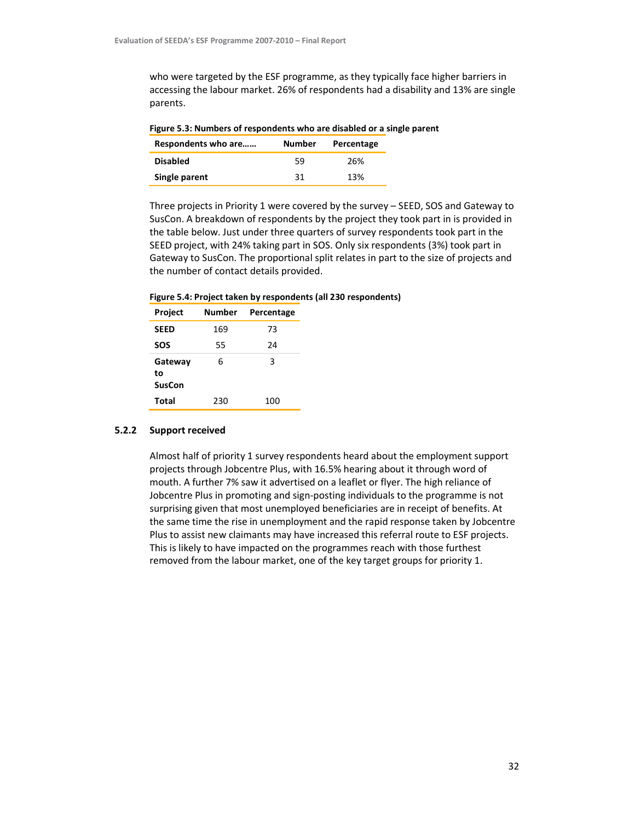who were targeted by the ESF programme, as they typically face higher barriers in accessing the labour market. 26% of respondents had a disability and 13% are single parents.

| Figure 5.3: Numbers of respondents who are disabled or a single parent |        |            |  |  |
|------------------------------------------------------------------------|--------|------------|--|--|
| Respondents who are                                                    | Number | Percentage |  |  |
| <b>Disabled</b>                                                        | 59     | 26%        |  |  |
| Single parent                                                          | 31     | 13%        |  |  |

Three projects in Priority 1 were covered by the survey – SEED, SOS and Gateway to SusCon. A breakdown of respondents by the project they took part in is provided in the table below. Just under three quarters of survey respondents took part in the SEED project, with 24% taking part in SOS. Only six respondents (3%) took part in Gateway to SusCon. The proportional split relates in part to the size of projects and the number of contact details provided.

Figure 5.4: Project taken by respondents (all 230 respondents)

| Project                 | Number | Percentage |
|-------------------------|--------|------------|
| <b>SEED</b>             | 169    | 73         |
| SOS                     | 55     | 24         |
| Gateway<br>to<br>SusCon | 6      | 3          |
| <b>Total</b>            | 230    | 100        |

### 5.2.2 Support received

Almost half of priority 1 survey respondents heard about the employment support projects through Jobcentre Plus, with 16.5% hearing about it through word of mouth. A further 7% saw it advertised on a leaflet or flyer. The high reliance of Jobcentre Plus in promoting and sign-posting individuals to the programme is not surprising given that most unemployed beneficiaries are in receipt of benefits. At the same time the rise in unemployment and the rapid response taken by Jobcentre Plus to assist new claimants may have increased this referral route to ESF projects. This is likely to have impacted on the programmes reach with those furthest removed from the labour market, one of the key target groups for priority 1.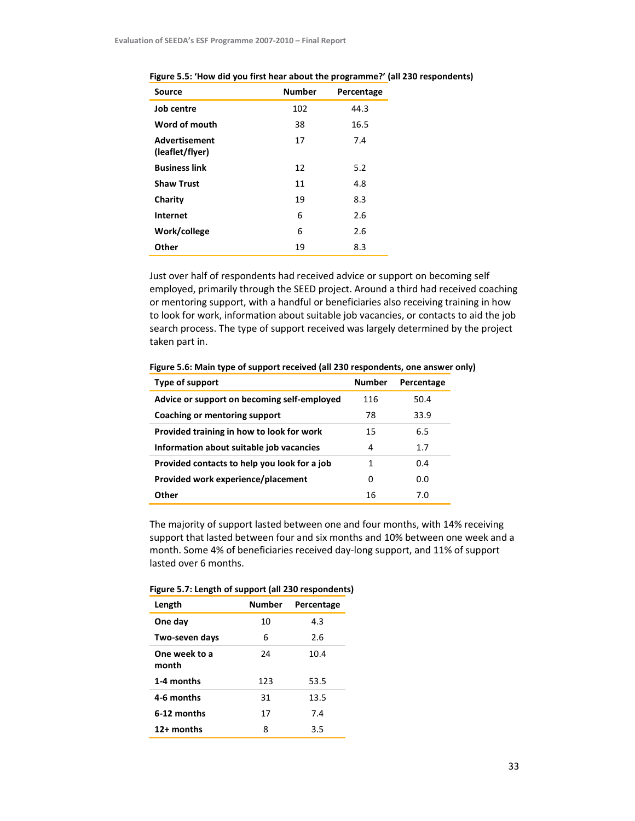| <b>Source</b>                           | <b>Number</b> | Percentage |
|-----------------------------------------|---------------|------------|
| Job centre                              | 102           | 44.3       |
| Word of mouth                           | 38            | 16.5       |
| <b>Advertisement</b><br>(leaflet/flyer) | 17            | 7.4        |
| <b>Business link</b>                    | 12            | 5.2        |
| <b>Shaw Trust</b>                       | 11            | 4.8        |
| Charity                                 | 19            | 8.3        |
| <b>Internet</b>                         | 6             | 2.6        |
| Work/college                            | 6             | 2.6        |
| Other                                   | 19            | 8.3        |

Figure 5.5: 'How did you first hear about the programme?' (all 230 respondents)

Just over half of respondents had received advice or support on becoming self employed, primarily through the SEED project. Around a third had received coaching or mentoring support, with a handful or beneficiaries also receiving training in how to look for work, information about suitable job vacancies, or contacts to aid the job search process. The type of support received was largely determined by the project taken part in.

| Type of support                              | <b>Number</b> | Percentage |
|----------------------------------------------|---------------|------------|
| Advice or support on becoming self-employed  | 116           | 50.4       |
| Coaching or mentoring support                | 78            | 33.9       |
| Provided training in how to look for work    | 15            | 6.5        |
| Information about suitable job vacancies     | 4             | 1.7        |
| Provided contacts to help you look for a job | 1             | 0.4        |
| Provided work experience/placement           | 0             | 0.0        |
| Other                                        | 16            | 7.0        |

Figure 5.6: Main type of support received (all 230 respondents, one answer only)

The majority of support lasted between one and four months, with 14% receiving support that lasted between four and six months and 10% between one week and a month. Some 4% of beneficiaries received day-long support, and 11% of support lasted over 6 months.

| Length                 | <b>Number</b> | Percentage |  |
|------------------------|---------------|------------|--|
| One day                | 10            | 4.3        |  |
| Two-seven days         | 6             | 2.6        |  |
| One week to a<br>month | 24            | 10.4       |  |
| 1-4 months             | 123           | 53.5       |  |
| 4-6 months             | 31            | 13.5       |  |
| 6-12 months            | 17            | 7.4        |  |
| 12+ months             | 8             | 3.5        |  |

### Figure 5.7: Length of support (all 230 respondents)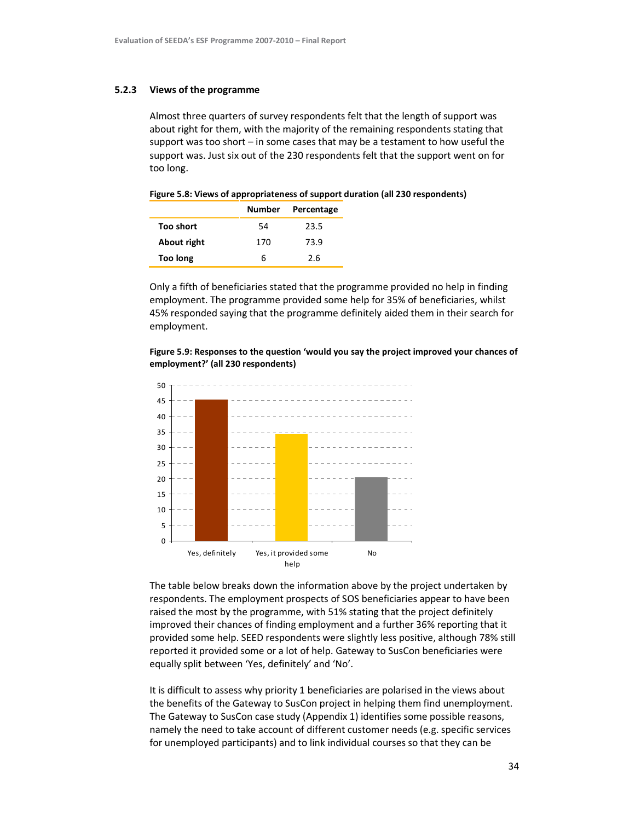#### 5.2.3 Views of the programme

Almost three quarters of survey respondents felt that the length of support was about right for them, with the majority of the remaining respondents stating that support was too short – in some cases that may be a testament to how useful the support was. Just six out of the 230 respondents felt that the support went on for too long.

#### Figure 5.8: Views of appropriateness of support duration (all 230 respondents)

|             |     | Number Percentage |
|-------------|-----|-------------------|
| Too short   | 54  | 23.5              |
| About right | 170 | 73.9              |
| Too long    | r.  | 2.6               |

Only a fifth of beneficiaries stated that the programme provided no help in finding employment. The programme provided some help for 35% of beneficiaries, whilst 45% responded saying that the programme definitely aided them in their search for employment.

Figure 5.9: Responses to the question 'would you say the project improved your chances of employment?' (all 230 respondents)



The table below breaks down the information above by the project undertaken by respondents. The employment prospects of SOS beneficiaries appear to have been raised the most by the programme, with 51% stating that the project definitely improved their chances of finding employment and a further 36% reporting that it provided some help. SEED respondents were slightly less positive, although 78% still reported it provided some or a lot of help. Gateway to SusCon beneficiaries were equally split between 'Yes, definitely' and 'No'.

It is difficult to assess why priority 1 beneficiaries are polarised in the views about the benefits of the Gateway to SusCon project in helping them find unemployment. The Gateway to SusCon case study (Appendix 1) identifies some possible reasons, namely the need to take account of different customer needs (e.g. specific services for unemployed participants) and to link individual courses so that they can be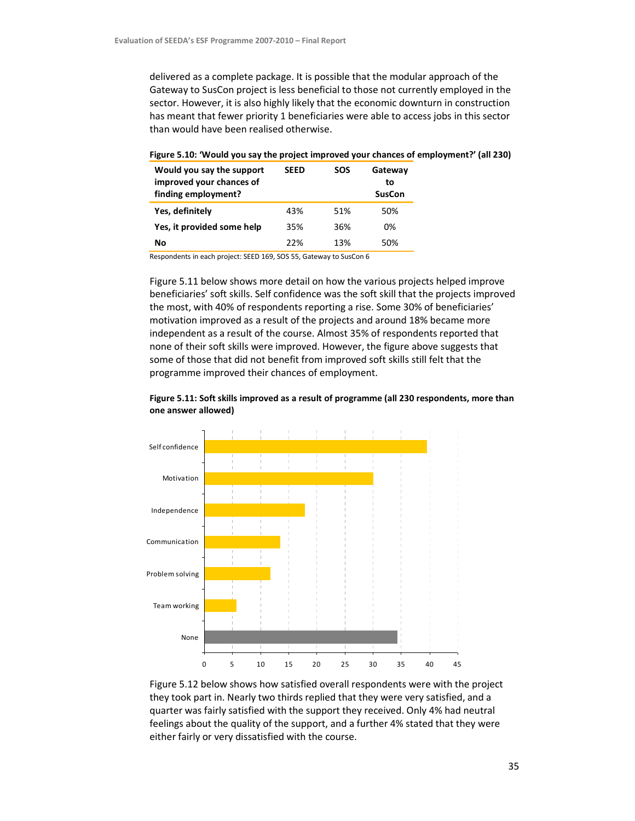delivered as a complete package. It is possible that the modular approach of the Gateway to SusCon project is less beneficial to those not currently employed in the sector. However, it is also highly likely that the economic downturn in construction has meant that fewer priority 1 beneficiaries were able to access jobs in this sector than would have been realised otherwise.

| Would you say the support<br>improved your chances of<br>finding employment? | <b>SEED</b> | <b>SOS</b> | Gateway<br>to<br><b>SusCon</b> |
|------------------------------------------------------------------------------|-------------|------------|--------------------------------|
| Yes, definitely                                                              | 43%         | 51%        | 50%                            |
| Yes, it provided some help                                                   | 35%         | 36%        | በ%                             |
| Nο                                                                           | 22%         | 13%        | 50%                            |

#### Figure 5.10: 'Would you say the project improved your chances of employment?' (all 230)

Respondents in each project: SEED 169, SOS 55, Gateway to SusCon 6

Figure 5.11 below shows more detail on how the various projects helped improve beneficiaries' soft skills. Self confidence was the soft skill that the projects improved the most, with 40% of respondents reporting a rise. Some 30% of beneficiaries' motivation improved as a result of the projects and around 18% became more independent as a result of the course. Almost 35% of respondents reported that none of their soft skills were improved. However, the figure above suggests that some of those that did not benefit from improved soft skills still felt that the programme improved their chances of employment.





Figure 5.12 below shows how satisfied overall respondents were with the project they took part in. Nearly two thirds replied that they were very satisfied, and a quarter was fairly satisfied with the support they received. Only 4% had neutral feelings about the quality of the support, and a further 4% stated that they were either fairly or very dissatisfied with the course.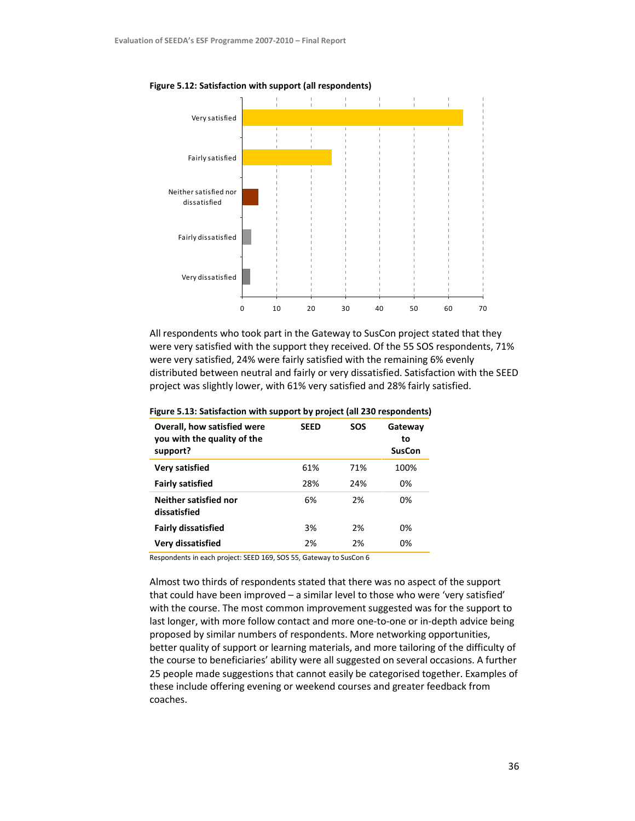

Figure 5.12: Satisfaction with support (all respondents)

All respondents who took part in the Gateway to SusCon project stated that they were very satisfied with the support they received. Of the 55 SOS respondents, 71% were very satisfied, 24% were fairly satisfied with the remaining 6% evenly distributed between neutral and fairly or very dissatisfied. Satisfaction with the SEED project was slightly lower, with 61% very satisfied and 28% fairly satisfied.

| Overall, how satisfied were<br>you with the quality of the<br>support? | <b>SEED</b> | <b>SOS</b> | Gateway<br>to<br><b>SusCon</b> |
|------------------------------------------------------------------------|-------------|------------|--------------------------------|
| <b>Very satisfied</b>                                                  | 61%         | 71%        | 100%                           |
| <b>Fairly satisfied</b>                                                | 28%         | 24%        | 0%                             |
| Neither satisfied nor<br>dissatisfied                                  | 6%          | 2%         | 0%                             |
| <b>Fairly dissatisfied</b>                                             | 3%          | 2%         | በ%                             |
| Very dissatisfied                                                      | 2%          | 2%         | 0%                             |

#### Figure 5.13: Satisfaction with support by project (all 230 respondents)

Respondents in each project: SEED 169, SOS 55, Gateway to SusCon 6

Almost two thirds of respondents stated that there was no aspect of the support that could have been improved – a similar level to those who were 'very satisfied' with the course. The most common improvement suggested was for the support to last longer, with more follow contact and more one-to-one or in-depth advice being proposed by similar numbers of respondents. More networking opportunities, better quality of support or learning materials, and more tailoring of the difficulty of the course to beneficiaries' ability were all suggested on several occasions. A further 25 people made suggestions that cannot easily be categorised together. Examples of these include offering evening or weekend courses and greater feedback from coaches.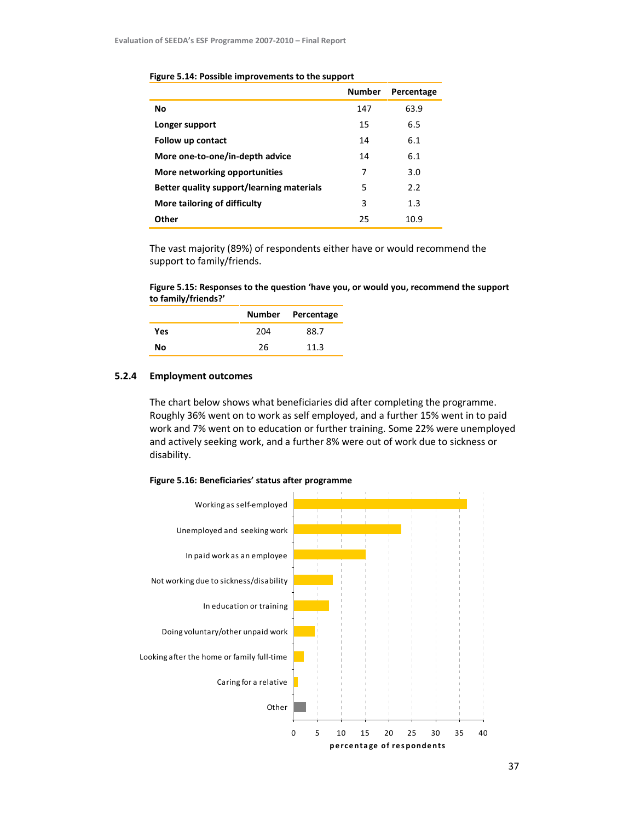|                                                  | <b>Number</b> | Percentage |
|--------------------------------------------------|---------------|------------|
| No                                               | 147           | 63.9       |
| Longer support                                   | 15            | 6.5        |
| Follow up contact                                | 14            | 6.1        |
| More one-to-one/in-depth advice                  | 14            | 6.1        |
| More networking opportunities                    | 7             | 3.0        |
| <b>Better quality support/learning materials</b> | 5             | 2.2        |
| More tailoring of difficulty                     | 3             | 1.3        |
| Other                                            | 25            | 10.9       |

#### Figure 5.14: Possible improvements to the support

The vast majority (89%) of respondents either have or would recommend the support to family/friends.

Figure 5.15: Responses to the question 'have you, or would you, recommend the support to family/friends?'

|     |     | Number Percentage |
|-----|-----|-------------------|
| Yes | 204 | 88 7              |
| Nο  | 26  | 11.3              |

## 5.2.4 Employment outcomes

The chart below shows what beneficiaries did after completing the programme. Roughly 36% went on to work as self employed, and a further 15% went in to paid work and 7% went on to education or further training. Some 22% were unemployed and actively seeking work, and a further 8% were out of work due to sickness or disability.



#### Figure 5.16: Beneficiaries' status after programme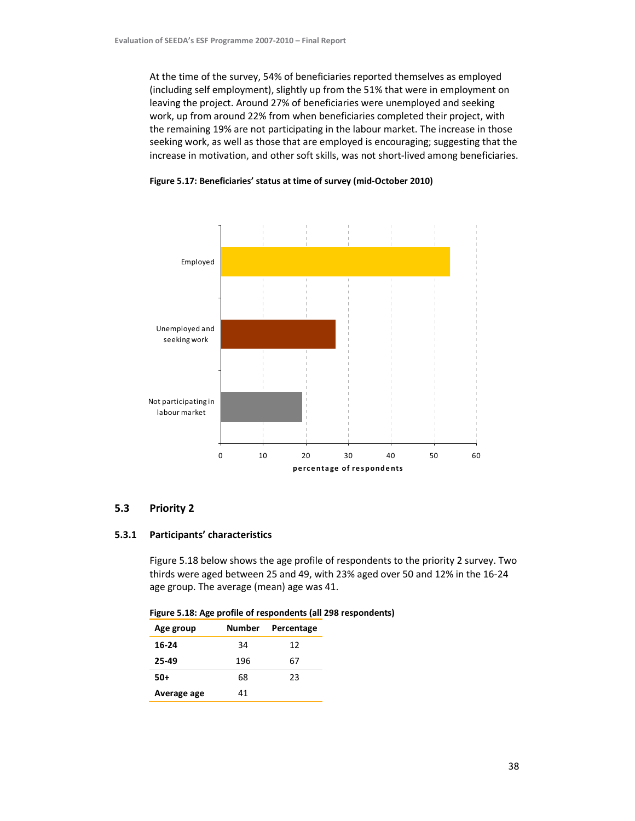At the time of the survey, 54% of beneficiaries reported themselves as employed (including self employment), slightly up from the 51% that were in employment on leaving the project. Around 27% of beneficiaries were unemployed and seeking work, up from around 22% from when beneficiaries completed their project, with the remaining 19% are not participating in the labour market. The increase in those seeking work, as well as those that are employed is encouraging; suggesting that the increase in motivation, and other soft skills, was not short-lived among beneficiaries.



Figure 5.17: Beneficiaries' status at time of survey (mid-October 2010)

# 5.3 Priority 2

#### 5.3.1 Participants' characteristics

Figure 5.18 below shows the age profile of respondents to the priority 2 survey. Two thirds were aged between 25 and 49, with 23% aged over 50 and 12% in the 16-24 age group. The average (mean) age was 41.

| Figure 5.18: Age profile of respondents (all 298 respondents) |
|---------------------------------------------------------------|
|---------------------------------------------------------------|

| Age group   | Number | Percentage |
|-------------|--------|------------|
| 16-24       | 34     | 12         |
| 25-49       | 196    | 67         |
| 50+         | 68     | 23         |
| Average age | 41     |            |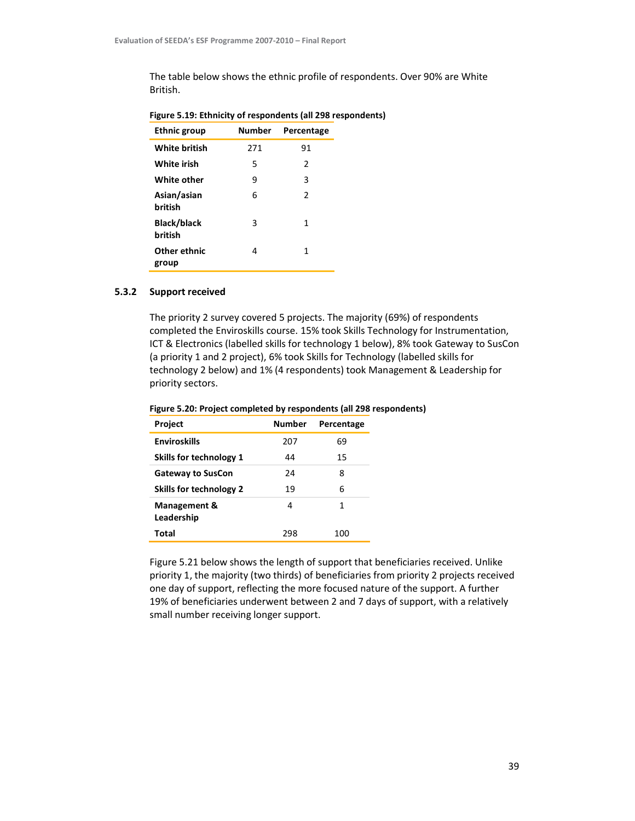The table below shows the ethnic profile of respondents. Over 90% are White British.

| <b>Ethnic group</b>           | <b>Number</b> | Percentage |
|-------------------------------|---------------|------------|
| <b>White british</b>          | 271           | 91         |
| White irish                   | 5             | 2          |
| White other                   | 9             | 3          |
| Asian/asian<br>british        | 6             | 2          |
| <b>Black/black</b><br>british | 3             | 1          |
| Other ethnic<br>group         | 4             | 1          |

# Figure 5.19: Ethnicity of respondents (all 298 respondents)

#### 5.3.2 Support received

The priority 2 survey covered 5 projects. The majority (69%) of respondents completed the Enviroskills course. 15% took Skills Technology for Instrumentation, ICT & Electronics (labelled skills for technology 1 below), 8% took Gateway to SusCon (a priority 1 and 2 project), 6% took Skills for Technology (labelled skills for technology 2 below) and 1% (4 respondents) took Management & Leadership for priority sectors.

| Figure 5.20: Project completed by respondents (all 298 respondents) |
|---------------------------------------------------------------------|
|---------------------------------------------------------------------|

| Project                        | <b>Number</b> | Percentage |
|--------------------------------|---------------|------------|
| <b>Enviroskills</b>            | 207           | 69         |
| Skills for technology 1        | 44            | 15         |
| <b>Gateway to SusCon</b>       | 24            | 8          |
| <b>Skills for technology 2</b> | 19            | 6          |
| Management &<br>Leadership     | 4             | 1          |
| Total                          | 298           | 100        |

Figure 5.21 below shows the length of support that beneficiaries received. Unlike priority 1, the majority (two thirds) of beneficiaries from priority 2 projects received one day of support, reflecting the more focused nature of the support. A further 19% of beneficiaries underwent between 2 and 7 days of support, with a relatively small number receiving longer support.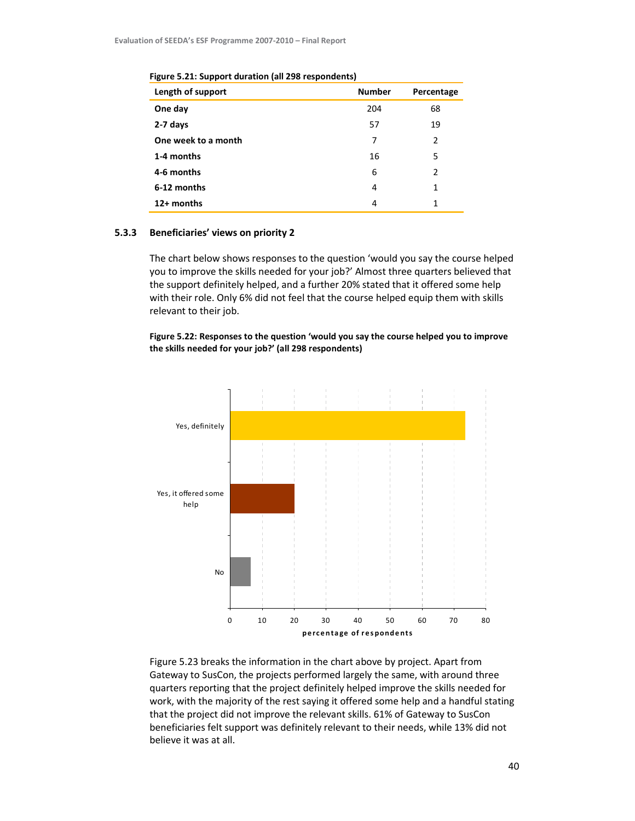| Length of support   | <b>Number</b> | Percentage     |
|---------------------|---------------|----------------|
| One day             | 204           | 68             |
| 2-7 days            | 57            | 19             |
| One week to a month | 7             | $\overline{2}$ |
| 1-4 months          | 16            | 5              |
| 4-6 months          | 6             | 2              |
| 6-12 months         | 4             | 1              |
| 12+ months          | 4             | 1              |

Figure 5.21: Support duration (all 298 respondents)

#### 5.3.3 Beneficiaries' views on priority 2

The chart below shows responses to the question 'would you say the course helped you to improve the skills needed for your job?' Almost three quarters believed that the support definitely helped, and a further 20% stated that it offered some help with their role. Only 6% did not feel that the course helped equip them with skills relevant to their job.

Figure 5.22: Responses to the question 'would you say the course helped you to improve the skills needed for your job?' (all 298 respondents)



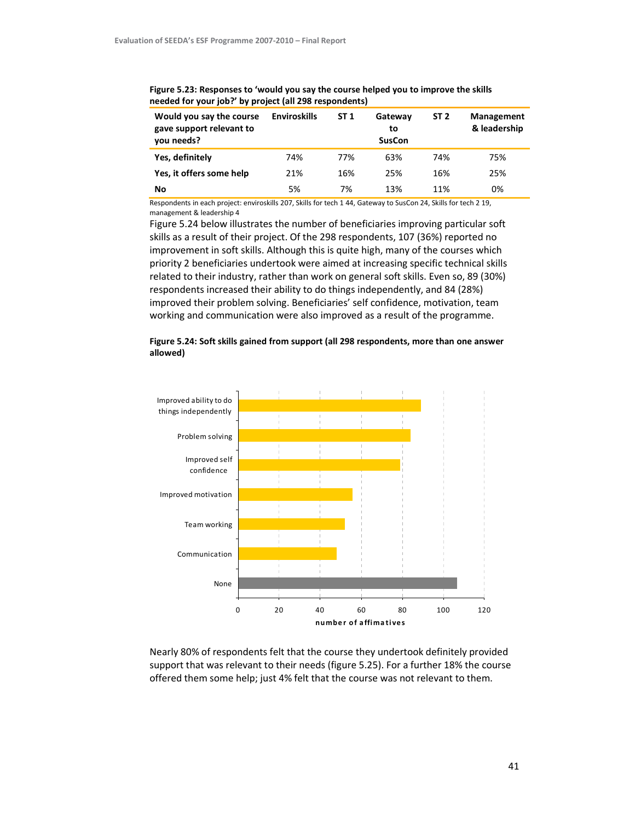| Would you say the course<br>gave support relevant to<br>you needs? | <b>Enviroskills</b> | ST <sub>1</sub> | Gateway<br>to<br><b>SusCon</b> | ST <sub>2</sub> | <b>Management</b><br>& leadership |
|--------------------------------------------------------------------|---------------------|-----------------|--------------------------------|-----------------|-----------------------------------|
| Yes, definitely                                                    | 74%                 | 77%             | 63%                            | 74%             | 75%                               |
| Yes, it offers some help                                           | 21%                 | 16%             | 25%                            | 16%             | 25%                               |
| No                                                                 | 5%                  | 7%              | 13%                            | 11%             | 0%                                |

Figure 5.23: Responses to 'would you say the course helped you to improve the skills needed for your job?' by project (all 298 respondents)

Respondents in each project: enviroskills 207, Skills for tech 1 44, Gateway to SusCon 24, Skills for tech 2 19, management & leadership 4

Figure 5.24 below illustrates the number of beneficiaries improving particular soft skills as a result of their project. Of the 298 respondents, 107 (36%) reported no improvement in soft skills. Although this is quite high, many of the courses which priority 2 beneficiaries undertook were aimed at increasing specific technical skills related to their industry, rather than work on general soft skills. Even so, 89 (30%) respondents increased their ability to do things independently, and 84 (28%) improved their problem solving. Beneficiaries' self confidence, motivation, team working and communication were also improved as a result of the programme.





Nearly 80% of respondents felt that the course they undertook definitely provided support that was relevant to their needs (figure 5.25). For a further 18% the course offered them some help; just 4% felt that the course was not relevant to them.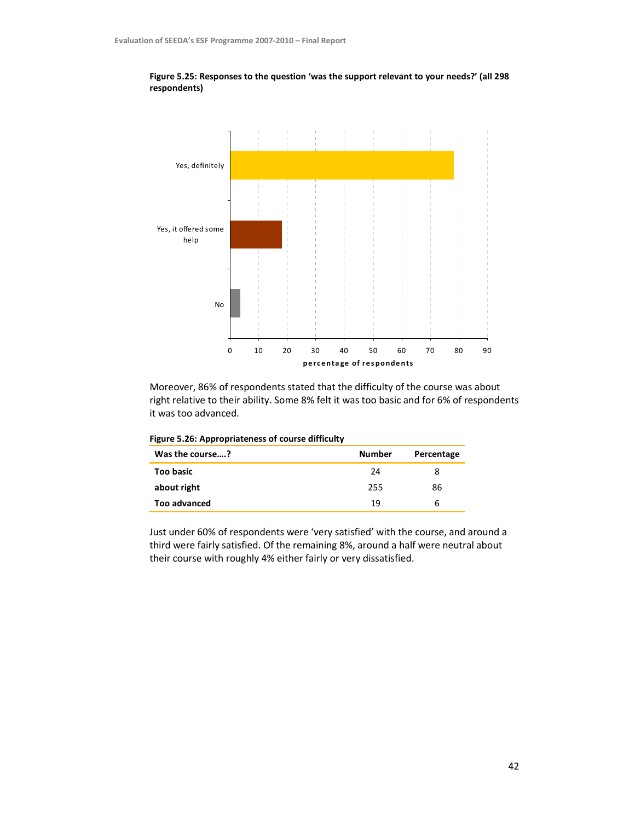

Figure 5.25: Responses to the question 'was the support relevant to your needs?' (all 298 respondents)

Moreover, 86% of respondents stated that the difficulty of the course was about right relative to their ability. Some 8% felt it was too basic and for 6% of respondents it was too advanced.

| Figure 5.26: Appropriateness of course difficulty |  |
|---------------------------------------------------|--|
|---------------------------------------------------|--|

| Was the course?  | <b>Number</b> | Percentage |
|------------------|---------------|------------|
| <b>Too basic</b> | 24            |            |
| about right      | 255           | 86         |
| Too advanced     | 19            | h          |

Just under 60% of respondents were 'very satisfied' with the course, and around a third were fairly satisfied. Of the remaining 8%, around a half were neutral about their course with roughly 4% either fairly or very dissatisfied.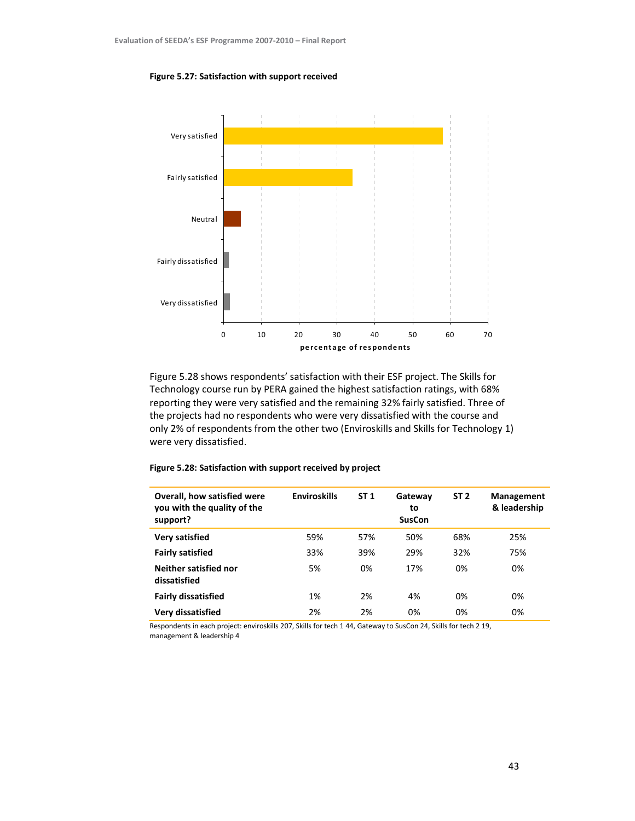#### Figure 5.27: Satisfaction with support received



Figure 5.28 shows respondents' satisfaction with their ESF project. The Skills for Technology course run by PERA gained the highest satisfaction ratings, with 68% reporting they were very satisfied and the remaining 32% fairly satisfied. Three of the projects had no respondents who were very dissatisfied with the course and only 2% of respondents from the other two (Enviroskills and Skills for Technology 1) were very dissatisfied.

| Overall, how satisfied were<br>you with the quality of the<br>support? | <b>Enviroskills</b> | ST <sub>1</sub> | Gateway<br>to<br><b>SusCon</b> | ST <sub>2</sub> | <b>Management</b><br>& leadership |
|------------------------------------------------------------------------|---------------------|-----------------|--------------------------------|-----------------|-----------------------------------|
| Very satisfied                                                         | 59%                 | 57%             | 50%                            | 68%             | 25%                               |
| <b>Fairly satisfied</b>                                                | 33%                 | 39%             | 29%                            | 32%             | 75%                               |
| Neither satisfied nor<br>dissatisfied                                  | 5%                  | 0%              | 17%                            | 0%              | 0%                                |
| <b>Fairly dissatisfied</b>                                             | 1%                  | 2%              | 4%                             | 0%              | 0%                                |
| Very dissatisfied                                                      | 2%                  | 2%              | 0%                             | 0%              | 0%                                |

#### Figure 5.28: Satisfaction with support received by project

Respondents in each project: enviroskills 207, Skills for tech 1 44, Gateway to SusCon 24, Skills for tech 2 19, management & leadership 4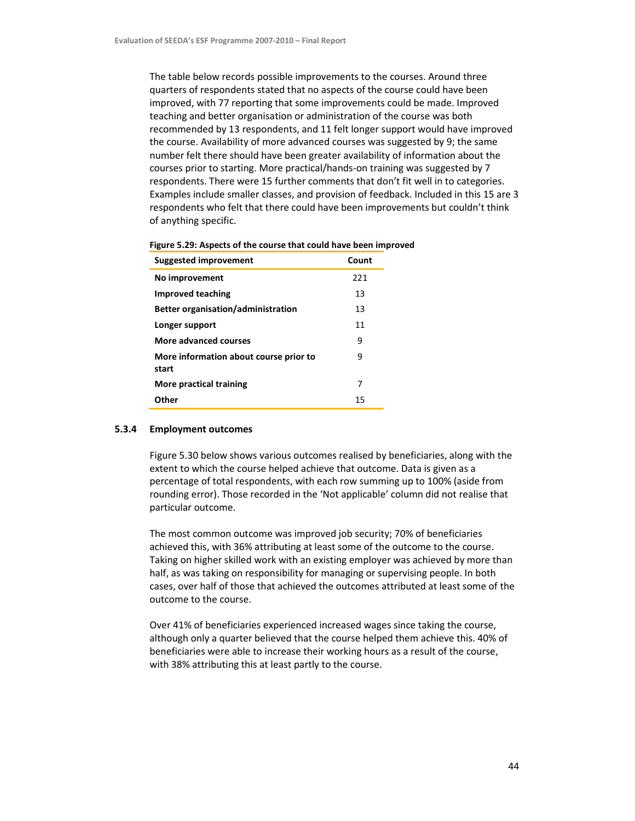The table below records possible improvements to the courses. Around three quarters of respondents stated that no aspects of the course could have been improved, with 77 reporting that some improvements could be made. Improved teaching and better organisation or administration of the course was both recommended by 13 respondents, and 11 felt longer support would have improved the course. Availability of more advanced courses was suggested by 9; the same number felt there should have been greater availability of information about the courses prior to starting. More practical/hands-on training was suggested by 7 respondents. There were 15 further comments that don't fit well in to categories. Examples include smaller classes, and provision of feedback. Included in this 15 are 3 respondents who felt that there could have been improvements but couldn't think of anything specific.

| <b>Suggested improvement</b>                    | Count |
|-------------------------------------------------|-------|
| No improvement                                  | 221   |
| Improved teaching                               | 13    |
| <b>Better organisation/administration</b>       | 13    |
| Longer support                                  | 11    |
| More advanced courses                           | 9     |
| More information about course prior to<br>start | 9     |
| More practical training                         | 7     |
| Other                                           | 15    |

| Figure 5.29: Aspects of the course that could have been improved |  |  |  |
|------------------------------------------------------------------|--|--|--|
|------------------------------------------------------------------|--|--|--|

#### 5.3.4 Employment outcomes

Figure 5.30 below shows various outcomes realised by beneficiaries, along with the extent to which the course helped achieve that outcome. Data is given as a percentage of total respondents, with each row summing up to 100% (aside from rounding error). Those recorded in the 'Not applicable' column did not realise that particular outcome.

The most common outcome was improved job security; 70% of beneficiaries achieved this, with 36% attributing at least some of the outcome to the course. Taking on higher skilled work with an existing employer was achieved by more than half, as was taking on responsibility for managing or supervising people. In both cases, over half of those that achieved the outcomes attributed at least some of the outcome to the course.

Over 41% of beneficiaries experienced increased wages since taking the course, although only a quarter believed that the course helped them achieve this. 40% of beneficiaries were able to increase their working hours as a result of the course, with 38% attributing this at least partly to the course.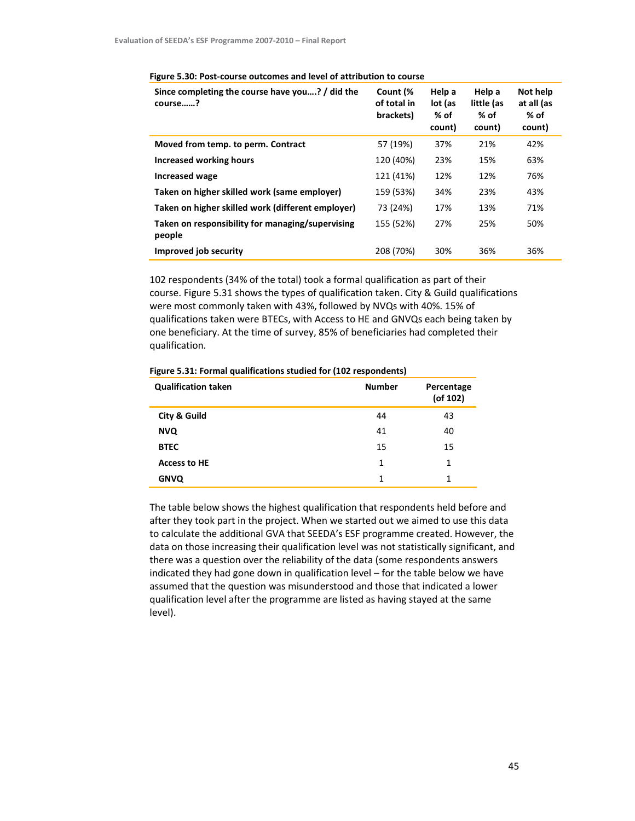| Since completing the course have you? / did the<br>course? | Count (%<br>of total in<br>brackets) | Help a<br>lot (as<br>% of<br>count) | Help a<br>little (as<br>% of<br>count) | Not help<br>at all (as<br>% of<br>count) |  |
|------------------------------------------------------------|--------------------------------------|-------------------------------------|----------------------------------------|------------------------------------------|--|
| Moved from temp. to perm. Contract                         | 57 (19%)                             | 37%                                 | 21%                                    | 42%                                      |  |
| Increased working hours                                    | 120 (40%)                            | 23%                                 | 15%                                    | 63%                                      |  |
| <b>Increased wage</b>                                      | 121 (41%)                            | 12%                                 | 12%                                    | 76%                                      |  |
| Taken on higher skilled work (same employer)               | 159 (53%)                            | 34%                                 | 23%                                    | 43%                                      |  |
| Taken on higher skilled work (different employer)          | 73 (24%)                             | 17%                                 | 13%                                    | 71%                                      |  |
| Taken on responsibility for managing/supervising<br>people | 155 (52%)                            | 27%                                 | 25%                                    | 50%                                      |  |
| Improved job security                                      | 208 (70%)                            | 30%                                 | 36%                                    | 36%                                      |  |

#### Figure 5.30: Post-course outcomes and level of attribution to course

102 respondents (34% of the total) took a formal qualification as part of their course. Figure 5.31 shows the types of qualification taken. City & Guild qualifications were most commonly taken with 43%, followed by NVQs with 40%. 15% of qualifications taken were BTECs, with Access to HE and GNVQs each being taken by one beneficiary. At the time of survey, 85% of beneficiaries had completed their qualification.

| <b>Qualification taken</b> | <b>Number</b> | Percentage<br>$($ of 102 $)$ |
|----------------------------|---------------|------------------------------|
| City & Guild               | 44            | 43                           |
| <b>NVQ</b>                 | 41            | 40                           |
| <b>BTEC</b>                | 15            | 15                           |
| <b>Access to HE</b>        | 1             | 1                            |
| <b>GNVQ</b>                | 1             | 1                            |

Figure 5.31: Formal qualifications studied for (102 respondents)

The table below shows the highest qualification that respondents held before and after they took part in the project. When we started out we aimed to use this data to calculate the additional GVA that SEEDA's ESF programme created. However, the data on those increasing their qualification level was not statistically significant, and there was a question over the reliability of the data (some respondents answers indicated they had gone down in qualification level – for the table below we have assumed that the question was misunderstood and those that indicated a lower qualification level after the programme are listed as having stayed at the same level).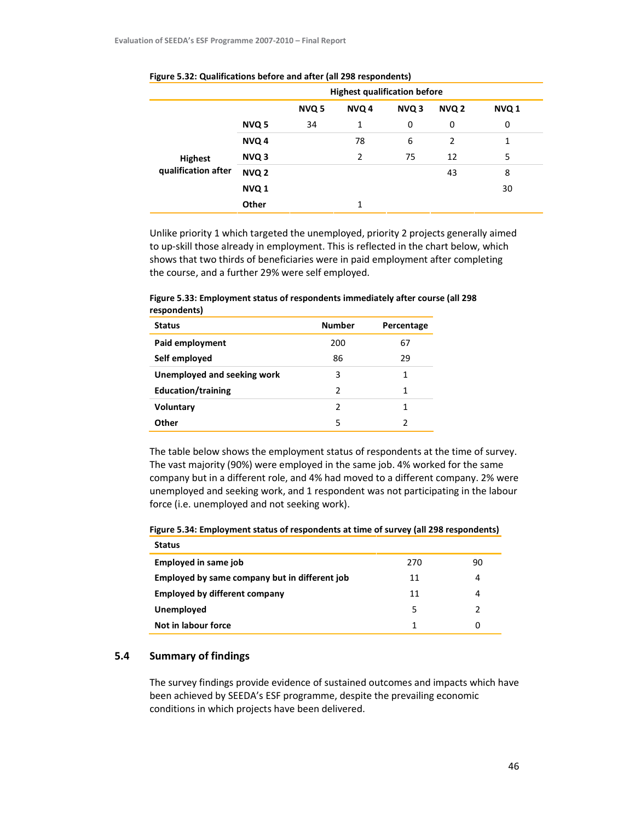|                     |                  | <b>Highest qualification before</b> |              |                  |                  |       |
|---------------------|------------------|-------------------------------------|--------------|------------------|------------------|-------|
|                     |                  | NVQ <sub>5</sub>                    | NVQ 4        | NVQ <sub>3</sub> | NVQ <sub>2</sub> | NVQ 1 |
|                     | NVQ 5            | 34                                  | $\mathbf{1}$ | 0                | 0                | 0     |
|                     | NVQ 4            |                                     | 78           | 6                | $\overline{2}$   | 1     |
| Highest             | NVQ <sub>3</sub> |                                     | 2            | 75               | 12               | 5     |
| qualification after | NVQ <sub>2</sub> |                                     |              |                  | 43               | 8     |
|                     | NVQ <sub>1</sub> |                                     |              |                  |                  | 30    |
|                     | Other            |                                     | 1            |                  |                  |       |

#### Figure 5.32: Qualifications before and after (all 298 respondents)

Unlike priority 1 which targeted the unemployed, priority 2 projects generally aimed to up-skill those already in employment. This is reflected in the chart below, which shows that two thirds of beneficiaries were in paid employment after completing the course, and a further 29% were self employed.

| ------------                |               |            |
|-----------------------------|---------------|------------|
| <b>Status</b>               | <b>Number</b> | Percentage |
| Paid employment             | 200           | 67         |
| Self employed               | 86            | 29         |
| Unemployed and seeking work | 3             | 1          |
| <b>Education/training</b>   | 2             | 1          |
| <b>Voluntary</b>            | 2             | 1          |
| Other                       | 5             | 2          |

Figure 5.33: Employment status of respondents immediately after course (all 298 respondents)

The table below shows the employment status of respondents at the time of survey. The vast majority (90%) were employed in the same job. 4% worked for the same company but in a different role, and 4% had moved to a different company. 2% were unemployed and seeking work, and 1 respondent was not participating in the labour force (i.e. unemployed and not seeking work).

| <b>Status</b>                                 |     |    |
|-----------------------------------------------|-----|----|
| Employed in same job                          | 270 | 90 |
| Employed by same company but in different job | 11  | 4  |
| <b>Employed by different company</b>          | 11  | 4  |
| Unemployed                                    | 5   |    |
| Not in labour force                           |     | 0  |

Figure 5.34: Employment status of respondents at time of survey (all 298 respondents)

# 5.4 Summary of findings

The survey findings provide evidence of sustained outcomes and impacts which have been achieved by SEEDA's ESF programme, despite the prevailing economic conditions in which projects have been delivered.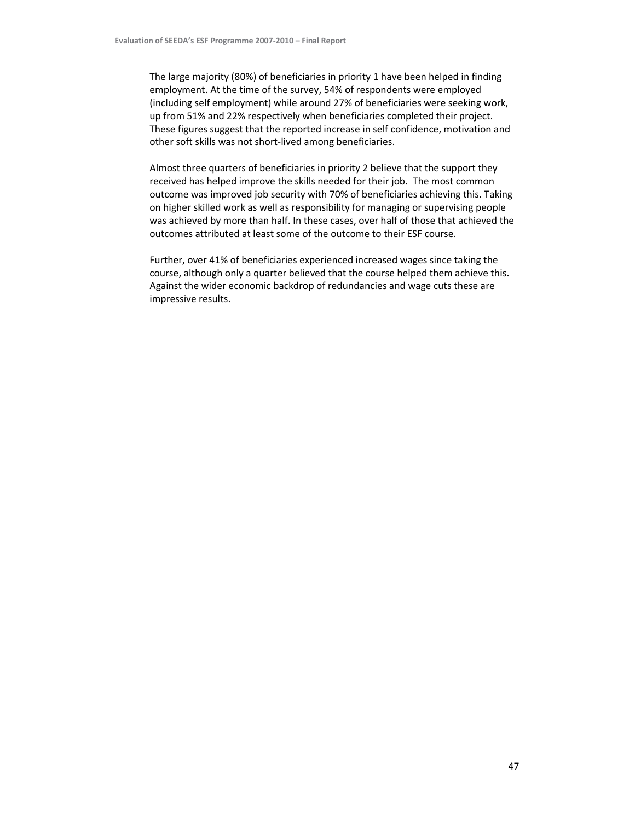The large majority (80%) of beneficiaries in priority 1 have been helped in finding employment. At the time of the survey, 54% of respondents were employed (including self employment) while around 27% of beneficiaries were seeking work, up from 51% and 22% respectively when beneficiaries completed their project. These figures suggest that the reported increase in self confidence, motivation and other soft skills was not short-lived among beneficiaries.

Almost three quarters of beneficiaries in priority 2 believe that the support they received has helped improve the skills needed for their job. The most common outcome was improved job security with 70% of beneficiaries achieving this. Taking on higher skilled work as well as responsibility for managing or supervising people was achieved by more than half. In these cases, over half of those that achieved the outcomes attributed at least some of the outcome to their ESF course.

Further, over 41% of beneficiaries experienced increased wages since taking the course, although only a quarter believed that the course helped them achieve this. Against the wider economic backdrop of redundancies and wage cuts these are impressive results.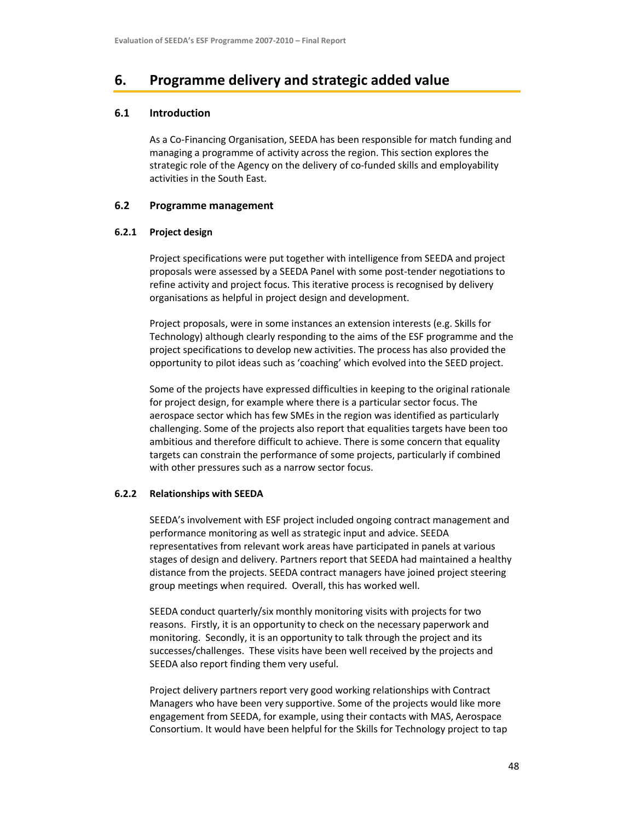# 6. Programme delivery and strategic added value

# 6.1 Introduction

As a Co-Financing Organisation, SEEDA has been responsible for match funding and managing a programme of activity across the region. This section explores the strategic role of the Agency on the delivery of co-funded skills and employability activities in the South East.

# 6.2 Programme management

# 6.2.1 Project design

Project specifications were put together with intelligence from SEEDA and project proposals were assessed by a SEEDA Panel with some post-tender negotiations to refine activity and project focus. This iterative process is recognised by delivery organisations as helpful in project design and development.

Project proposals, were in some instances an extension interests (e.g. Skills for Technology) although clearly responding to the aims of the ESF programme and the project specifications to develop new activities. The process has also provided the opportunity to pilot ideas such as 'coaching' which evolved into the SEED project.

Some of the projects have expressed difficulties in keeping to the original rationale for project design, for example where there is a particular sector focus. The aerospace sector which has few SMEs in the region was identified as particularly challenging. Some of the projects also report that equalities targets have been too ambitious and therefore difficult to achieve. There is some concern that equality targets can constrain the performance of some projects, particularly if combined with other pressures such as a narrow sector focus.

# 6.2.2 Relationships with SEEDA

SEEDA's involvement with ESF project included ongoing contract management and performance monitoring as well as strategic input and advice. SEEDA representatives from relevant work areas have participated in panels at various stages of design and delivery. Partners report that SEEDA had maintained a healthy distance from the projects. SEEDA contract managers have joined project steering group meetings when required. Overall, this has worked well.

SEEDA conduct quarterly/six monthly monitoring visits with projects for two reasons. Firstly, it is an opportunity to check on the necessary paperwork and monitoring. Secondly, it is an opportunity to talk through the project and its successes/challenges. These visits have been well received by the projects and SEEDA also report finding them very useful.

Project delivery partners report very good working relationships with Contract Managers who have been very supportive. Some of the projects would like more engagement from SEEDA, for example, using their contacts with MAS, Aerospace Consortium. It would have been helpful for the Skills for Technology project to tap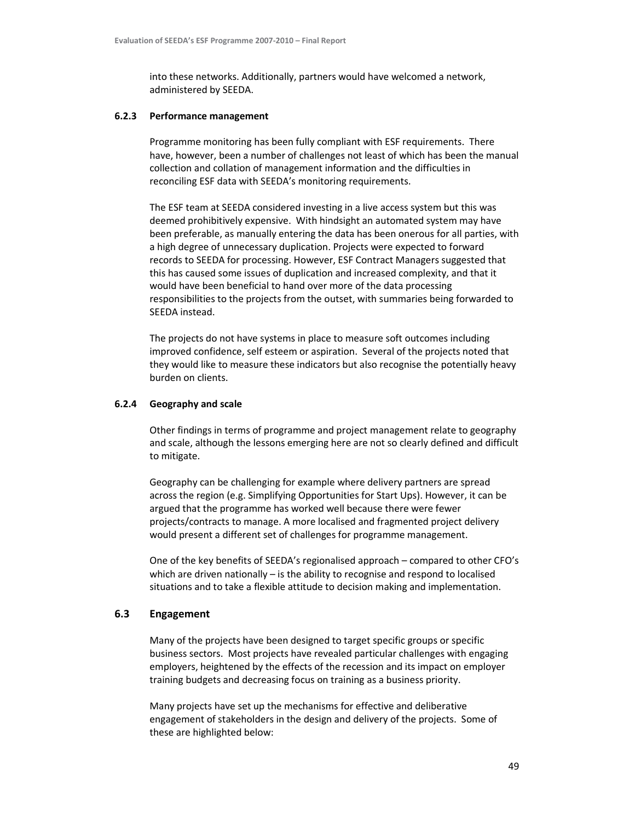into these networks. Additionally, partners would have welcomed a network, administered by SEEDA.

#### 6.2.3 Performance management

Programme monitoring has been fully compliant with ESF requirements. There have, however, been a number of challenges not least of which has been the manual collection and collation of management information and the difficulties in reconciling ESF data with SEEDA's monitoring requirements.

The ESF team at SEEDA considered investing in a live access system but this was deemed prohibitively expensive. With hindsight an automated system may have been preferable, as manually entering the data has been onerous for all parties, with a high degree of unnecessary duplication. Projects were expected to forward records to SEEDA for processing. However, ESF Contract Managers suggested that this has caused some issues of duplication and increased complexity, and that it would have been beneficial to hand over more of the data processing responsibilities to the projects from the outset, with summaries being forwarded to SEEDA instead.

The projects do not have systems in place to measure soft outcomes including improved confidence, self esteem or aspiration. Several of the projects noted that they would like to measure these indicators but also recognise the potentially heavy burden on clients.

#### 6.2.4 Geography and scale

Other findings in terms of programme and project management relate to geography and scale, although the lessons emerging here are not so clearly defined and difficult to mitigate.

Geography can be challenging for example where delivery partners are spread across the region (e.g. Simplifying Opportunities for Start Ups). However, it can be argued that the programme has worked well because there were fewer projects/contracts to manage. A more localised and fragmented project delivery would present a different set of challenges for programme management.

One of the key benefits of SEEDA's regionalised approach – compared to other CFO's which are driven nationally – is the ability to recognise and respond to localised situations and to take a flexible attitude to decision making and implementation.

# 6.3 Engagement

Many of the projects have been designed to target specific groups or specific business sectors. Most projects have revealed particular challenges with engaging employers, heightened by the effects of the recession and its impact on employer training budgets and decreasing focus on training as a business priority.

Many projects have set up the mechanisms for effective and deliberative engagement of stakeholders in the design and delivery of the projects. Some of these are highlighted below: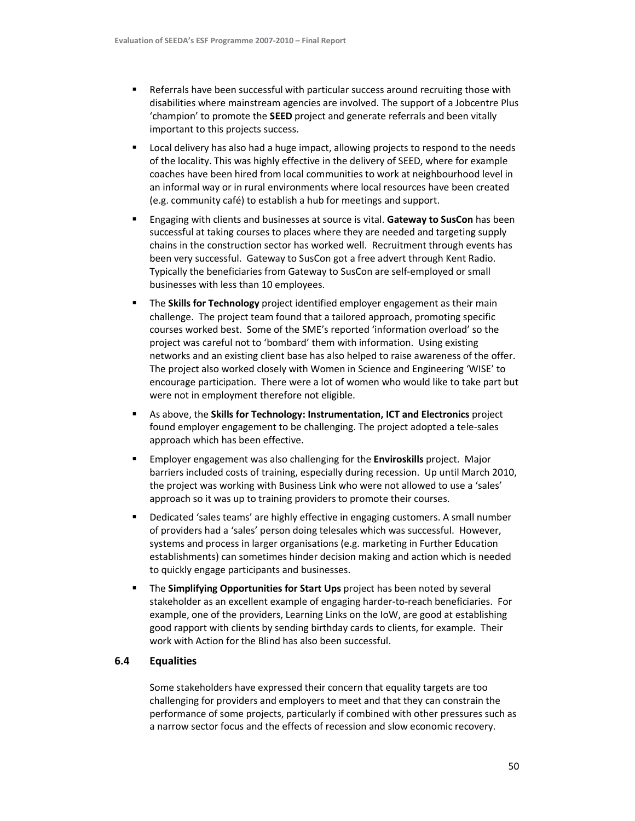- Referrals have been successful with particular success around recruiting those with disabilities where mainstream agencies are involved. The support of a Jobcentre Plus 'champion' to promote the SEED project and generate referrals and been vitally important to this projects success.
- Local delivery has also had a huge impact, allowing projects to respond to the needs of the locality. This was highly effective in the delivery of SEED, where for example coaches have been hired from local communities to work at neighbourhood level in an informal way or in rural environments where local resources have been created (e.g. community café) to establish a hub for meetings and support.
- Engaging with clients and businesses at source is vital. Gateway to SusCon has been successful at taking courses to places where they are needed and targeting supply chains in the construction sector has worked well. Recruitment through events has been very successful. Gateway to SusCon got a free advert through Kent Radio. Typically the beneficiaries from Gateway to SusCon are self-employed or small businesses with less than 10 employees.
- The Skills for Technology project identified employer engagement as their main challenge. The project team found that a tailored approach, promoting specific courses worked best. Some of the SME's reported 'information overload' so the project was careful not to 'bombard' them with information. Using existing networks and an existing client base has also helped to raise awareness of the offer. The project also worked closely with Women in Science and Engineering 'WISE' to encourage participation. There were a lot of women who would like to take part but were not in employment therefore not eligible.
- As above, the Skills for Technology: Instrumentation, ICT and Electronics project found employer engagement to be challenging. The project adopted a tele-sales approach which has been effective.
- **Employer engagement was also challenging for the Enviroskills project. Major** barriers included costs of training, especially during recession. Up until March 2010, the project was working with Business Link who were not allowed to use a 'sales' approach so it was up to training providers to promote their courses.
- Dedicated 'sales teams' are highly effective in engaging customers. A small number of providers had a 'sales' person doing telesales which was successful. However, systems and process in larger organisations (e.g. marketing in Further Education establishments) can sometimes hinder decision making and action which is needed to quickly engage participants and businesses.
- The Simplifying Opportunities for Start Ups project has been noted by several stakeholder as an excellent example of engaging harder-to-reach beneficiaries. For example, one of the providers, Learning Links on the IoW, are good at establishing good rapport with clients by sending birthday cards to clients, for example. Their work with Action for the Blind has also been successful.

# 6.4 Equalities

Some stakeholders have expressed their concern that equality targets are too challenging for providers and employers to meet and that they can constrain the performance of some projects, particularly if combined with other pressures such as a narrow sector focus and the effects of recession and slow economic recovery.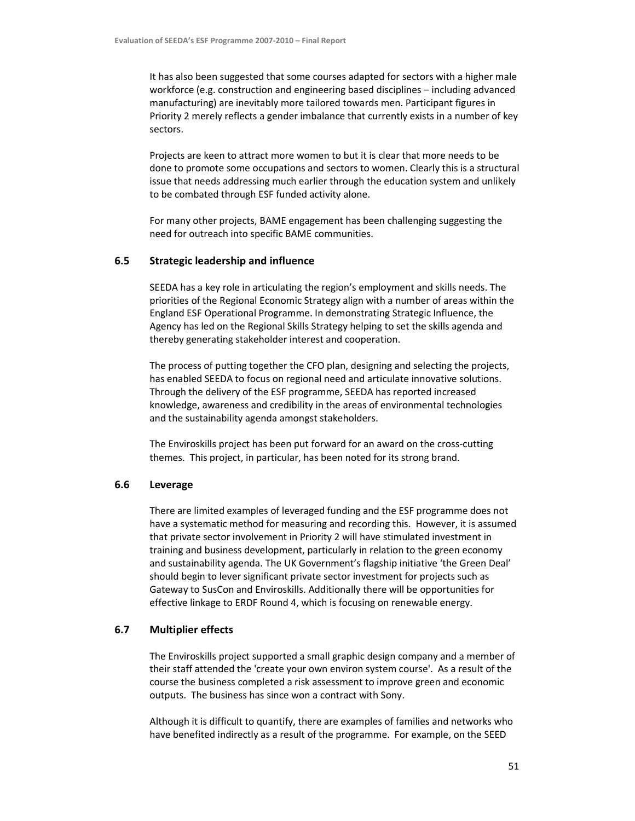It has also been suggested that some courses adapted for sectors with a higher male workforce (e.g. construction and engineering based disciplines – including advanced manufacturing) are inevitably more tailored towards men. Participant figures in Priority 2 merely reflects a gender imbalance that currently exists in a number of key sectors.

Projects are keen to attract more women to but it is clear that more needs to be done to promote some occupations and sectors to women. Clearly this is a structural issue that needs addressing much earlier through the education system and unlikely to be combated through ESF funded activity alone.

For many other projects, BAME engagement has been challenging suggesting the need for outreach into specific BAME communities.

## 6.5 Strategic leadership and influence

SEEDA has a key role in articulating the region's employment and skills needs. The priorities of the Regional Economic Strategy align with a number of areas within the England ESF Operational Programme. In demonstrating Strategic Influence, the Agency has led on the Regional Skills Strategy helping to set the skills agenda and thereby generating stakeholder interest and cooperation.

The process of putting together the CFO plan, designing and selecting the projects, has enabled SEEDA to focus on regional need and articulate innovative solutions. Through the delivery of the ESF programme, SEEDA has reported increased knowledge, awareness and credibility in the areas of environmental technologies and the sustainability agenda amongst stakeholders.

The Enviroskills project has been put forward for an award on the cross-cutting themes. This project, in particular, has been noted for its strong brand.

# 6.6 Leverage

There are limited examples of leveraged funding and the ESF programme does not have a systematic method for measuring and recording this. However, it is assumed that private sector involvement in Priority 2 will have stimulated investment in training and business development, particularly in relation to the green economy and sustainability agenda. The UK Government's flagship initiative 'the Green Deal' should begin to lever significant private sector investment for projects such as Gateway to SusCon and Enviroskills. Additionally there will be opportunities for effective linkage to ERDF Round 4, which is focusing on renewable energy.

# 6.7 Multiplier effects

The Enviroskills project supported a small graphic design company and a member of their staff attended the 'create your own environ system course'. As a result of the course the business completed a risk assessment to improve green and economic outputs. The business has since won a contract with Sony.

Although it is difficult to quantify, there are examples of families and networks who have benefited indirectly as a result of the programme. For example, on the SEED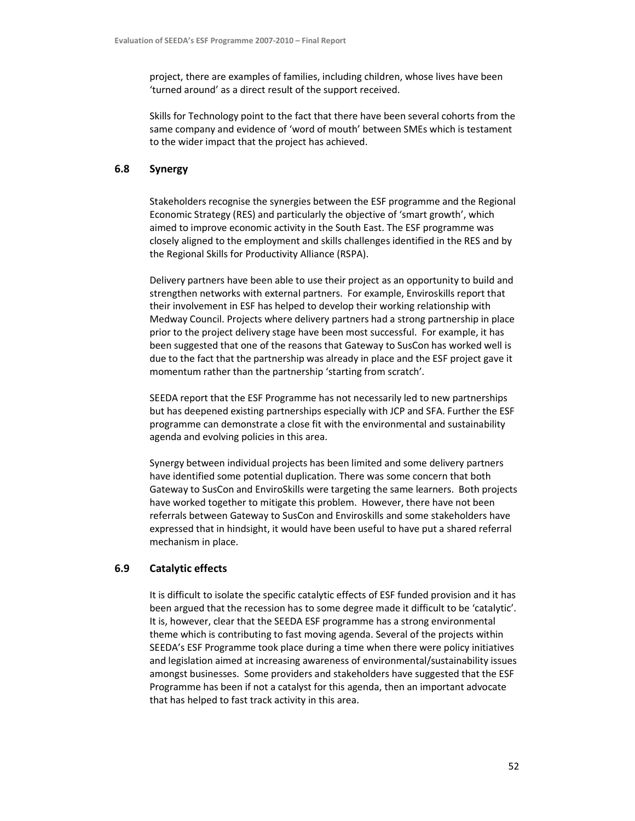project, there are examples of families, including children, whose lives have been 'turned around' as a direct result of the support received.

Skills for Technology point to the fact that there have been several cohorts from the same company and evidence of 'word of mouth' between SMEs which is testament to the wider impact that the project has achieved.

# 6.8 Synergy

Stakeholders recognise the synergies between the ESF programme and the Regional Economic Strategy (RES) and particularly the objective of 'smart growth', which aimed to improve economic activity in the South East. The ESF programme was closely aligned to the employment and skills challenges identified in the RES and by the Regional Skills for Productivity Alliance (RSPA).

Delivery partners have been able to use their project as an opportunity to build and strengthen networks with external partners. For example, Enviroskills report that their involvement in ESF has helped to develop their working relationship with Medway Council. Projects where delivery partners had a strong partnership in place prior to the project delivery stage have been most successful. For example, it has been suggested that one of the reasons that Gateway to SusCon has worked well is due to the fact that the partnership was already in place and the ESF project gave it momentum rather than the partnership 'starting from scratch'.

SEEDA report that the ESF Programme has not necessarily led to new partnerships but has deepened existing partnerships especially with JCP and SFA. Further the ESF programme can demonstrate a close fit with the environmental and sustainability agenda and evolving policies in this area.

Synergy between individual projects has been limited and some delivery partners have identified some potential duplication. There was some concern that both Gateway to SusCon and EnviroSkills were targeting the same learners. Both projects have worked together to mitigate this problem. However, there have not been referrals between Gateway to SusCon and Enviroskills and some stakeholders have expressed that in hindsight, it would have been useful to have put a shared referral mechanism in place.

# 6.9 Catalytic effects

It is difficult to isolate the specific catalytic effects of ESF funded provision and it has been argued that the recession has to some degree made it difficult to be 'catalytic'. It is, however, clear that the SEEDA ESF programme has a strong environmental theme which is contributing to fast moving agenda. Several of the projects within SEEDA's ESF Programme took place during a time when there were policy initiatives and legislation aimed at increasing awareness of environmental/sustainability issues amongst businesses. Some providers and stakeholders have suggested that the ESF Programme has been if not a catalyst for this agenda, then an important advocate that has helped to fast track activity in this area.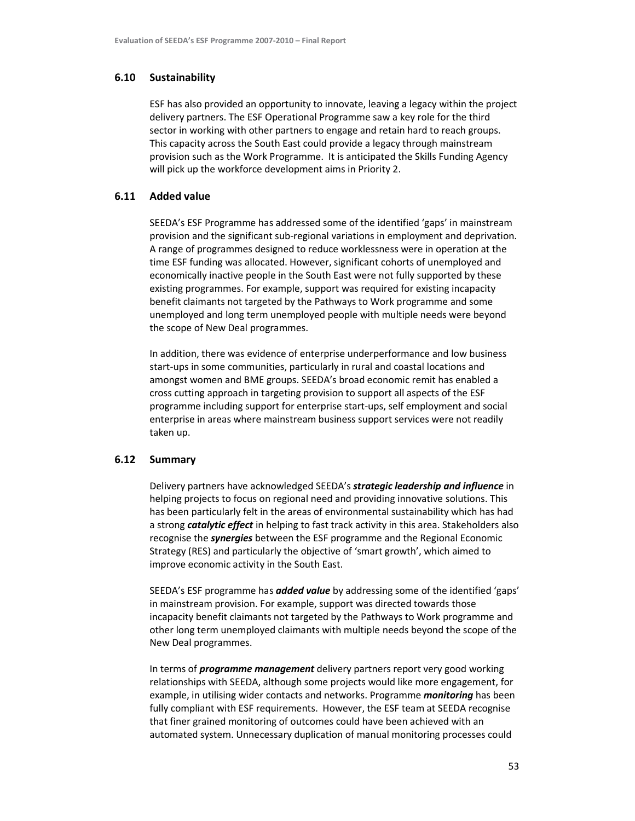# 6.10 Sustainability

ESF has also provided an opportunity to innovate, leaving a legacy within the project delivery partners. The ESF Operational Programme saw a key role for the third sector in working with other partners to engage and retain hard to reach groups. This capacity across the South East could provide a legacy through mainstream provision such as the Work Programme. It is anticipated the Skills Funding Agency will pick up the workforce development aims in Priority 2.

# 6.11 Added value

SEEDA's ESF Programme has addressed some of the identified 'gaps' in mainstream provision and the significant sub-regional variations in employment and deprivation. A range of programmes designed to reduce worklessness were in operation at the time ESF funding was allocated. However, significant cohorts of unemployed and economically inactive people in the South East were not fully supported by these existing programmes. For example, support was required for existing incapacity benefit claimants not targeted by the Pathways to Work programme and some unemployed and long term unemployed people with multiple needs were beyond the scope of New Deal programmes.

In addition, there was evidence of enterprise underperformance and low business start-ups in some communities, particularly in rural and coastal locations and amongst women and BME groups. SEEDA's broad economic remit has enabled a cross cutting approach in targeting provision to support all aspects of the ESF programme including support for enterprise start-ups, self employment and social enterprise in areas where mainstream business support services were not readily taken up.

#### 6.12 Summary

Delivery partners have acknowledged SEEDA's **strategic leadership and influence** in helping projects to focus on regional need and providing innovative solutions. This has been particularly felt in the areas of environmental sustainability which has had a strong *catalytic effect* in helping to fast track activity in this area. Stakeholders also recognise the *synergies* between the ESF programme and the Regional Economic Strategy (RES) and particularly the objective of 'smart growth', which aimed to improve economic activity in the South East.

SEEDA's ESF programme has **added value** by addressing some of the identified 'gaps' in mainstream provision. For example, support was directed towards those incapacity benefit claimants not targeted by the Pathways to Work programme and other long term unemployed claimants with multiple needs beyond the scope of the New Deal programmes.

In terms of *programme management* delivery partners report very good working relationships with SEEDA, although some projects would like more engagement, for example, in utilising wider contacts and networks. Programme *monitoring* has been fully compliant with ESF requirements. However, the ESF team at SEEDA recognise that finer grained monitoring of outcomes could have been achieved with an automated system. Unnecessary duplication of manual monitoring processes could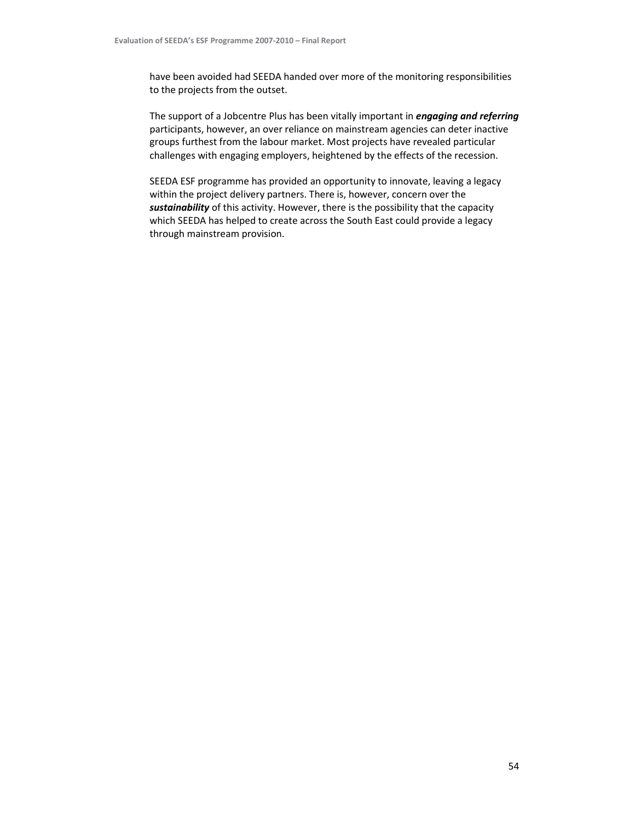have been avoided had SEEDA handed over more of the monitoring responsibilities to the projects from the outset.

The support of a Jobcentre Plus has been vitally important in *engaging and referring* participants, however, an over reliance on mainstream agencies can deter inactive groups furthest from the labour market. Most projects have revealed particular challenges with engaging employers, heightened by the effects of the recession.

SEEDA ESF programme has provided an opportunity to innovate, leaving a legacy within the project delivery partners. There is, however, concern over the sustainability of this activity. However, there is the possibility that the capacity which SEEDA has helped to create across the South East could provide a legacy through mainstream provision.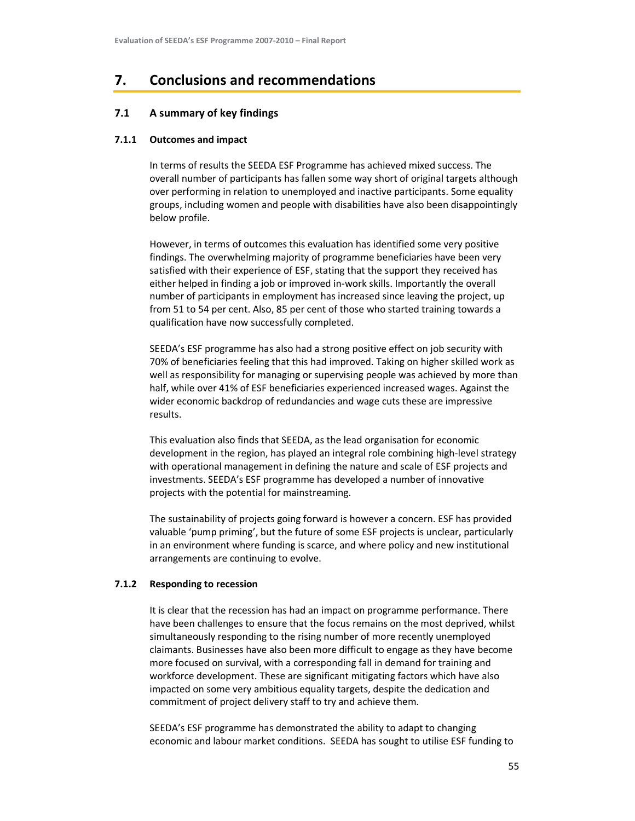# 7. Conclusions and recommendations

# 7.1 A summary of key findings

## 7.1.1 Outcomes and impact

In terms of results the SEEDA ESF Programme has achieved mixed success. The overall number of participants has fallen some way short of original targets although over performing in relation to unemployed and inactive participants. Some equality groups, including women and people with disabilities have also been disappointingly below profile.

However, in terms of outcomes this evaluation has identified some very positive findings. The overwhelming majority of programme beneficiaries have been very satisfied with their experience of ESF, stating that the support they received has either helped in finding a job or improved in-work skills. Importantly the overall number of participants in employment has increased since leaving the project, up from 51 to 54 per cent. Also, 85 per cent of those who started training towards a qualification have now successfully completed.

SEEDA's ESF programme has also had a strong positive effect on job security with 70% of beneficiaries feeling that this had improved. Taking on higher skilled work as well as responsibility for managing or supervising people was achieved by more than half, while over 41% of ESF beneficiaries experienced increased wages. Against the wider economic backdrop of redundancies and wage cuts these are impressive results.

This evaluation also finds that SEEDA, as the lead organisation for economic development in the region, has played an integral role combining high-level strategy with operational management in defining the nature and scale of ESF projects and investments. SEEDA's ESF programme has developed a number of innovative projects with the potential for mainstreaming.

The sustainability of projects going forward is however a concern. ESF has provided valuable 'pump priming', but the future of some ESF projects is unclear, particularly in an environment where funding is scarce, and where policy and new institutional arrangements are continuing to evolve.

#### 7.1.2 Responding to recession

It is clear that the recession has had an impact on programme performance. There have been challenges to ensure that the focus remains on the most deprived, whilst simultaneously responding to the rising number of more recently unemployed claimants. Businesses have also been more difficult to engage as they have become more focused on survival, with a corresponding fall in demand for training and workforce development. These are significant mitigating factors which have also impacted on some very ambitious equality targets, despite the dedication and commitment of project delivery staff to try and achieve them.

SEEDA's ESF programme has demonstrated the ability to adapt to changing economic and labour market conditions. SEEDA has sought to utilise ESF funding to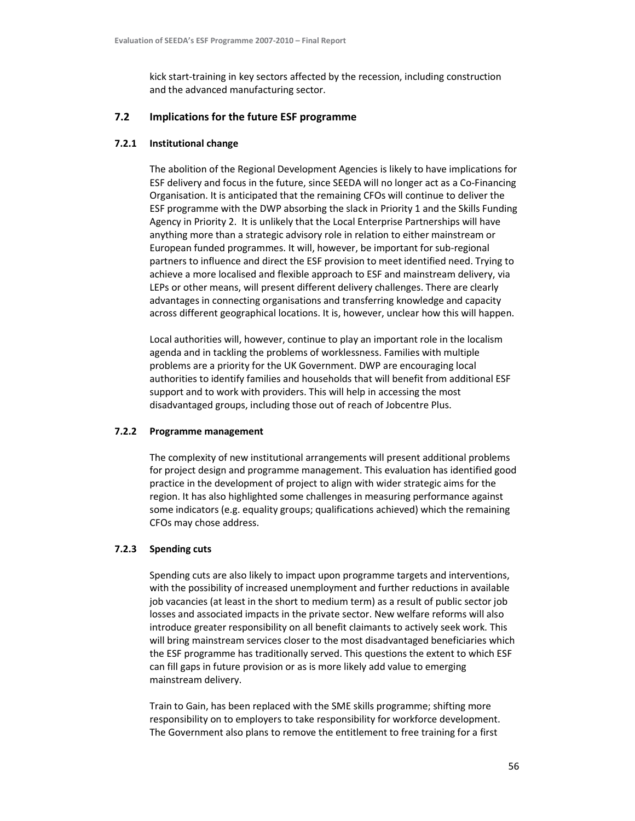kick start-training in key sectors affected by the recession, including construction and the advanced manufacturing sector.

# 7.2 Implications for the future ESF programme

### 7.2.1 Institutional change

The abolition of the Regional Development Agencies is likely to have implications for ESF delivery and focus in the future, since SEEDA will no longer act as a Co-Financing Organisation. It is anticipated that the remaining CFOs will continue to deliver the ESF programme with the DWP absorbing the slack in Priority 1 and the Skills Funding Agency in Priority 2. It is unlikely that the Local Enterprise Partnerships will have anything more than a strategic advisory role in relation to either mainstream or European funded programmes. It will, however, be important for sub-regional partners to influence and direct the ESF provision to meet identified need. Trying to achieve a more localised and flexible approach to ESF and mainstream delivery, via LEPs or other means, will present different delivery challenges. There are clearly advantages in connecting organisations and transferring knowledge and capacity across different geographical locations. It is, however, unclear how this will happen.

Local authorities will, however, continue to play an important role in the localism agenda and in tackling the problems of worklessness. Families with multiple problems are a priority for the UK Government. DWP are encouraging local authorities to identify families and households that will benefit from additional ESF support and to work with providers. This will help in accessing the most disadvantaged groups, including those out of reach of Jobcentre Plus.

#### 7.2.2 Programme management

The complexity of new institutional arrangements will present additional problems for project design and programme management. This evaluation has identified good practice in the development of project to align with wider strategic aims for the region. It has also highlighted some challenges in measuring performance against some indicators (e.g. equality groups; qualifications achieved) which the remaining CFOs may chose address.

#### 7.2.3 Spending cuts

Spending cuts are also likely to impact upon programme targets and interventions, with the possibility of increased unemployment and further reductions in available job vacancies (at least in the short to medium term) as a result of public sector job losses and associated impacts in the private sector. New welfare reforms will also introduce greater responsibility on all benefit claimants to actively seek work. This will bring mainstream services closer to the most disadvantaged beneficiaries which the ESF programme has traditionally served. This questions the extent to which ESF can fill gaps in future provision or as is more likely add value to emerging mainstream delivery.

Train to Gain, has been replaced with the SME skills programme; shifting more responsibility on to employers to take responsibility for workforce development. The Government also plans to remove the entitlement to free training for a first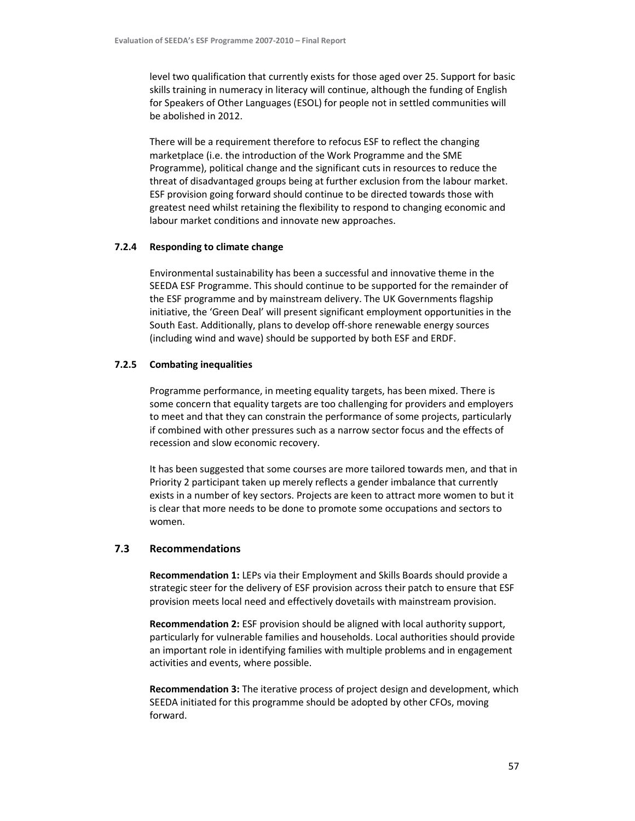level two qualification that currently exists for those aged over 25. Support for basic skills training in numeracy in literacy will continue, although the funding of English for Speakers of Other Languages (ESOL) for people not in settled communities will be abolished in 2012.

There will be a requirement therefore to refocus ESF to reflect the changing marketplace (i.e. the introduction of the Work Programme and the SME Programme), political change and the significant cuts in resources to reduce the threat of disadvantaged groups being at further exclusion from the labour market. ESF provision going forward should continue to be directed towards those with greatest need whilst retaining the flexibility to respond to changing economic and labour market conditions and innovate new approaches.

#### 7.2.4 Responding to climate change

Environmental sustainability has been a successful and innovative theme in the SEEDA ESF Programme. This should continue to be supported for the remainder of the ESF programme and by mainstream delivery. The UK Governments flagship initiative, the 'Green Deal' will present significant employment opportunities in the South East. Additionally, plans to develop off-shore renewable energy sources (including wind and wave) should be supported by both ESF and ERDF.

# 7.2.5 Combating inequalities

Programme performance, in meeting equality targets, has been mixed. There is some concern that equality targets are too challenging for providers and employers to meet and that they can constrain the performance of some projects, particularly if combined with other pressures such as a narrow sector focus and the effects of recession and slow economic recovery.

It has been suggested that some courses are more tailored towards men, and that in Priority 2 participant taken up merely reflects a gender imbalance that currently exists in a number of key sectors. Projects are keen to attract more women to but it is clear that more needs to be done to promote some occupations and sectors to women.

# 7.3 Recommendations

Recommendation 1: LEPs via their Employment and Skills Boards should provide a strategic steer for the delivery of ESF provision across their patch to ensure that ESF provision meets local need and effectively dovetails with mainstream provision.

Recommendation 2: ESF provision should be aligned with local authority support, particularly for vulnerable families and households. Local authorities should provide an important role in identifying families with multiple problems and in engagement activities and events, where possible.

Recommendation 3: The iterative process of project design and development, which SEEDA initiated for this programme should be adopted by other CFOs, moving forward.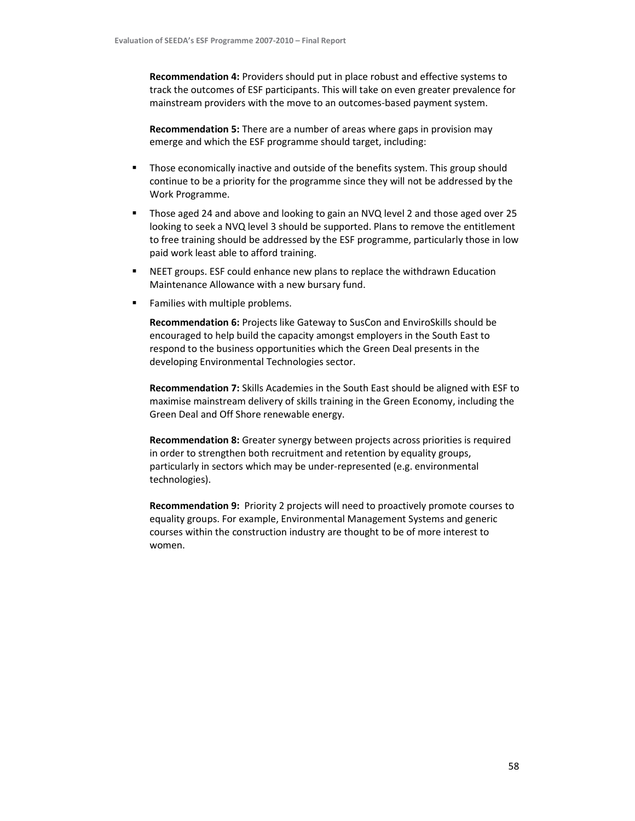Recommendation 4: Providers should put in place robust and effective systems to track the outcomes of ESF participants. This will take on even greater prevalence for mainstream providers with the move to an outcomes-based payment system.

Recommendation 5: There are a number of areas where gaps in provision may emerge and which the ESF programme should target, including:

- **Those economically inactive and outside of the benefits system. This group should** continue to be a priority for the programme since they will not be addressed by the Work Programme.
- Those aged 24 and above and looking to gain an NVQ level 2 and those aged over 25 looking to seek a NVQ level 3 should be supported. Plans to remove the entitlement to free training should be addressed by the ESF programme, particularly those in low paid work least able to afford training.
- NEET groups. ESF could enhance new plans to replace the withdrawn Education Maintenance Allowance with a new bursary fund.
- **Families with multiple problems.**

Recommendation 6: Projects like Gateway to SusCon and EnviroSkills should be encouraged to help build the capacity amongst employers in the South East to respond to the business opportunities which the Green Deal presents in the developing Environmental Technologies sector.

Recommendation 7: Skills Academies in the South East should be aligned with ESF to maximise mainstream delivery of skills training in the Green Economy, including the Green Deal and Off Shore renewable energy.

Recommendation 8: Greater synergy between projects across priorities is required in order to strengthen both recruitment and retention by equality groups, particularly in sectors which may be under-represented (e.g. environmental technologies).

Recommendation 9: Priority 2 projects will need to proactively promote courses to equality groups. For example, Environmental Management Systems and generic courses within the construction industry are thought to be of more interest to women.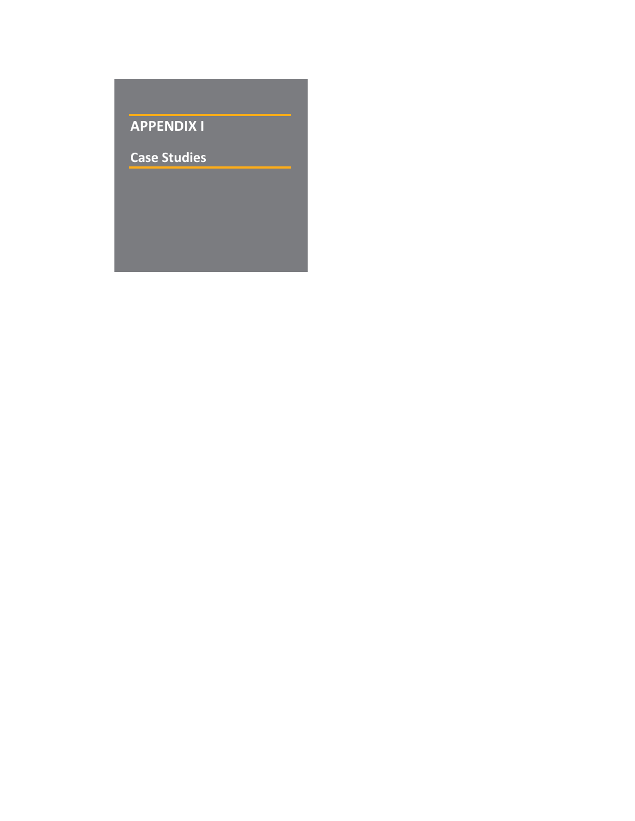# APPENDIX I

Case Studies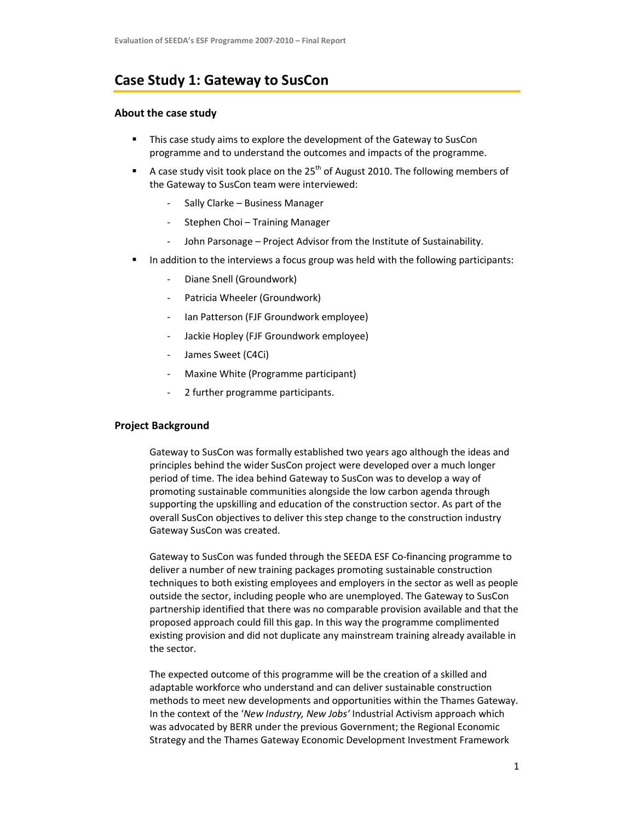# Case Study 1: Gateway to SusCon

## About the case study

- This case study aims to explore the development of the Gateway to SusCon programme and to understand the outcomes and impacts of the programme.
- A case study visit took place on the  $25<sup>th</sup>$  of August 2010. The following members of the Gateway to SusCon team were interviewed:
	- Sally Clarke Business Manager
	- Stephen Choi Training Manager
	- John Parsonage Project Advisor from the Institute of Sustainability.
- In addition to the interviews a focus group was held with the following participants:
	- Diane Snell (Groundwork)
	- Patricia Wheeler (Groundwork)
	- Ian Patterson (FJF Groundwork employee)
	- Jackie Hopley (FJF Groundwork employee)
	- James Sweet (C4Ci)
	- Maxine White (Programme participant)
	- 2 further programme participants.

# Project Background

Gateway to SusCon was formally established two years ago although the ideas and principles behind the wider SusCon project were developed over a much longer period of time. The idea behind Gateway to SusCon was to develop a way of promoting sustainable communities alongside the low carbon agenda through supporting the upskilling and education of the construction sector. As part of the overall SusCon objectives to deliver this step change to the construction industry Gateway SusCon was created.

Gateway to SusCon was funded through the SEEDA ESF Co-financing programme to deliver a number of new training packages promoting sustainable construction techniques to both existing employees and employers in the sector as well as people outside the sector, including people who are unemployed. The Gateway to SusCon partnership identified that there was no comparable provision available and that the proposed approach could fill this gap. In this way the programme complimented existing provision and did not duplicate any mainstream training already available in the sector.

The expected outcome of this programme will be the creation of a skilled and adaptable workforce who understand and can deliver sustainable construction methods to meet new developments and opportunities within the Thames Gateway. In the context of the 'New Industry, New Jobs' Industrial Activism approach which was advocated by BERR under the previous Government; the Regional Economic Strategy and the Thames Gateway Economic Development Investment Framework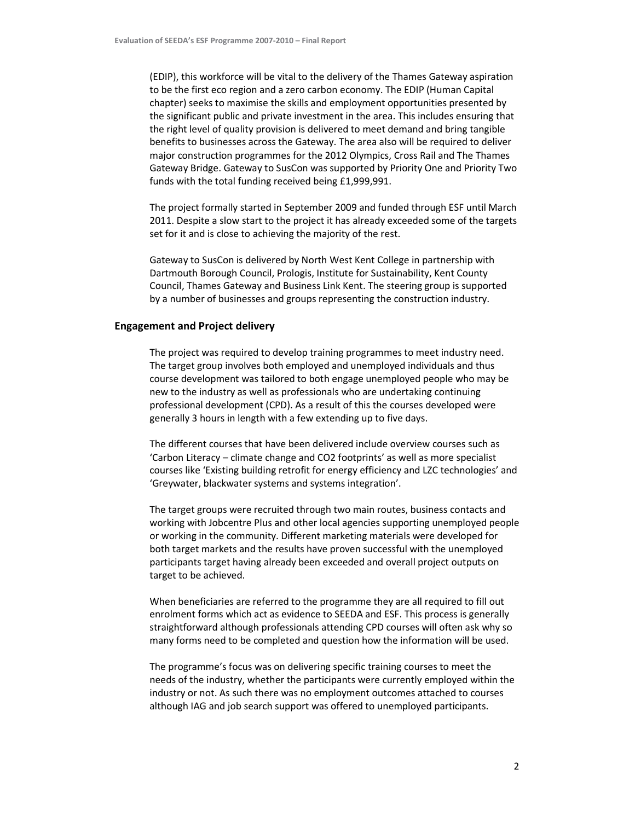(EDIP), this workforce will be vital to the delivery of the Thames Gateway aspiration to be the first eco region and a zero carbon economy. The EDIP (Human Capital chapter) seeks to maximise the skills and employment opportunities presented by the significant public and private investment in the area. This includes ensuring that the right level of quality provision is delivered to meet demand and bring tangible benefits to businesses across the Gateway. The area also will be required to deliver major construction programmes for the 2012 Olympics, Cross Rail and The Thames Gateway Bridge. Gateway to SusCon was supported by Priority One and Priority Two funds with the total funding received being £1,999,991.

The project formally started in September 2009 and funded through ESF until March 2011. Despite a slow start to the project it has already exceeded some of the targets set for it and is close to achieving the majority of the rest.

Gateway to SusCon is delivered by North West Kent College in partnership with Dartmouth Borough Council, Prologis, Institute for Sustainability, Kent County Council, Thames Gateway and Business Link Kent. The steering group is supported by a number of businesses and groups representing the construction industry.

#### Engagement and Project delivery

The project was required to develop training programmes to meet industry need. The target group involves both employed and unemployed individuals and thus course development was tailored to both engage unemployed people who may be new to the industry as well as professionals who are undertaking continuing professional development (CPD). As a result of this the courses developed were generally 3 hours in length with a few extending up to five days.

The different courses that have been delivered include overview courses such as 'Carbon Literacy – climate change and CO2 footprints' as well as more specialist courses like 'Existing building retrofit for energy efficiency and LZC technologies' and 'Greywater, blackwater systems and systems integration'.

The target groups were recruited through two main routes, business contacts and working with Jobcentre Plus and other local agencies supporting unemployed people or working in the community. Different marketing materials were developed for both target markets and the results have proven successful with the unemployed participants target having already been exceeded and overall project outputs on target to be achieved.

When beneficiaries are referred to the programme they are all required to fill out enrolment forms which act as evidence to SEEDA and ESF. This process is generally straightforward although professionals attending CPD courses will often ask why so many forms need to be completed and question how the information will be used.

The programme's focus was on delivering specific training courses to meet the needs of the industry, whether the participants were currently employed within the industry or not. As such there was no employment outcomes attached to courses although IAG and job search support was offered to unemployed participants.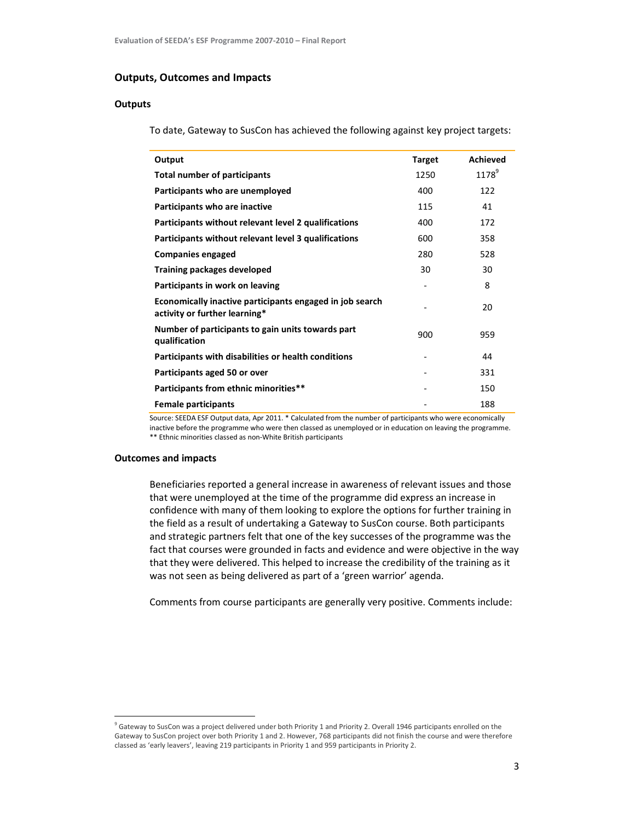## Outputs, Outcomes and Impacts

# **Outputs**

To date, Gateway to SusCon has achieved the following against key project targets:

| Output                                                                                    | <b>Target</b> | <b>Achieved</b>   |
|-------------------------------------------------------------------------------------------|---------------|-------------------|
| <b>Total number of participants</b>                                                       | 1250          | 1178 <sup>9</sup> |
| Participants who are unemployed                                                           | 400           | 122               |
| Participants who are inactive                                                             | 115           | 41                |
| Participants without relevant level 2 qualifications                                      | 400           | 172               |
| Participants without relevant level 3 qualifications                                      | 600           | 358               |
| <b>Companies engaged</b>                                                                  | 280           | 528               |
| <b>Training packages developed</b>                                                        | 30            | 30                |
| Participants in work on leaving                                                           |               | 8                 |
| Economically inactive participants engaged in job search<br>activity or further learning* |               | 20                |
| Number of participants to gain units towards part<br>qualification                        | 900           | 959               |
| Participants with disabilities or health conditions                                       |               | 44                |
| Participants aged 50 or over                                                              |               | 331               |
| Participants from ethnic minorities**                                                     |               | 150               |
| <b>Female participants</b>                                                                |               | 188               |

Source: SEEDA ESF Output data, Apr 2011. \* Calculated from the number of participants who were economically inactive before the programme who were then classed as unemployed or in education on leaving the programme. \*\* Ethnic minorities classed as non-White British participants

#### Outcomes and impacts

l,

Beneficiaries reported a general increase in awareness of relevant issues and those that were unemployed at the time of the programme did express an increase in confidence with many of them looking to explore the options for further training in the field as a result of undertaking a Gateway to SusCon course. Both participants and strategic partners felt that one of the key successes of the programme was the fact that courses were grounded in facts and evidence and were objective in the way that they were delivered. This helped to increase the credibility of the training as it was not seen as being delivered as part of a 'green warrior' agenda.

Comments from course participants are generally very positive. Comments include:

<sup>&</sup>lt;sup>9</sup> Gateway to SusCon was a project delivered under both Priority 1 and Priority 2. Overall 1946 participants enrolled on the Gateway to SusCon project over both Priority 1 and 2. However, 768 participants did not finish the course and were therefore classed as 'early leavers', leaving 219 participants in Priority 1 and 959 participants in Priority 2.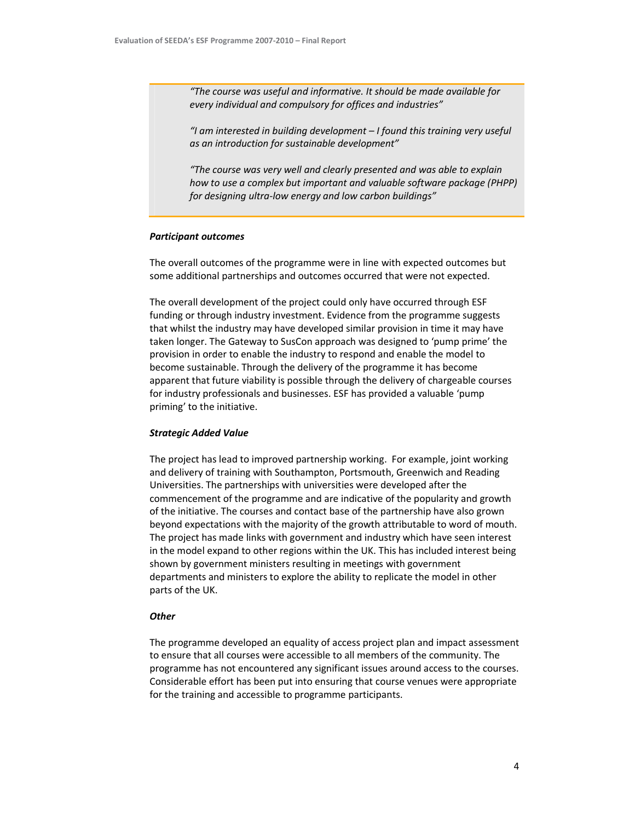"The course was useful and informative. It should be made available for every individual and compulsory for offices and industries"

"I am interested in building development – I found this training very useful as an introduction for sustainable development"

"The course was very well and clearly presented and was able to explain how to use a complex but important and valuable software package (PHPP) for designing ultra-low energy and low carbon buildings"

#### Participant outcomes

The overall outcomes of the programme were in line with expected outcomes but some additional partnerships and outcomes occurred that were not expected.

The overall development of the project could only have occurred through ESF funding or through industry investment. Evidence from the programme suggests that whilst the industry may have developed similar provision in time it may have taken longer. The Gateway to SusCon approach was designed to 'pump prime' the provision in order to enable the industry to respond and enable the model to become sustainable. Through the delivery of the programme it has become apparent that future viability is possible through the delivery of chargeable courses for industry professionals and businesses. ESF has provided a valuable 'pump priming' to the initiative.

#### Strategic Added Value

The project has lead to improved partnership working. For example, joint working and delivery of training with Southampton, Portsmouth, Greenwich and Reading Universities. The partnerships with universities were developed after the commencement of the programme and are indicative of the popularity and growth of the initiative. The courses and contact base of the partnership have also grown beyond expectations with the majority of the growth attributable to word of mouth. The project has made links with government and industry which have seen interest in the model expand to other regions within the UK. This has included interest being shown by government ministers resulting in meetings with government departments and ministers to explore the ability to replicate the model in other parts of the UK.

#### **Other**

The programme developed an equality of access project plan and impact assessment to ensure that all courses were accessible to all members of the community. The programme has not encountered any significant issues around access to the courses. Considerable effort has been put into ensuring that course venues were appropriate for the training and accessible to programme participants.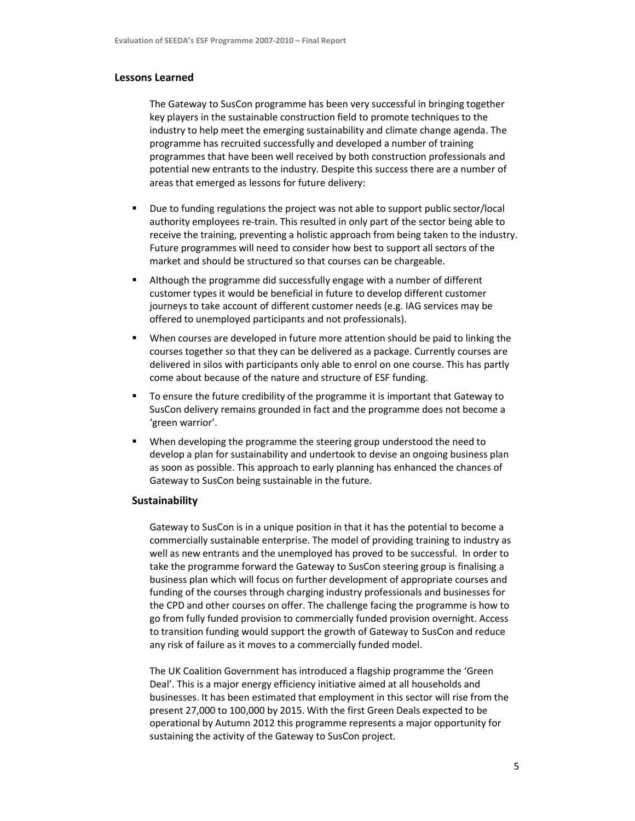#### Lessons Learned

The Gateway to SusCon programme has been very successful in bringing together key players in the sustainable construction field to promote techniques to the industry to help meet the emerging sustainability and climate change agenda. The programme has recruited successfully and developed a number of training programmes that have been well received by both construction professionals and potential new entrants to the industry. Despite this success there are a number of areas that emerged as lessons for future delivery:

- Due to funding regulations the project was not able to support public sector/local authority employees re-train. This resulted in only part of the sector being able to receive the training, preventing a holistic approach from being taken to the industry. Future programmes will need to consider how best to support all sectors of the market and should be structured so that courses can be chargeable.
- Although the programme did successfully engage with a number of different customer types it would be beneficial in future to develop different customer journeys to take account of different customer needs (e.g. IAG services may be offered to unemployed participants and not professionals).
- When courses are developed in future more attention should be paid to linking the courses together so that they can be delivered as a package. Currently courses are delivered in silos with participants only able to enrol on one course. This has partly come about because of the nature and structure of ESF funding.
- To ensure the future credibility of the programme it is important that Gateway to SusCon delivery remains grounded in fact and the programme does not become a 'green warrior'.
- When developing the programme the steering group understood the need to develop a plan for sustainability and undertook to devise an ongoing business plan as soon as possible. This approach to early planning has enhanced the chances of Gateway to SusCon being sustainable in the future.

#### Sustainability

Gateway to SusCon is in a unique position in that it has the potential to become a commercially sustainable enterprise. The model of providing training to industry as well as new entrants and the unemployed has proved to be successful. In order to take the programme forward the Gateway to SusCon steering group is finalising a business plan which will focus on further development of appropriate courses and funding of the courses through charging industry professionals and businesses for the CPD and other courses on offer. The challenge facing the programme is how to go from fully funded provision to commercially funded provision overnight. Access to transition funding would support the growth of Gateway to SusCon and reduce any risk of failure as it moves to a commercially funded model.

The UK Coalition Government has introduced a flagship programme the 'Green Deal'. This is a major energy efficiency initiative aimed at all households and businesses. It has been estimated that employment in this sector will rise from the present 27,000 to 100,000 by 2015. With the first Green Deals expected to be operational by Autumn 2012 this programme represents a major opportunity for sustaining the activity of the Gateway to SusCon project.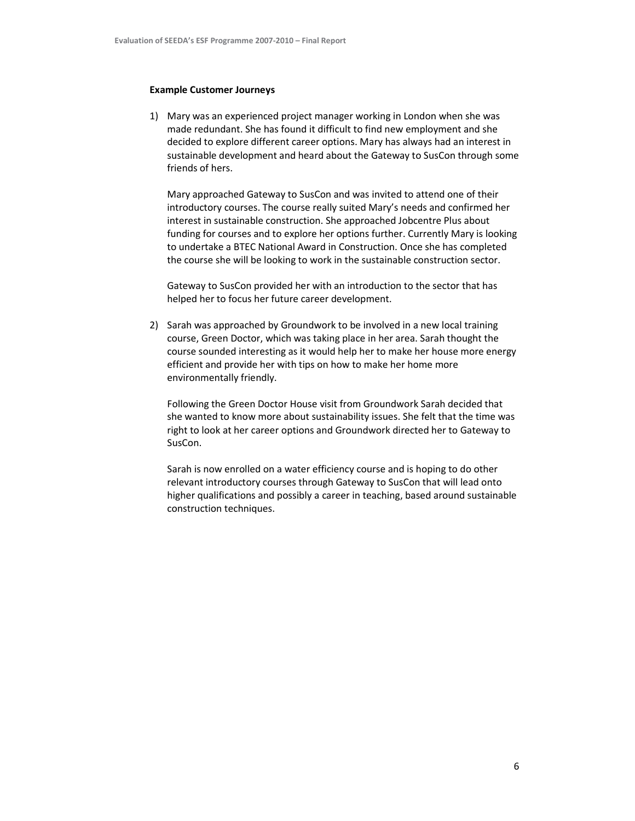#### Example Customer Journeys

1) Mary was an experienced project manager working in London when she was made redundant. She has found it difficult to find new employment and she decided to explore different career options. Mary has always had an interest in sustainable development and heard about the Gateway to SusCon through some friends of hers.

Mary approached Gateway to SusCon and was invited to attend one of their introductory courses. The course really suited Mary's needs and confirmed her interest in sustainable construction. She approached Jobcentre Plus about funding for courses and to explore her options further. Currently Mary is looking to undertake a BTEC National Award in Construction. Once she has completed the course she will be looking to work in the sustainable construction sector.

Gateway to SusCon provided her with an introduction to the sector that has helped her to focus her future career development.

2) Sarah was approached by Groundwork to be involved in a new local training course, Green Doctor, which was taking place in her area. Sarah thought the course sounded interesting as it would help her to make her house more energy efficient and provide her with tips on how to make her home more environmentally friendly.

Following the Green Doctor House visit from Groundwork Sarah decided that she wanted to know more about sustainability issues. She felt that the time was right to look at her career options and Groundwork directed her to Gateway to SusCon.

Sarah is now enrolled on a water efficiency course and is hoping to do other relevant introductory courses through Gateway to SusCon that will lead onto higher qualifications and possibly a career in teaching, based around sustainable construction techniques.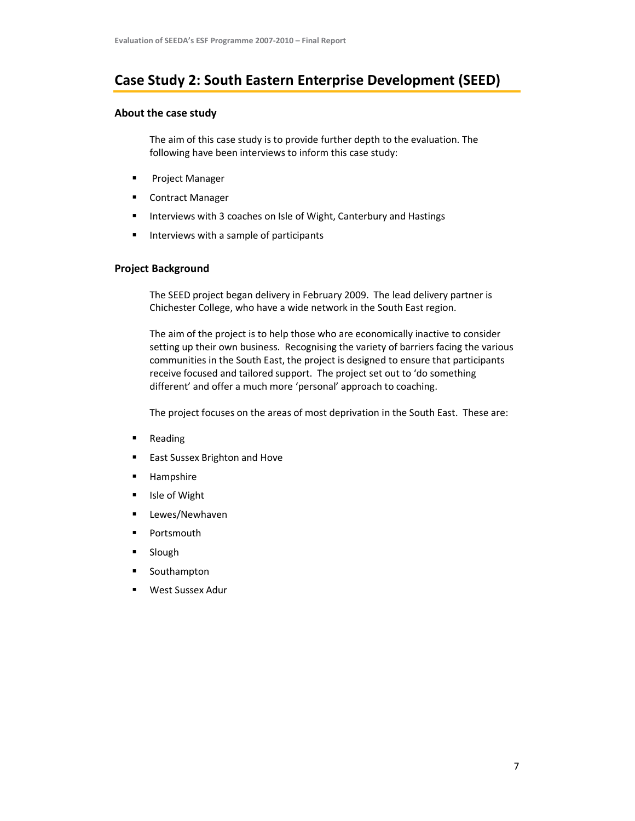# Case Study 2: South Eastern Enterprise Development (SEED)

## About the case study

The aim of this case study is to provide further depth to the evaluation. The following have been interviews to inform this case study:

- **Project Manager**
- Contract Manager
- **Interviews with 3 coaches on Isle of Wight, Canterbury and Hastings**
- $\blacksquare$  Interviews with a sample of participants

# Project Background

The SEED project began delivery in February 2009. The lead delivery partner is Chichester College, who have a wide network in the South East region.

The aim of the project is to help those who are economically inactive to consider setting up their own business. Recognising the variety of barriers facing the various communities in the South East, the project is designed to ensure that participants receive focused and tailored support. The project set out to 'do something different' and offer a much more 'personal' approach to coaching.

The project focuses on the areas of most deprivation in the South East. These are:

- **Reading**
- East Sussex Brighton and Hove
- **Hampshire**
- **I**sle of Wight
- **E** Lewes/Newhaven
- **Portsmouth**
- **Slough**
- **Southampton**
- West Sussex Adur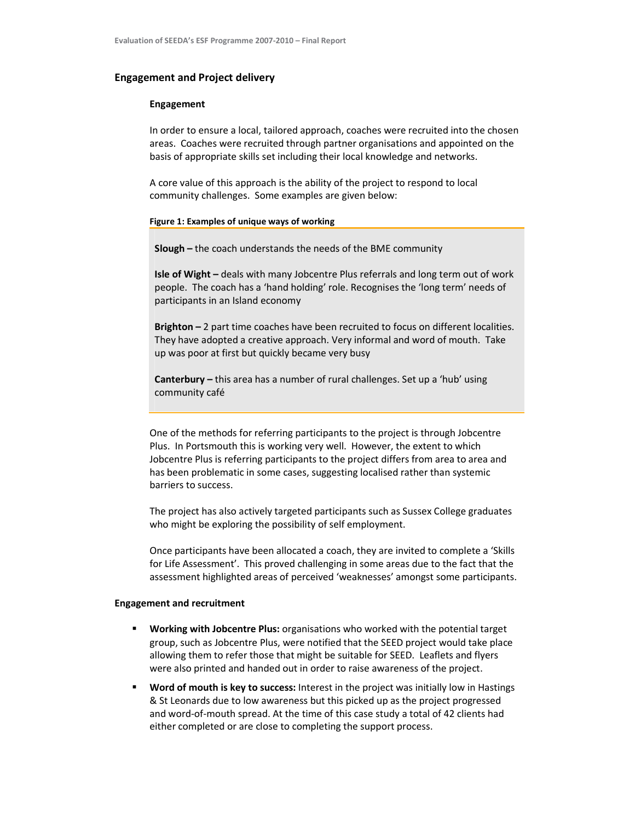#### Engagement and Project delivery

#### Engagement

In order to ensure a local, tailored approach, coaches were recruited into the chosen areas. Coaches were recruited through partner organisations and appointed on the basis of appropriate skills set including their local knowledge and networks.

A core value of this approach is the ability of the project to respond to local community challenges. Some examples are given below:

#### Figure 1: Examples of unique ways of working

Slough – the coach understands the needs of the BME community

Isle of Wight - deals with many Jobcentre Plus referrals and long term out of work people. The coach has a 'hand holding' role. Recognises the 'long term' needs of participants in an Island economy

Brighton – 2 part time coaches have been recruited to focus on different localities. They have adopted a creative approach. Very informal and word of mouth. Take up was poor at first but quickly became very busy

Canterbury – this area has a number of rural challenges. Set up a 'hub' using community café

One of the methods for referring participants to the project is through Jobcentre Plus. In Portsmouth this is working very well. However, the extent to which Jobcentre Plus is referring participants to the project differs from area to area and has been problematic in some cases, suggesting localised rather than systemic barriers to success.

The project has also actively targeted participants such as Sussex College graduates who might be exploring the possibility of self employment.

Once participants have been allocated a coach, they are invited to complete a 'Skills for Life Assessment'. This proved challenging in some areas due to the fact that the assessment highlighted areas of perceived 'weaknesses' amongst some participants.

#### Engagement and recruitment

- Working with Jobcentre Plus: organisations who worked with the potential target group, such as Jobcentre Plus, were notified that the SEED project would take place allowing them to refer those that might be suitable for SEED. Leaflets and flyers were also printed and handed out in order to raise awareness of the project.
- Word of mouth is key to success: Interest in the project was initially low in Hastings & St Leonards due to low awareness but this picked up as the project progressed and word-of-mouth spread. At the time of this case study a total of 42 clients had either completed or are close to completing the support process.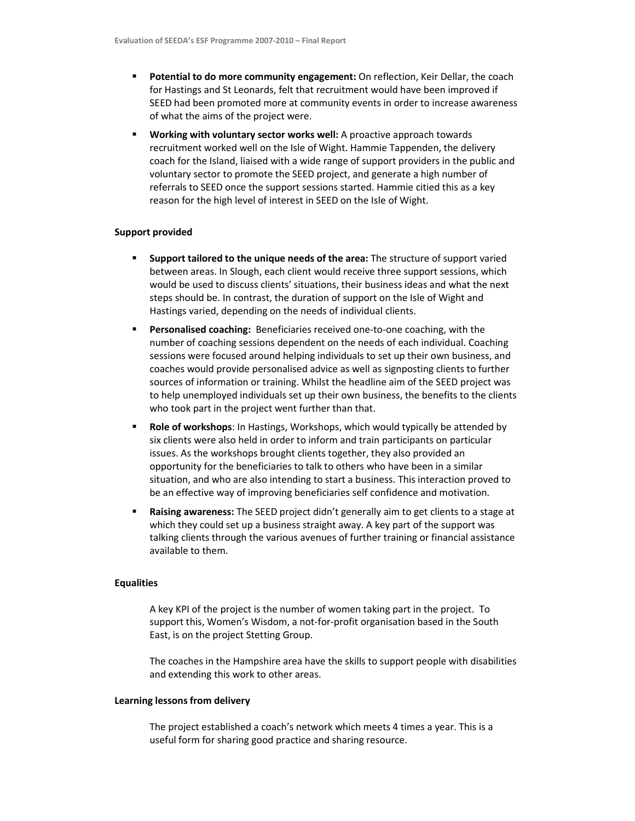- **Potential to do more community engagement:** On reflection, Keir Dellar, the coach for Hastings and St Leonards, felt that recruitment would have been improved if SEED had been promoted more at community events in order to increase awareness of what the aims of the project were.
- Working with voluntary sector works well: A proactive approach towards recruitment worked well on the Isle of Wight. Hammie Tappenden, the delivery coach for the Island, liaised with a wide range of support providers in the public and voluntary sector to promote the SEED project, and generate a high number of referrals to SEED once the support sessions started. Hammie citied this as a key reason for the high level of interest in SEED on the Isle of Wight.

#### Support provided

- Support tailored to the unique needs of the area: The structure of support varied between areas. In Slough, each client would receive three support sessions, which would be used to discuss clients' situations, their business ideas and what the next steps should be. In contrast, the duration of support on the Isle of Wight and Hastings varied, depending on the needs of individual clients.
- Personalised coaching: Beneficiaries received one-to-one coaching, with the number of coaching sessions dependent on the needs of each individual. Coaching sessions were focused around helping individuals to set up their own business, and coaches would provide personalised advice as well as signposting clients to further sources of information or training. Whilst the headline aim of the SEED project was to help unemployed individuals set up their own business, the benefits to the clients who took part in the project went further than that.
- Role of workshops: In Hastings, Workshops, which would typically be attended by six clients were also held in order to inform and train participants on particular issues. As the workshops brought clients together, they also provided an opportunity for the beneficiaries to talk to others who have been in a similar situation, and who are also intending to start a business. This interaction proved to be an effective way of improving beneficiaries self confidence and motivation.
- Raising awareness: The SEED project didn't generally aim to get clients to a stage at which they could set up a business straight away. A key part of the support was talking clients through the various avenues of further training or financial assistance available to them.

#### **Equalities**

A key KPI of the project is the number of women taking part in the project. To support this, Women's Wisdom, a not-for-profit organisation based in the South East, is on the project Stetting Group.

The coaches in the Hampshire area have the skills to support people with disabilities and extending this work to other areas.

#### Learning lessons from delivery

The project established a coach's network which meets 4 times a year. This is a useful form for sharing good practice and sharing resource.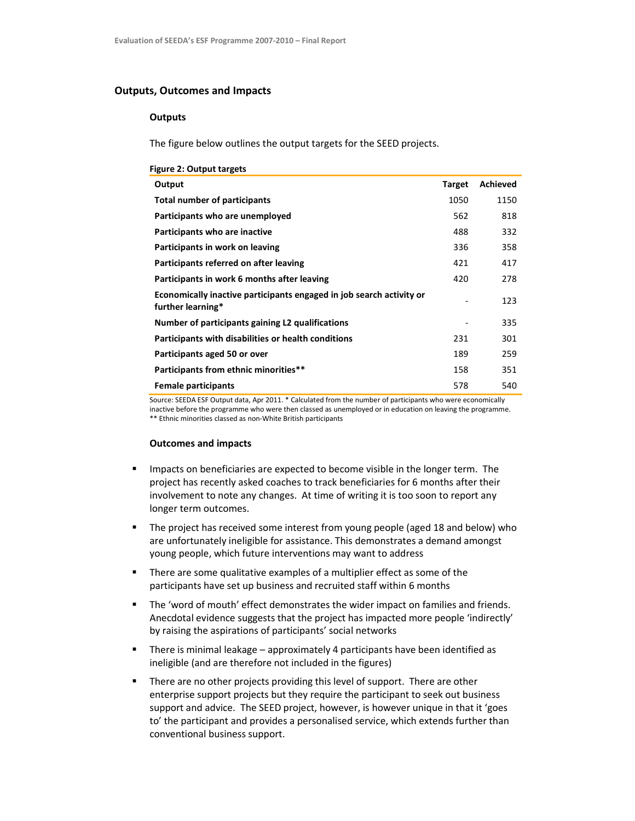# Outputs, Outcomes and Impacts

#### **Outputs**

The figure below outlines the output targets for the SEED projects.

| <b>Figure 2: Output targets</b> |  |  |  |  |
|---------------------------------|--|--|--|--|
|---------------------------------|--|--|--|--|

| Output                                                                                    | <b>Target</b> | Achieved |
|-------------------------------------------------------------------------------------------|---------------|----------|
| Total number of participants                                                              | 1050          | 1150     |
| Participants who are unemployed                                                           | 562           | 818      |
| Participants who are inactive                                                             | 488           | 332      |
| Participants in work on leaving                                                           | 336           | 358      |
| Participants referred on after leaving                                                    | 421           | 417      |
| Participants in work 6 months after leaving                                               | 420           | 278      |
| Economically inactive participants engaged in job search activity or<br>further learning* |               | 123      |
| Number of participants gaining L2 qualifications                                          |               | 335      |
| Participants with disabilities or health conditions                                       | 231           | 301      |
| Participants aged 50 or over                                                              | 189           | 259      |
| Participants from ethnic minorities**                                                     | 158           | 351      |
| <b>Female participants</b>                                                                | 578           | 540      |

Source: SEEDA ESF Output data, Apr 2011. \* Calculated from the number of participants who were economically inactive before the programme who were then classed as unemployed or in education on leaving the programme. \*\* Ethnic minorities classed as non-White British participants

#### Outcomes and impacts

- **IMPACTER IMPACTS ON BENETICE ATTES ARE:** Impacts on beneficiaries are expected to become visible in the longer term. The project has recently asked coaches to track beneficiaries for 6 months after their involvement to note any changes. At time of writing it is too soon to report any longer term outcomes.
- The project has received some interest from young people (aged 18 and below) who are unfortunately ineligible for assistance. This demonstrates a demand amongst young people, which future interventions may want to address
- There are some qualitative examples of a multiplier effect as some of the participants have set up business and recruited staff within 6 months
- The 'word of mouth' effect demonstrates the wider impact on families and friends. Anecdotal evidence suggests that the project has impacted more people 'indirectly' by raising the aspirations of participants' social networks
- **F** There is minimal leakage approximately 4 participants have been identified as ineligible (and are therefore not included in the figures)
- There are no other projects providing this level of support. There are other enterprise support projects but they require the participant to seek out business support and advice. The SEED project, however, is however unique in that it 'goes to' the participant and provides a personalised service, which extends further than conventional business support.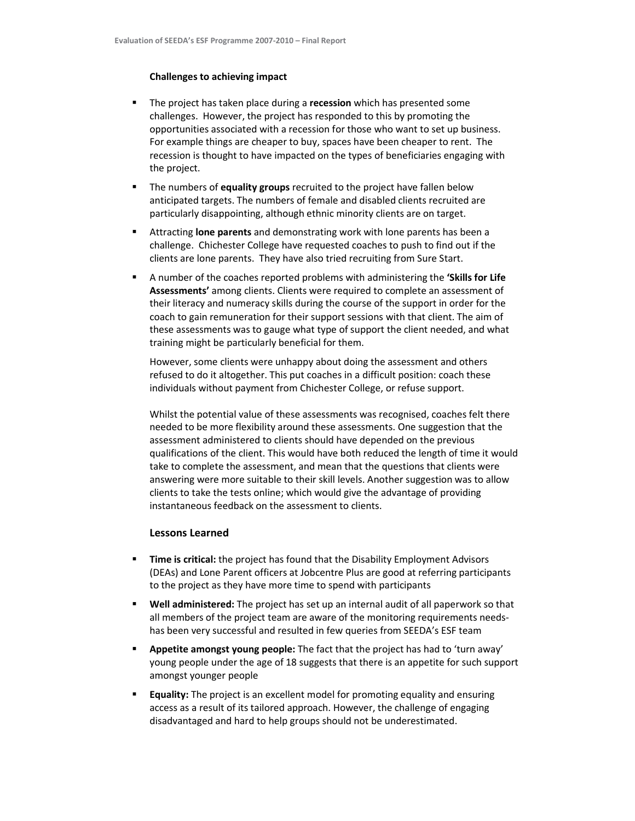#### Challenges to achieving impact

- The project has taken place during a recession which has presented some challenges. However, the project has responded to this by promoting the opportunities associated with a recession for those who want to set up business. For example things are cheaper to buy, spaces have been cheaper to rent. The recession is thought to have impacted on the types of beneficiaries engaging with the project.
- The numbers of equality groups recruited to the project have fallen below anticipated targets. The numbers of female and disabled clients recruited are particularly disappointing, although ethnic minority clients are on target.
- **EXTER** Attracting **lone parents** and demonstrating work with lone parents has been a challenge. Chichester College have requested coaches to push to find out if the clients are lone parents. They have also tried recruiting from Sure Start.
- A number of the coaches reported problems with administering the 'Skills for Life Assessments' among clients. Clients were required to complete an assessment of their literacy and numeracy skills during the course of the support in order for the coach to gain remuneration for their support sessions with that client. The aim of these assessments was to gauge what type of support the client needed, and what training might be particularly beneficial for them.

However, some clients were unhappy about doing the assessment and others refused to do it altogether. This put coaches in a difficult position: coach these individuals without payment from Chichester College, or refuse support.

Whilst the potential value of these assessments was recognised, coaches felt there needed to be more flexibility around these assessments. One suggestion that the assessment administered to clients should have depended on the previous qualifications of the client. This would have both reduced the length of time it would take to complete the assessment, and mean that the questions that clients were answering were more suitable to their skill levels. Another suggestion was to allow clients to take the tests online; which would give the advantage of providing instantaneous feedback on the assessment to clients.

### Lessons Learned

- **Time is critical:** the project has found that the Disability Employment Advisors (DEAs) and Lone Parent officers at Jobcentre Plus are good at referring participants to the project as they have more time to spend with participants
- **Well administered:** The project has set up an internal audit of all paperwork so that all members of the project team are aware of the monitoring requirements needshas been very successful and resulted in few queries from SEEDA's ESF team
- Appetite amongst young people: The fact that the project has had to 'turn away' young people under the age of 18 suggests that there is an appetite for such support amongst younger people
- **Equality:** The project is an excellent model for promoting equality and ensuring access as a result of its tailored approach. However, the challenge of engaging disadvantaged and hard to help groups should not be underestimated.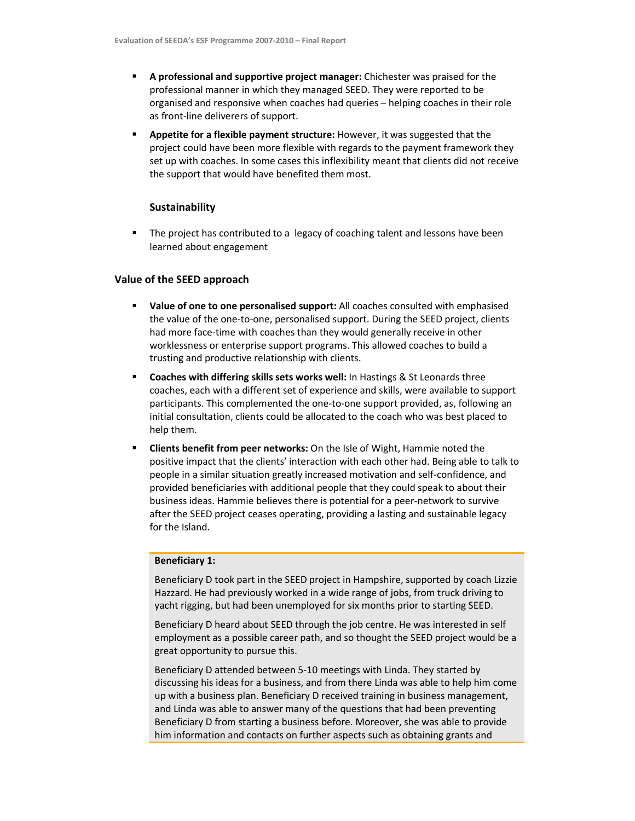- A professional and supportive project manager: Chichester was praised for the professional manner in which they managed SEED. They were reported to be organised and responsive when coaches had queries – helping coaches in their role as front-line deliverers of support.
- Appetite for a flexible payment structure: However, it was suggested that the project could have been more flexible with regards to the payment framework they set up with coaches. In some cases this inflexibility meant that clients did not receive the support that would have benefited them most.

## Sustainability

 The project has contributed to a legacy of coaching talent and lessons have been learned about engagement

## Value of the SEED approach

- Value of one to one personalised support: All coaches consulted with emphasised the value of the one-to-one, personalised support. During the SEED project, clients had more face-time with coaches than they would generally receive in other worklessness or enterprise support programs. This allowed coaches to build a trusting and productive relationship with clients.
- **EXECOACHES with differing skills sets works well:** In Hastings & St Leonards three coaches, each with a different set of experience and skills, were available to support participants. This complemented the one-to-one support provided, as, following an initial consultation, clients could be allocated to the coach who was best placed to help them.
- **EXECT** Clients benefit from peer networks: On the Isle of Wight, Hammie noted the positive impact that the clients' interaction with each other had. Being able to talk to people in a similar situation greatly increased motivation and self-confidence, and provided beneficiaries with additional people that they could speak to about their business ideas. Hammie believes there is potential for a peer-network to survive after the SEED project ceases operating, providing a lasting and sustainable legacy for the Island.

### Beneficiary 1:

Beneficiary D took part in the SEED project in Hampshire, supported by coach Lizzie Hazzard. He had previously worked in a wide range of jobs, from truck driving to yacht rigging, but had been unemployed for six months prior to starting SEED.

Beneficiary D heard about SEED through the job centre. He was interested in self employment as a possible career path, and so thought the SEED project would be a great opportunity to pursue this.

Beneficiary D attended between 5-10 meetings with Linda. They started by discussing his ideas for a business, and from there Linda was able to help him come up with a business plan. Beneficiary D received training in business management, and Linda was able to answer many of the questions that had been preventing Beneficiary D from starting a business before. Moreover, she was able to provide him information and contacts on further aspects such as obtaining grants and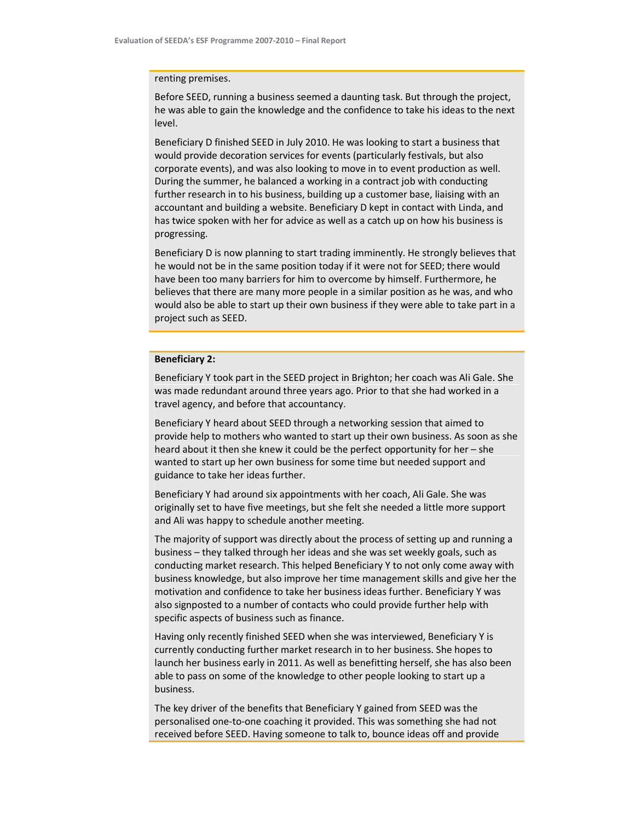#### renting premises.

Before SEED, running a business seemed a daunting task. But through the project, he was able to gain the knowledge and the confidence to take his ideas to the next level.

Beneficiary D finished SEED in July 2010. He was looking to start a business that would provide decoration services for events (particularly festivals, but also corporate events), and was also looking to move in to event production as well. During the summer, he balanced a working in a contract job with conducting further research in to his business, building up a customer base, liaising with an accountant and building a website. Beneficiary D kept in contact with Linda, and has twice spoken with her for advice as well as a catch up on how his business is progressing.

Beneficiary D is now planning to start trading imminently. He strongly believes that he would not be in the same position today if it were not for SEED; there would have been too many barriers for him to overcome by himself. Furthermore, he believes that there are many more people in a similar position as he was, and who would also be able to start up their own business if they were able to take part in a project such as SEED.

## Beneficiary 2:

Beneficiary Y took part in the SEED project in Brighton; her coach was Ali Gale. She was made redundant around three years ago. Prior to that she had worked in a travel agency, and before that accountancy.

Beneficiary Y heard about SEED through a networking session that aimed to provide help to mothers who wanted to start up their own business. As soon as she heard about it then she knew it could be the perfect opportunity for her – she wanted to start up her own business for some time but needed support and guidance to take her ideas further.

Beneficiary Y had around six appointments with her coach, Ali Gale. She was originally set to have five meetings, but she felt she needed a little more support and Ali was happy to schedule another meeting.

The majority of support was directly about the process of setting up and running a business – they talked through her ideas and she was set weekly goals, such as conducting market research. This helped Beneficiary Y to not only come away with business knowledge, but also improve her time management skills and give her the motivation and confidence to take her business ideas further. Beneficiary Y was also signposted to a number of contacts who could provide further help with specific aspects of business such as finance.

Having only recently finished SEED when she was interviewed, Beneficiary Y is currently conducting further market research in to her business. She hopes to launch her business early in 2011. As well as benefitting herself, she has also been able to pass on some of the knowledge to other people looking to start up a business.

The key driver of the benefits that Beneficiary Y gained from SEED was the personalised one-to-one coaching it provided. This was something she had not received before SEED. Having someone to talk to, bounce ideas off and provide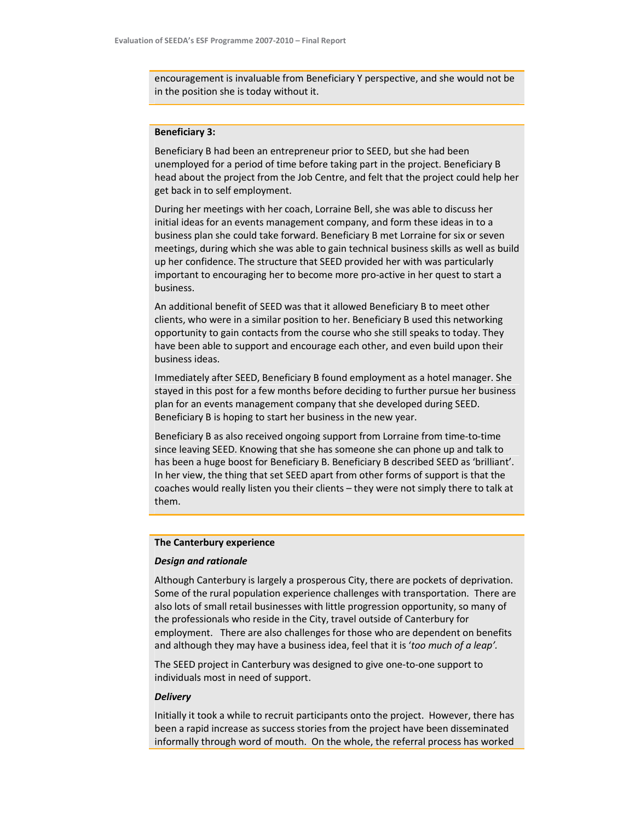encouragement is invaluable from Beneficiary Y perspective, and she would not be in the position she is today without it.

# Beneficiary 3:

Beneficiary B had been an entrepreneur prior to SEED, but she had been unemployed for a period of time before taking part in the project. Beneficiary B head about the project from the Job Centre, and felt that the project could help her get back in to self employment.

During her meetings with her coach, Lorraine Bell, she was able to discuss her initial ideas for an events management company, and form these ideas in to a business plan she could take forward. Beneficiary B met Lorraine for six or seven meetings, during which she was able to gain technical business skills as well as build up her confidence. The structure that SEED provided her with was particularly important to encouraging her to become more pro-active in her quest to start a business.

An additional benefit of SEED was that it allowed Beneficiary B to meet other clients, who were in a similar position to her. Beneficiary B used this networking opportunity to gain contacts from the course who she still speaks to today. They have been able to support and encourage each other, and even build upon their business ideas.

Immediately after SEED, Beneficiary B found employment as a hotel manager. She stayed in this post for a few months before deciding to further pursue her business plan for an events management company that she developed during SEED. Beneficiary B is hoping to start her business in the new year.

Beneficiary B as also received ongoing support from Lorraine from time-to-time since leaving SEED. Knowing that she has someone she can phone up and talk to has been a huge boost for Beneficiary B. Beneficiary B described SEED as 'brilliant'. In her view, the thing that set SEED apart from other forms of support is that the coaches would really listen you their clients – they were not simply there to talk at them.

# The Canterbury experience

#### Design and rationale

Although Canterbury is largely a prosperous City, there are pockets of deprivation. Some of the rural population experience challenges with transportation. There are also lots of small retail businesses with little progression opportunity, so many of the professionals who reside in the City, travel outside of Canterbury for employment. There are also challenges for those who are dependent on benefits and although they may have a business idea, feel that it is 'too much of a leap'.

The SEED project in Canterbury was designed to give one-to-one support to individuals most in need of support.

### **Delivery**

Initially it took a while to recruit participants onto the project. However, there has been a rapid increase as success stories from the project have been disseminated informally through word of mouth. On the whole, the referral process has worked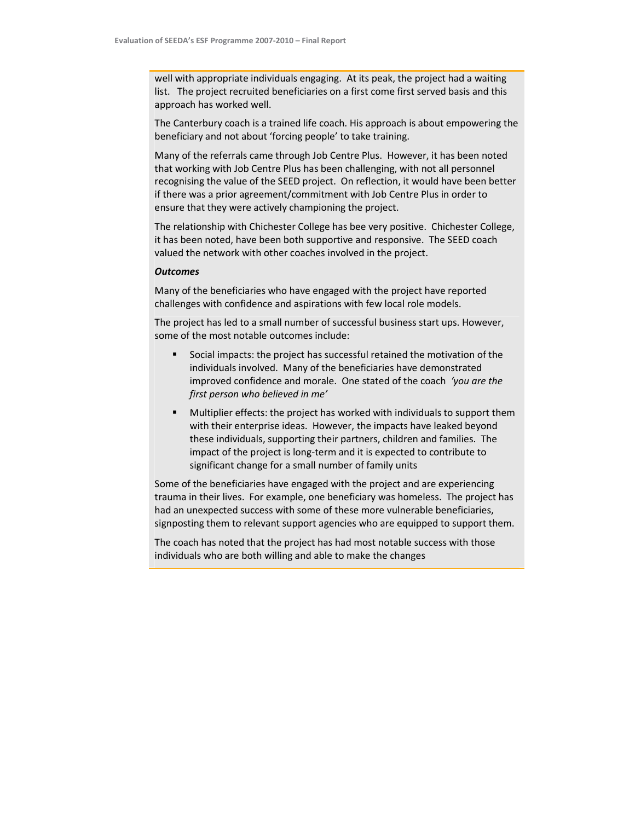well with appropriate individuals engaging. At its peak, the project had a waiting list. The project recruited beneficiaries on a first come first served basis and this approach has worked well.

The Canterbury coach is a trained life coach. His approach is about empowering the beneficiary and not about 'forcing people' to take training.

Many of the referrals came through Job Centre Plus. However, it has been noted that working with Job Centre Plus has been challenging, with not all personnel recognising the value of the SEED project. On reflection, it would have been better if there was a prior agreement/commitment with Job Centre Plus in order to ensure that they were actively championing the project.

The relationship with Chichester College has bee very positive. Chichester College, it has been noted, have been both supportive and responsive. The SEED coach valued the network with other coaches involved in the project.

#### **Outcomes**

Many of the beneficiaries who have engaged with the project have reported challenges with confidence and aspirations with few local role models.

The project has led to a small number of successful business start ups. However, some of the most notable outcomes include:

- Social impacts: the project has successful retained the motivation of the individuals involved. Many of the beneficiaries have demonstrated improved confidence and morale. One stated of the coach 'you are the first person who believed in me'
- Multiplier effects: the project has worked with individuals to support them with their enterprise ideas. However, the impacts have leaked beyond these individuals, supporting their partners, children and families. The impact of the project is long-term and it is expected to contribute to significant change for a small number of family units

Some of the beneficiaries have engaged with the project and are experiencing trauma in their lives. For example, one beneficiary was homeless. The project has had an unexpected success with some of these more vulnerable beneficiaries, signposting them to relevant support agencies who are equipped to support them.

The coach has noted that the project has had most notable success with those individuals who are both willing and able to make the changes